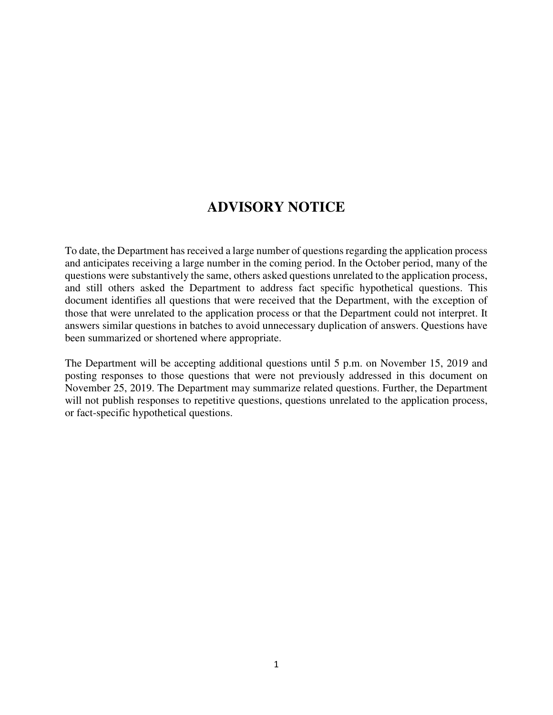## **ADVISORY NOTICE**

To date, the Department has received a large number of questions regarding the application process and anticipates receiving a large number in the coming period. In the October period, many of the questions were substantively the same, others asked questions unrelated to the application process, and still others asked the Department to address fact specific hypothetical questions. This document identifies all questions that were received that the Department, with the exception of those that were unrelated to the application process or that the Department could not interpret. It answers similar questions in batches to avoid unnecessary duplication of answers. Questions have been summarized or shortened where appropriate.

The Department will be accepting additional questions until 5 p.m. on November 15, 2019 and posting responses to those questions that were not previously addressed in this document on November 25, 2019. The Department may summarize related questions. Further, the Department will not publish responses to repetitive questions, questions unrelated to the application process, or fact-specific hypothetical questions.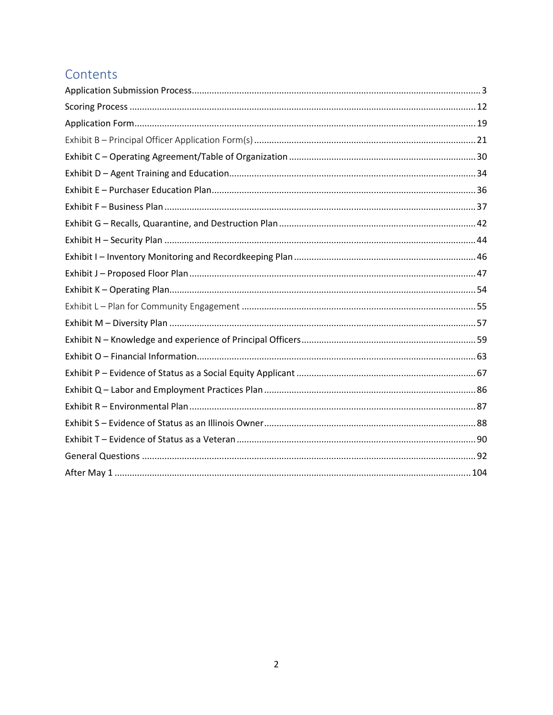# Contents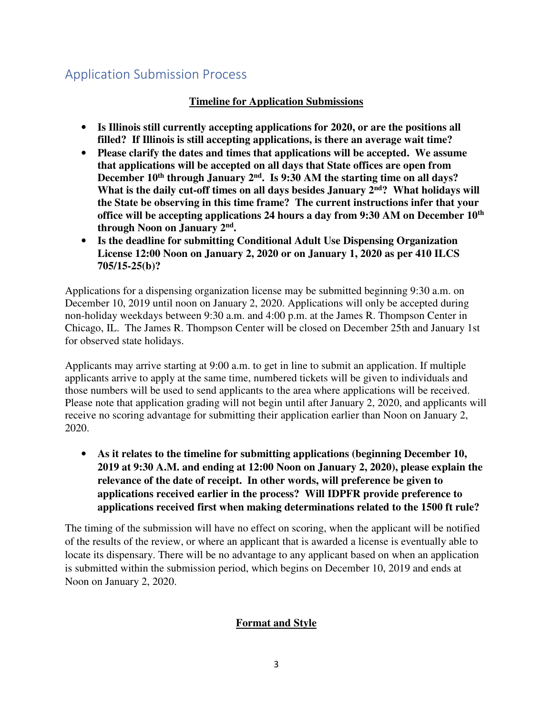## Application Submission Process

## **Timeline for Application Submissions**

- **Is Illinois still currently accepting applications for 2020, or are the positions all filled? If Illinois is still accepting applications, is there an average wait time?**
- **Please clarify the dates and times that applications will be accepted. We assume that applications will be accepted on all days that State offices are open from December 10th through January 2nd. Is 9:30 AM the starting time on all days? What is the daily cut-off times on all days besides January 2nd? What holidays will the State be observing in this time frame? The current instructions infer that your office will be accepting applications 24 hours a day from 9:30 AM on December 10th through Noon on January 2nd .**
- **Is the deadline for submitting Conditional Adult Use Dispensing Organization License 12:00 Noon on January 2, 2020 or on January 1, 2020 as per 410 ILCS 705/15-25(b)?**

Applications for a dispensing organization license may be submitted beginning 9:30 a.m. on December 10, 2019 until noon on January 2, 2020. Applications will only be accepted during non-holiday weekdays between 9:30 a.m. and 4:00 p.m. at the James R. Thompson Center in Chicago, IL. The James R. Thompson Center will be closed on December 25th and January 1st for observed state holidays.

Applicants may arrive starting at 9:00 a.m. to get in line to submit an application. If multiple applicants arrive to apply at the same time, numbered tickets will be given to individuals and those numbers will be used to send applicants to the area where applications will be received. Please note that application grading will not begin until after January 2, 2020, and applicants will receive no scoring advantage for submitting their application earlier than Noon on January 2, 2020.

• **As it relates to the timeline for submitting applications (beginning December 10, 2019 at 9:30 A.M. and ending at 12:00 Noon on January 2, 2020), please explain the relevance of the date of receipt. In other words, will preference be given to applications received earlier in the process? Will IDPFR provide preference to applications received first when making determinations related to the 1500 ft rule?** 

The timing of the submission will have no effect on scoring, when the applicant will be notified of the results of the review, or where an applicant that is awarded a license is eventually able to locate its dispensary. There will be no advantage to any applicant based on when an application is submitted within the submission period, which begins on December 10, 2019 and ends at Noon on January 2, 2020.

## **Format and Style**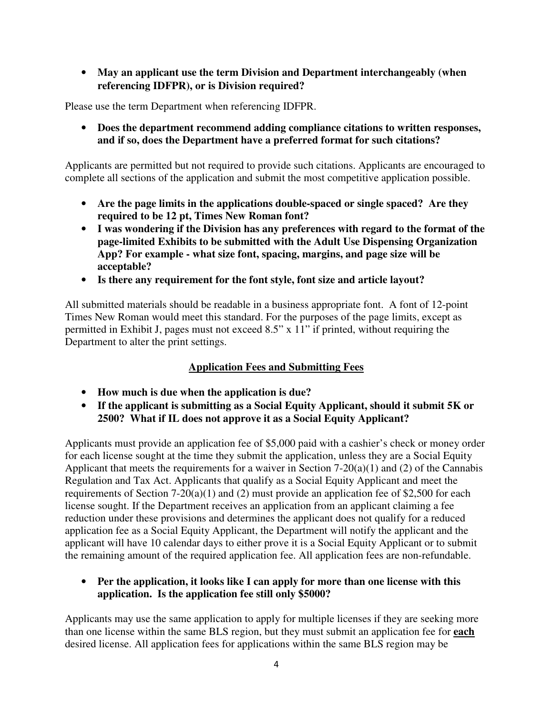• **May an applicant use the term Division and Department interchangeably (when referencing IDFPR), or is Division required?**

Please use the term Department when referencing IDFPR.

• **Does the department recommend adding compliance citations to written responses, and if so, does the Department have a preferred format for such citations?** 

Applicants are permitted but not required to provide such citations. Applicants are encouraged to complete all sections of the application and submit the most competitive application possible.

- **Are the page limits in the applications double-spaced or single spaced? Are they required to be 12 pt, Times New Roman font?**
- **I was wondering if the Division has any preferences with regard to the format of the page-limited Exhibits to be submitted with the Adult Use Dispensing Organization App? For example - what size font, spacing, margins, and page size will be acceptable?**
- **Is there any requirement for the font style, font size and article layout?**

All submitted materials should be readable in a business appropriate font. A font of 12-point Times New Roman would meet this standard. For the purposes of the page limits, except as permitted in Exhibit J, pages must not exceed 8.5" x 11" if printed, without requiring the Department to alter the print settings.

## **Application Fees and Submitting Fees**

- **How much is due when the application is due?**
- **If the applicant is submitting as a Social Equity Applicant, should it submit 5K or 2500? What if IL does not approve it as a Social Equity Applicant?**

Applicants must provide an application fee of \$5,000 paid with a cashier's check or money order for each license sought at the time they submit the application, unless they are a Social Equity Applicant that meets the requirements for a waiver in Section 7-20(a)(1) and (2) of the Cannabis Regulation and Tax Act. Applicants that qualify as a Social Equity Applicant and meet the requirements of Section 7-20(a)(1) and (2) must provide an application fee of \$2,500 for each license sought. If the Department receives an application from an applicant claiming a fee reduction under these provisions and determines the applicant does not qualify for a reduced application fee as a Social Equity Applicant, the Department will notify the applicant and the applicant will have 10 calendar days to either prove it is a Social Equity Applicant or to submit the remaining amount of the required application fee. All application fees are non-refundable.

• **Per the application, it looks like I can apply for more than one license with this application. Is the application fee still only \$5000?** 

Applicants may use the same application to apply for multiple licenses if they are seeking more than one license within the same BLS region, but they must submit an application fee for **each** desired license. All application fees for applications within the same BLS region may be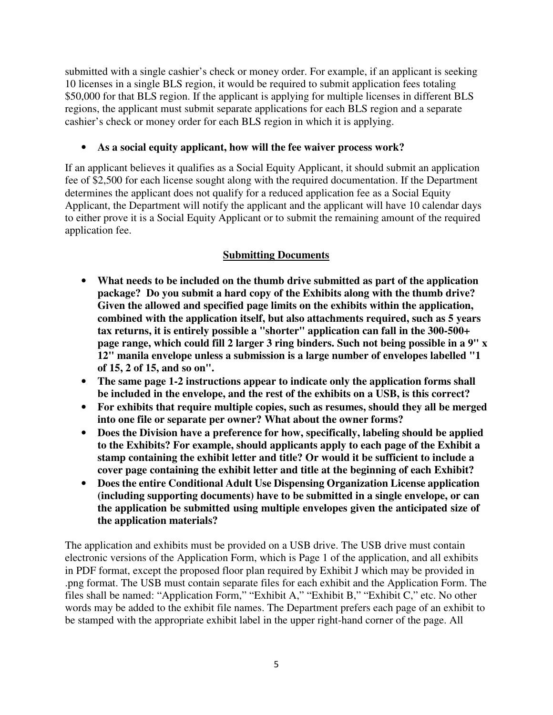submitted with a single cashier's check or money order. For example, if an applicant is seeking 10 licenses in a single BLS region, it would be required to submit application fees totaling \$50,000 for that BLS region. If the applicant is applying for multiple licenses in different BLS regions, the applicant must submit separate applications for each BLS region and a separate cashier's check or money order for each BLS region in which it is applying.

#### • **As a social equity applicant, how will the fee waiver process work?**

If an applicant believes it qualifies as a Social Equity Applicant, it should submit an application fee of \$2,500 for each license sought along with the required documentation. If the Department determines the applicant does not qualify for a reduced application fee as a Social Equity Applicant, the Department will notify the applicant and the applicant will have 10 calendar days to either prove it is a Social Equity Applicant or to submit the remaining amount of the required application fee.

## **Submitting Documents**

- **What needs to be included on the thumb drive submitted as part of the application package? Do you submit a hard copy of the Exhibits along with the thumb drive? Given the allowed and specified page limits on the exhibits within the application, combined with the application itself, but also attachments required, such as 5 years tax returns, it is entirely possible a "shorter" application can fall in the 300-500+ page range, which could fill 2 larger 3 ring binders. Such not being possible in a 9" x 12" manila envelope unless a submission is a large number of envelopes labelled "1 of 15, 2 of 15, and so on".**
- **The same page 1-2 instructions appear to indicate only the application forms shall be included in the envelope, and the rest of the exhibits on a USB, is this correct?**
- **For exhibits that require multiple copies, such as resumes, should they all be merged into one file or separate per owner? What about the owner forms?**
- **Does the Division have a preference for how, specifically, labeling should be applied to the Exhibits? For example, should applicants apply to each page of the Exhibit a stamp containing the exhibit letter and title? Or would it be sufficient to include a cover page containing the exhibit letter and title at the beginning of each Exhibit?**
- **Does the entire Conditional Adult Use Dispensing Organization License application (including supporting documents) have to be submitted in a single envelope, or can the application be submitted using multiple envelopes given the anticipated size of the application materials?**

The application and exhibits must be provided on a USB drive. The USB drive must contain electronic versions of the Application Form, which is Page 1 of the application, and all exhibits in PDF format, except the proposed floor plan required by Exhibit J which may be provided in .png format. The USB must contain separate files for each exhibit and the Application Form. The files shall be named: "Application Form," "Exhibit A," "Exhibit B," "Exhibit C," etc. No other words may be added to the exhibit file names. The Department prefers each page of an exhibit to be stamped with the appropriate exhibit label in the upper right-hand corner of the page. All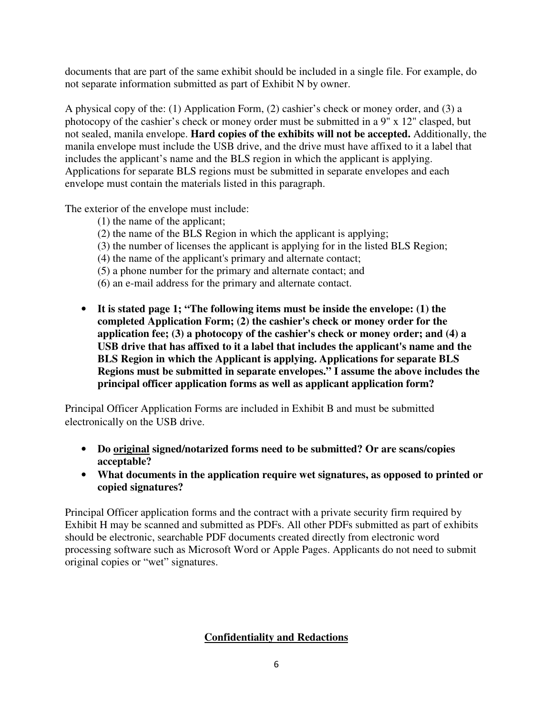documents that are part of the same exhibit should be included in a single file. For example, do not separate information submitted as part of Exhibit N by owner.

A physical copy of the: (1) Application Form, (2) cashier's check or money order, and (3) a photocopy of the cashier's check or money order must be submitted in a 9" x 12" clasped, but not sealed, manila envelope. **Hard copies of the exhibits will not be accepted.** Additionally, the manila envelope must include the USB drive, and the drive must have affixed to it a label that includes the applicant's name and the BLS region in which the applicant is applying. Applications for separate BLS regions must be submitted in separate envelopes and each envelope must contain the materials listed in this paragraph.

The exterior of the envelope must include:

- (1) the name of the applicant;
- (2) the name of the BLS Region in which the applicant is applying;
- (3) the number of licenses the applicant is applying for in the listed BLS Region;
- (4) the name of the applicant's primary and alternate contact;
- (5) a phone number for the primary and alternate contact; and
- (6) an e-mail address for the primary and alternate contact.
- **It is stated page 1; "The following items must be inside the envelope: (1) the completed Application Form; (2) the cashier's check or money order for the application fee; (3) a photocopy of the cashier's check or money order; and (4) a USB drive that has affixed to it a label that includes the applicant's name and the BLS Region in which the Applicant is applying. Applications for separate BLS Regions must be submitted in separate envelopes." I assume the above includes the principal officer application forms as well as applicant application form?**

Principal Officer Application Forms are included in Exhibit B and must be submitted electronically on the USB drive.

- **Do original signed/notarized forms need to be submitted? Or are scans/copies acceptable?**
- **What documents in the application require wet signatures, as opposed to printed or copied signatures?**

Principal Officer application forms and the contract with a private security firm required by Exhibit H may be scanned and submitted as PDFs. All other PDFs submitted as part of exhibits should be electronic, searchable PDF documents created directly from electronic word processing software such as Microsoft Word or Apple Pages. Applicants do not need to submit original copies or "wet" signatures.

## **Confidentiality and Redactions**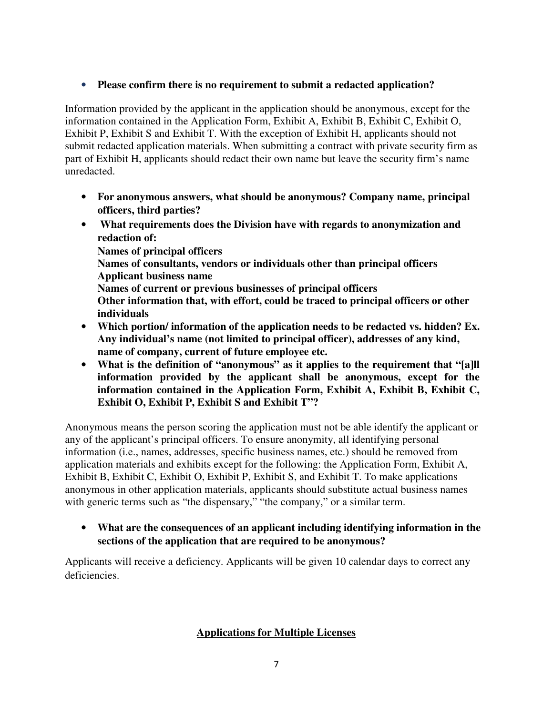#### • **Please confirm there is no requirement to submit a redacted application?**

Information provided by the applicant in the application should be anonymous, except for the information contained in the Application Form, Exhibit A, Exhibit B, Exhibit C, Exhibit O, Exhibit P, Exhibit S and Exhibit T. With the exception of Exhibit H, applicants should not submit redacted application materials. When submitting a contract with private security firm as part of Exhibit H, applicants should redact their own name but leave the security firm's name unredacted.

- **For anonymous answers, what should be anonymous? Company name, principal officers, third parties?**
- • **What requirements does the Division have with regards to anonymization and redaction of: Names of principal officers Names of consultants, vendors or individuals other than principal officers Applicant business name Names of current or previous businesses of principal officers Other information that, with effort, could be traced to principal officers or other individuals**
- **Which portion/ information of the application needs to be redacted vs. hidden? Ex. Any individual's name (not limited to principal officer), addresses of any kind, name of company, current of future employee etc.**
- **What is the definition of "anonymous" as it applies to the requirement that "[a]ll information provided by the applicant shall be anonymous, except for the information contained in the Application Form, Exhibit A, Exhibit B, Exhibit C, Exhibit O, Exhibit P, Exhibit S and Exhibit T"?**

Anonymous means the person scoring the application must not be able identify the applicant or any of the applicant's principal officers. To ensure anonymity, all identifying personal information (i.e., names, addresses, specific business names, etc.) should be removed from application materials and exhibits except for the following: the Application Form, Exhibit A, Exhibit B, Exhibit C, Exhibit O, Exhibit P, Exhibit S, and Exhibit T. To make applications anonymous in other application materials, applicants should substitute actual business names with generic terms such as "the dispensary," "the company," or a similar term.

• **What are the consequences of an applicant including identifying information in the sections of the application that are required to be anonymous?** 

Applicants will receive a deficiency. Applicants will be given 10 calendar days to correct any deficiencies.

#### **Applications for Multiple Licenses**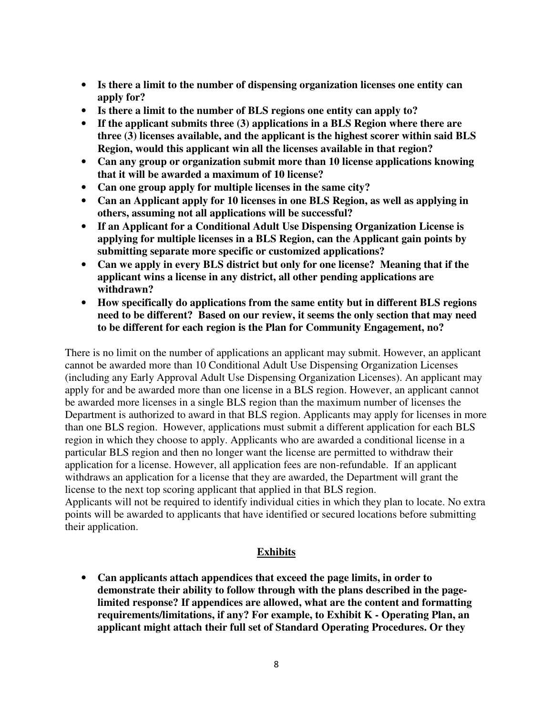- **Is there a limit to the number of dispensing organization licenses one entity can apply for?**
- **Is there a limit to the number of BLS regions one entity can apply to?**
- **If the applicant submits three (3) applications in a BLS Region where there are three (3) licenses available, and the applicant is the highest scorer within said BLS Region, would this applicant win all the licenses available in that region?**
- **Can any group or organization submit more than 10 license applications knowing that it will be awarded a maximum of 10 license?**
- **Can one group apply for multiple licenses in the same city?**
- **Can an Applicant apply for 10 licenses in one BLS Region, as well as applying in others, assuming not all applications will be successful?**
- **If an Applicant for a Conditional Adult Use Dispensing Organization License is applying for multiple licenses in a BLS Region, can the Applicant gain points by submitting separate more specific or customized applications?**
- **Can we apply in every BLS district but only for one license? Meaning that if the applicant wins a license in any district, all other pending applications are withdrawn?**
- **How specifically do applications from the same entity but in different BLS regions need to be different? Based on our review, it seems the only section that may need to be different for each region is the Plan for Community Engagement, no?**

There is no limit on the number of applications an applicant may submit. However, an applicant cannot be awarded more than 10 Conditional Adult Use Dispensing Organization Licenses (including any Early Approval Adult Use Dispensing Organization Licenses). An applicant may apply for and be awarded more than one license in a BLS region. However, an applicant cannot be awarded more licenses in a single BLS region than the maximum number of licenses the Department is authorized to award in that BLS region. Applicants may apply for licenses in more than one BLS region. However, applications must submit a different application for each BLS region in which they choose to apply. Applicants who are awarded a conditional license in a particular BLS region and then no longer want the license are permitted to withdraw their application for a license. However, all application fees are non-refundable. If an applicant withdraws an application for a license that they are awarded, the Department will grant the license to the next top scoring applicant that applied in that BLS region.

Applicants will not be required to identify individual cities in which they plan to locate. No extra points will be awarded to applicants that have identified or secured locations before submitting their application.

## **Exhibits**

• **Can applicants attach appendices that exceed the page limits, in order to demonstrate their ability to follow through with the plans described in the pagelimited response? If appendices are allowed, what are the content and formatting requirements/limitations, if any? For example, to Exhibit K - Operating Plan, an applicant might attach their full set of Standard Operating Procedures. Or they**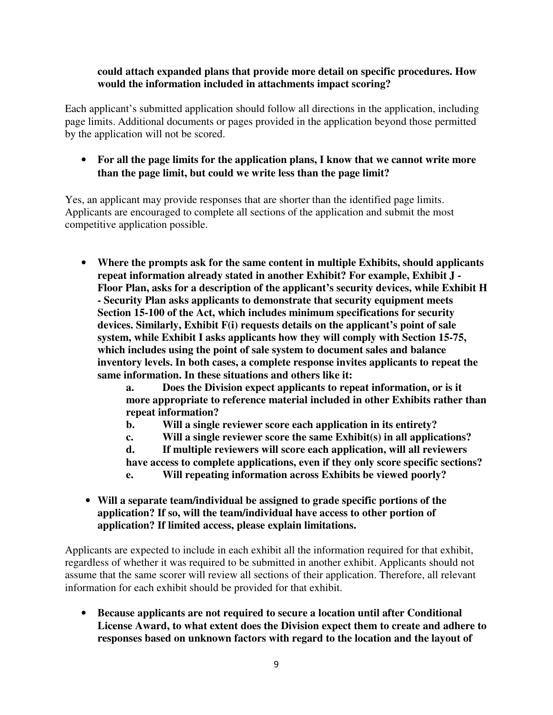#### **could attach expanded plans that provide more detail on specific procedures. How would the information included in attachments impact scoring?**

Each applicant's submitted application should follow all directions in the application, including page limits. Additional documents or pages provided in the application beyond those permitted by the application will not be scored.

• **For all the page limits for the application plans, I know that we cannot write more than the page limit, but could we write less than the page limit?** 

Yes, an applicant may provide responses that are shorter than the identified page limits. Applicants are encouraged to complete all sections of the application and submit the most competitive application possible.

• **Where the prompts ask for the same content in multiple Exhibits, should applicants repeat information already stated in another Exhibit? For example, Exhibit J - Floor Plan, asks for a description of the applicant's security devices, while Exhibit H - Security Plan asks applicants to demonstrate that security equipment meets Section 15-100 of the Act, which includes minimum specifications for security devices. Similarly, Exhibit F(i) requests details on the applicant's point of sale system, while Exhibit I asks applicants how they will comply with Section 15-75, which includes using the point of sale system to document sales and balance inventory levels. In both cases, a complete response invites applicants to repeat the same information. In these situations and others like it:** 

**a. Does the Division expect applicants to repeat information, or is it more appropriate to reference material included in other Exhibits rather than repeat information?** 

- **b. Will a single reviewer score each application in its entirety?**
- **c. Will a single reviewer score the same Exhibit(s) in all applications?**
- **d. If multiple reviewers will score each application, will all reviewers**

**have access to complete applications, even if they only score specific sections? e. Will repeating information across Exhibits be viewed poorly?** 

• **Will a separate team/individual be assigned to grade specific portions of the application? If so, will the team/individual have access to other portion of application? If limited access, please explain limitations.** 

Applicants are expected to include in each exhibit all the information required for that exhibit, regardless of whether it was required to be submitted in another exhibit. Applicants should not assume that the same scorer will review all sections of their application. Therefore, all relevant information for each exhibit should be provided for that exhibit.

• **Because applicants are not required to secure a location until after Conditional License Award, to what extent does the Division expect them to create and adhere to responses based on unknown factors with regard to the location and the layout of**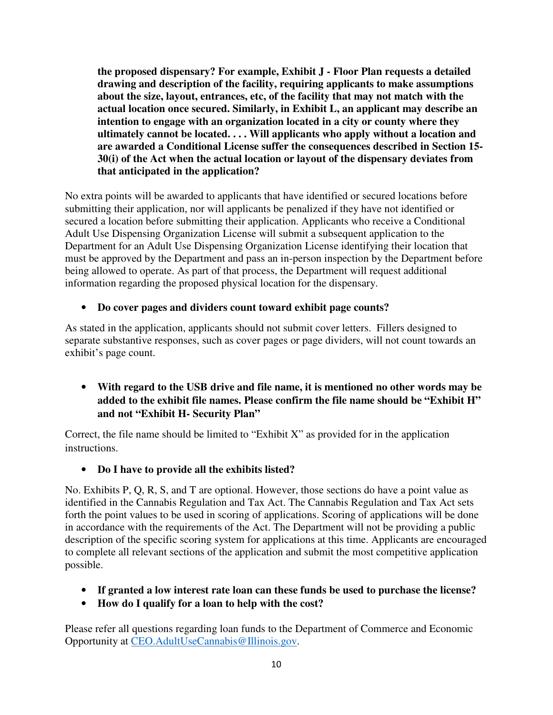**the proposed dispensary? For example, Exhibit J - Floor Plan requests a detailed drawing and description of the facility, requiring applicants to make assumptions about the size, layout, entrances, etc, of the facility that may not match with the actual location once secured. Similarly, in Exhibit L, an applicant may describe an intention to engage with an organization located in a city or county where they ultimately cannot be located. . . . Will applicants who apply without a location and are awarded a Conditional License suffer the consequences described in Section 15- 30(i) of the Act when the actual location or layout of the dispensary deviates from that anticipated in the application?** 

No extra points will be awarded to applicants that have identified or secured locations before submitting their application, nor will applicants be penalized if they have not identified or secured a location before submitting their application. Applicants who receive a Conditional Adult Use Dispensing Organization License will submit a subsequent application to the Department for an Adult Use Dispensing Organization License identifying their location that must be approved by the Department and pass an in-person inspection by the Department before being allowed to operate. As part of that process, the Department will request additional information regarding the proposed physical location for the dispensary.

#### • **Do cover pages and dividers count toward exhibit page counts?**

As stated in the application, applicants should not submit cover letters. Fillers designed to separate substantive responses, such as cover pages or page dividers, will not count towards an exhibit's page count.

## • **With regard to the USB drive and file name, it is mentioned no other words may be added to the exhibit file names. Please confirm the file name should be "Exhibit H" and not "Exhibit H- Security Plan"**

Correct, the file name should be limited to "Exhibit X" as provided for in the application instructions.

• **Do I have to provide all the exhibits listed?**

No. Exhibits P, Q, R, S, and T are optional. However, those sections do have a point value as identified in the Cannabis Regulation and Tax Act. The Cannabis Regulation and Tax Act sets forth the point values to be used in scoring of applications. Scoring of applications will be done in accordance with the requirements of the Act. The Department will not be providing a public description of the specific scoring system for applications at this time. Applicants are encouraged to complete all relevant sections of the application and submit the most competitive application possible.

- **If granted a low interest rate loan can these funds be used to purchase the license?**
- **How do I qualify for a loan to help with the cost?**

Please refer all questions regarding loan funds to the Department of Commerce and Economic Opportunity at CEO.AdultUseCannabis@Illinois.gov.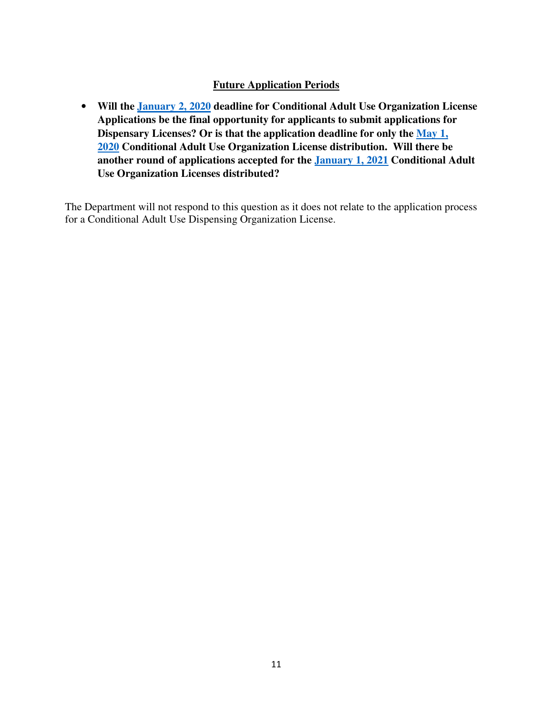#### **Future Application Periods**

• **Will the January 2, 2020 deadline for Conditional Adult Use Organization License Applications be the final opportunity for applicants to submit applications for Dispensary Licenses? Or is that the application deadline for only the May 1, 2020 Conditional Adult Use Organization License distribution. Will there be another round of applications accepted for the January 1, 2021 Conditional Adult Use Organization Licenses distributed?** 

The Department will not respond to this question as it does not relate to the application process for a Conditional Adult Use Dispensing Organization License.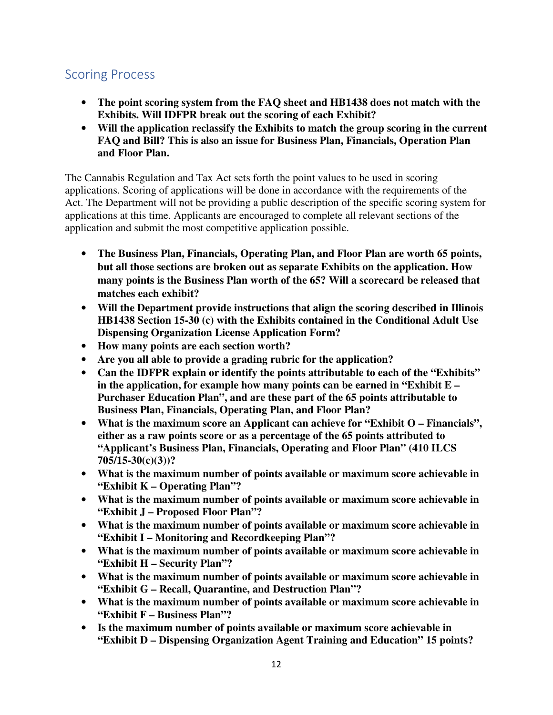## Scoring Process

- **The point scoring system from the FAQ sheet and HB1438 does not match with the Exhibits. Will IDFPR break out the scoring of each Exhibit?**
- **Will the application reclassify the Exhibits to match the group scoring in the current FAQ and Bill? This is also an issue for Business Plan, Financials, Operation Plan and Floor Plan.**

The Cannabis Regulation and Tax Act sets forth the point values to be used in scoring applications. Scoring of applications will be done in accordance with the requirements of the Act. The Department will not be providing a public description of the specific scoring system for applications at this time. Applicants are encouraged to complete all relevant sections of the application and submit the most competitive application possible.

- **The Business Plan, Financials, Operating Plan, and Floor Plan are worth 65 points, but all those sections are broken out as separate Exhibits on the application. How many points is the Business Plan worth of the 65? Will a scorecard be released that matches each exhibit?**
- **Will the Department provide instructions that align the scoring described in Illinois HB1438 Section 15-30 (c) with the Exhibits contained in the Conditional Adult Use Dispensing Organization License Application Form?**
- **How many points are each section worth?**
- **Are you all able to provide a grading rubric for the application?**
- **Can the IDFPR explain or identify the points attributable to each of the "Exhibits" in the application, for example how many points can be earned in "Exhibit E – Purchaser Education Plan", and are these part of the 65 points attributable to Business Plan, Financials, Operating Plan, and Floor Plan?**
- **What is the maximum score an Applicant can achieve for "Exhibit O Financials", either as a raw points score or as a percentage of the 65 points attributed to "Applicant's Business Plan, Financials, Operating and Floor Plan" (410 ILCS 705/15-30(c)(3))?**
- **What is the maximum number of points available or maximum score achievable in "Exhibit K – Operating Plan"?**
- **What is the maximum number of points available or maximum score achievable in "Exhibit J – Proposed Floor Plan"?**
- **What is the maximum number of points available or maximum score achievable in "Exhibit I – Monitoring and Recordkeeping Plan"?**
- **What is the maximum number of points available or maximum score achievable in "Exhibit H – Security Plan"?**
- **What is the maximum number of points available or maximum score achievable in "Exhibit G – Recall, Quarantine, and Destruction Plan"?**
- **What is the maximum number of points available or maximum score achievable in "Exhibit F – Business Plan"?**
- **Is the maximum number of points available or maximum score achievable in "Exhibit D – Dispensing Organization Agent Training and Education" 15 points?**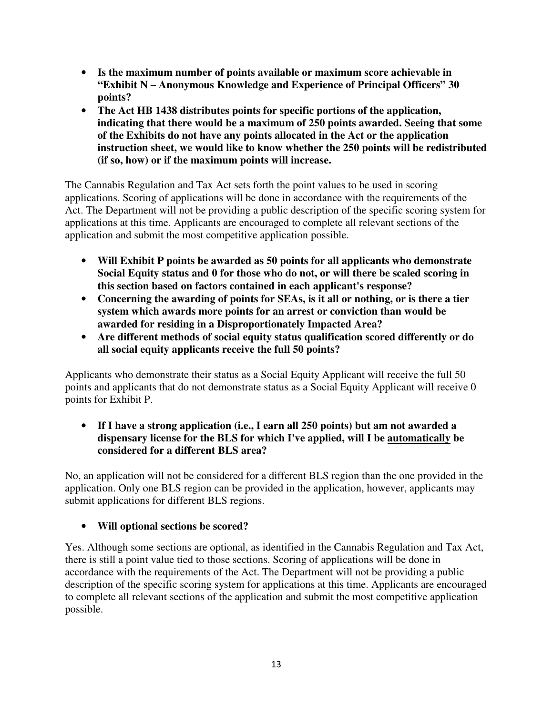- **Is the maximum number of points available or maximum score achievable in "Exhibit N – Anonymous Knowledge and Experience of Principal Officers" 30 points?**
- **The Act HB 1438 distributes points for specific portions of the application, indicating that there would be a maximum of 250 points awarded. Seeing that some of the Exhibits do not have any points allocated in the Act or the application instruction sheet, we would like to know whether the 250 points will be redistributed (if so, how) or if the maximum points will increase.**

The Cannabis Regulation and Tax Act sets forth the point values to be used in scoring applications. Scoring of applications will be done in accordance with the requirements of the Act. The Department will not be providing a public description of the specific scoring system for applications at this time. Applicants are encouraged to complete all relevant sections of the application and submit the most competitive application possible.

- **Will Exhibit P points be awarded as 50 points for all applicants who demonstrate Social Equity status and 0 for those who do not, or will there be scaled scoring in this section based on factors contained in each applicant's response?**
- **Concerning the awarding of points for SEAs, is it all or nothing, or is there a tier system which awards more points for an arrest or conviction than would be awarded for residing in a Disproportionately Impacted Area?**
- **Are different methods of social equity status qualification scored differently or do all social equity applicants receive the full 50 points?**

Applicants who demonstrate their status as a Social Equity Applicant will receive the full 50 points and applicants that do not demonstrate status as a Social Equity Applicant will receive 0 points for Exhibit P.

#### • **If I have a strong application (i.e., I earn all 250 points) but am not awarded a dispensary license for the BLS for which I've applied, will I be automatically be considered for a different BLS area?**

No, an application will not be considered for a different BLS region than the one provided in the application. Only one BLS region can be provided in the application, however, applicants may submit applications for different BLS regions.

## • **Will optional sections be scored?**

Yes. Although some sections are optional, as identified in the Cannabis Regulation and Tax Act, there is still a point value tied to those sections. Scoring of applications will be done in accordance with the requirements of the Act. The Department will not be providing a public description of the specific scoring system for applications at this time. Applicants are encouraged to complete all relevant sections of the application and submit the most competitive application possible.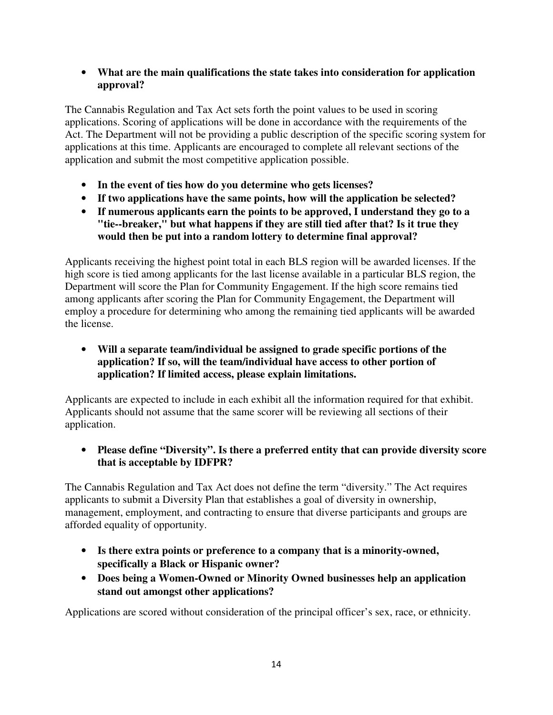#### • **What are the main qualifications the state takes into consideration for application approval?**

The Cannabis Regulation and Tax Act sets forth the point values to be used in scoring applications. Scoring of applications will be done in accordance with the requirements of the Act. The Department will not be providing a public description of the specific scoring system for applications at this time. Applicants are encouraged to complete all relevant sections of the application and submit the most competitive application possible.

- **In the event of ties how do you determine who gets licenses?**
- **If two applications have the same points, how will the application be selected?**
- **If numerous applicants earn the points to be approved, I understand they go to a "tie--breaker," but what happens if they are still tied after that? Is it true they would then be put into a random lottery to determine final approval?**

Applicants receiving the highest point total in each BLS region will be awarded licenses. If the high score is tied among applicants for the last license available in a particular BLS region, the Department will score the Plan for Community Engagement. If the high score remains tied among applicants after scoring the Plan for Community Engagement, the Department will employ a procedure for determining who among the remaining tied applicants will be awarded the license.

• **Will a separate team/individual be assigned to grade specific portions of the application? If so, will the team/individual have access to other portion of application? If limited access, please explain limitations.** 

Applicants are expected to include in each exhibit all the information required for that exhibit. Applicants should not assume that the same scorer will be reviewing all sections of their application.

• **Please define "Diversity". Is there a preferred entity that can provide diversity score that is acceptable by IDFPR?** 

The Cannabis Regulation and Tax Act does not define the term "diversity." The Act requires applicants to submit a Diversity Plan that establishes a goal of diversity in ownership, management, employment, and contracting to ensure that diverse participants and groups are afforded equality of opportunity.

- **Is there extra points or preference to a company that is a minority-owned, specifically a Black or Hispanic owner?**
- **Does being a Women-Owned or Minority Owned businesses help an application stand out amongst other applications?**

Applications are scored without consideration of the principal officer's sex, race, or ethnicity.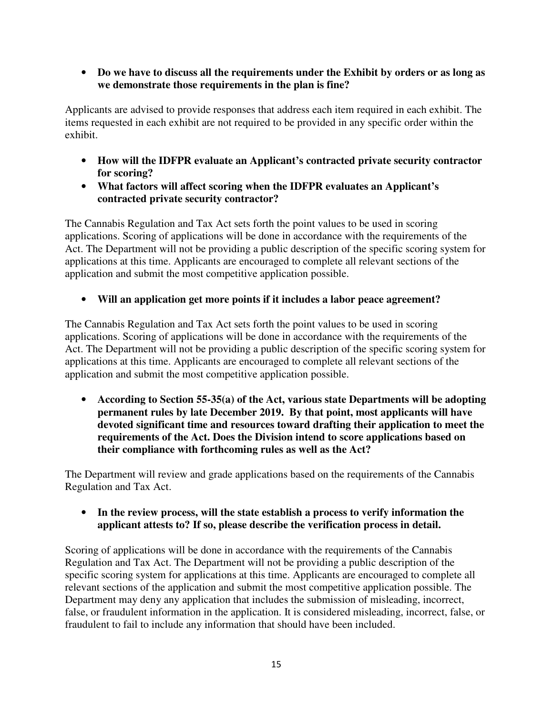• **Do we have to discuss all the requirements under the Exhibit by orders or as long as we demonstrate those requirements in the plan is fine?** 

Applicants are advised to provide responses that address each item required in each exhibit. The items requested in each exhibit are not required to be provided in any specific order within the exhibit.

- **How will the IDFPR evaluate an Applicant's contracted private security contractor for scoring?**
- **What factors will affect scoring when the IDFPR evaluates an Applicant's contracted private security contractor?**

The Cannabis Regulation and Tax Act sets forth the point values to be used in scoring applications. Scoring of applications will be done in accordance with the requirements of the Act. The Department will not be providing a public description of the specific scoring system for applications at this time. Applicants are encouraged to complete all relevant sections of the application and submit the most competitive application possible.

#### • **Will an application get more points if it includes a labor peace agreement?**

The Cannabis Regulation and Tax Act sets forth the point values to be used in scoring applications. Scoring of applications will be done in accordance with the requirements of the Act. The Department will not be providing a public description of the specific scoring system for applications at this time. Applicants are encouraged to complete all relevant sections of the application and submit the most competitive application possible.

• **According to Section 55-35(a) of the Act, various state Departments will be adopting permanent rules by late December 2019. By that point, most applicants will have devoted significant time and resources toward drafting their application to meet the requirements of the Act. Does the Division intend to score applications based on their compliance with forthcoming rules as well as the Act?** 

The Department will review and grade applications based on the requirements of the Cannabis Regulation and Tax Act.

• **In the review process, will the state establish a process to verify information the applicant attests to? If so, please describe the verification process in detail.** 

Scoring of applications will be done in accordance with the requirements of the Cannabis Regulation and Tax Act. The Department will not be providing a public description of the specific scoring system for applications at this time. Applicants are encouraged to complete all relevant sections of the application and submit the most competitive application possible. The Department may deny any application that includes the submission of misleading, incorrect, false, or fraudulent information in the application. It is considered misleading, incorrect, false, or fraudulent to fail to include any information that should have been included.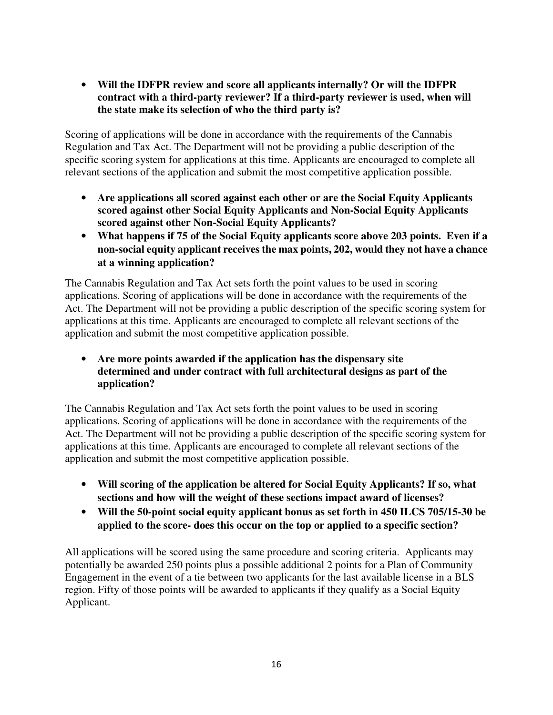• **Will the IDFPR review and score all applicants internally? Or will the IDFPR contract with a third-party reviewer? If a third-party reviewer is used, when will the state make its selection of who the third party is?** 

Scoring of applications will be done in accordance with the requirements of the Cannabis Regulation and Tax Act. The Department will not be providing a public description of the specific scoring system for applications at this time. Applicants are encouraged to complete all relevant sections of the application and submit the most competitive application possible.

- **Are applications all scored against each other or are the Social Equity Applicants scored against other Social Equity Applicants and Non-Social Equity Applicants scored against other Non-Social Equity Applicants?**
- **What happens if 75 of the Social Equity applicants score above 203 points. Even if a non-social equity applicant receives the max points, 202, would they not have a chance at a winning application?**

The Cannabis Regulation and Tax Act sets forth the point values to be used in scoring applications. Scoring of applications will be done in accordance with the requirements of the Act. The Department will not be providing a public description of the specific scoring system for applications at this time. Applicants are encouraged to complete all relevant sections of the application and submit the most competitive application possible.

• **Are more points awarded if the application has the dispensary site determined and under contract with full architectural designs as part of the application?** 

The Cannabis Regulation and Tax Act sets forth the point values to be used in scoring applications. Scoring of applications will be done in accordance with the requirements of the Act. The Department will not be providing a public description of the specific scoring system for applications at this time. Applicants are encouraged to complete all relevant sections of the application and submit the most competitive application possible.

- **Will scoring of the application be altered for Social Equity Applicants? If so, what sections and how will the weight of these sections impact award of licenses?**
- **Will the 50-point social equity applicant bonus as set forth in 450 ILCS 705/15-30 be applied to the score- does this occur on the top or applied to a specific section?**

All applications will be scored using the same procedure and scoring criteria. Applicants may potentially be awarded 250 points plus a possible additional 2 points for a Plan of Community Engagement in the event of a tie between two applicants for the last available license in a BLS region. Fifty of those points will be awarded to applicants if they qualify as a Social Equity Applicant.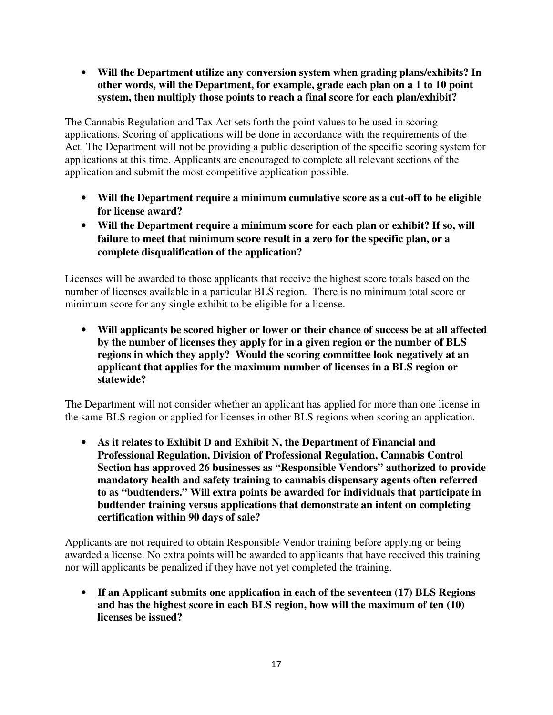• **Will the Department utilize any conversion system when grading plans/exhibits? In other words, will the Department, for example, grade each plan on a 1 to 10 point system, then multiply those points to reach a final score for each plan/exhibit?** 

The Cannabis Regulation and Tax Act sets forth the point values to be used in scoring applications. Scoring of applications will be done in accordance with the requirements of the Act. The Department will not be providing a public description of the specific scoring system for applications at this time. Applicants are encouraged to complete all relevant sections of the application and submit the most competitive application possible.

- **Will the Department require a minimum cumulative score as a cut-off to be eligible for license award?**
- **Will the Department require a minimum score for each plan or exhibit? If so, will failure to meet that minimum score result in a zero for the specific plan, or a complete disqualification of the application?**

Licenses will be awarded to those applicants that receive the highest score totals based on the number of licenses available in a particular BLS region. There is no minimum total score or minimum score for any single exhibit to be eligible for a license.

• **Will applicants be scored higher or lower or their chance of success be at all affected by the number of licenses they apply for in a given region or the number of BLS regions in which they apply? Would the scoring committee look negatively at an applicant that applies for the maximum number of licenses in a BLS region or statewide?** 

The Department will not consider whether an applicant has applied for more than one license in the same BLS region or applied for licenses in other BLS regions when scoring an application.

• **As it relates to Exhibit D and Exhibit N, the Department of Financial and Professional Regulation, Division of Professional Regulation, Cannabis Control Section has approved 26 businesses as "Responsible Vendors" authorized to provide mandatory health and safety training to cannabis dispensary agents often referred to as "budtenders." Will extra points be awarded for individuals that participate in budtender training versus applications that demonstrate an intent on completing certification within 90 days of sale?** 

Applicants are not required to obtain Responsible Vendor training before applying or being awarded a license. No extra points will be awarded to applicants that have received this training nor will applicants be penalized if they have not yet completed the training.

• **If an Applicant submits one application in each of the seventeen (17) BLS Regions and has the highest score in each BLS region, how will the maximum of ten (10) licenses be issued?**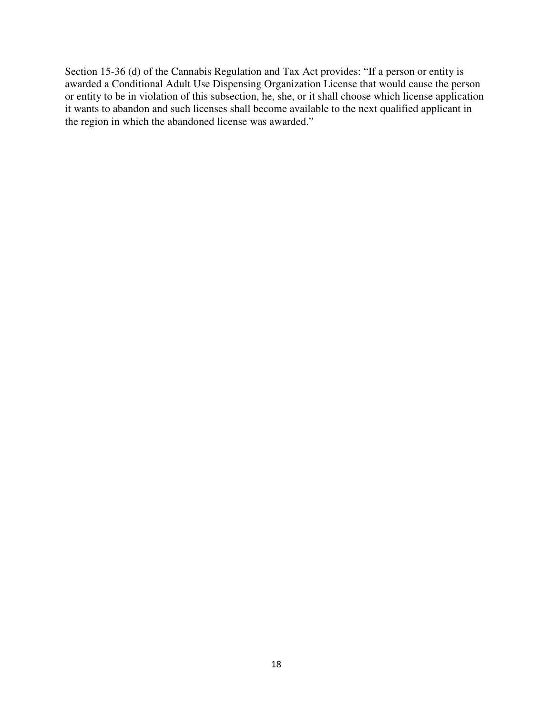Section 15-36 (d) of the Cannabis Regulation and Tax Act provides: "If a person or entity is awarded a Conditional Adult Use Dispensing Organization License that would cause the person or entity to be in violation of this subsection, he, she, or it shall choose which license application it wants to abandon and such licenses shall become available to the next qualified applicant in the region in which the abandoned license was awarded."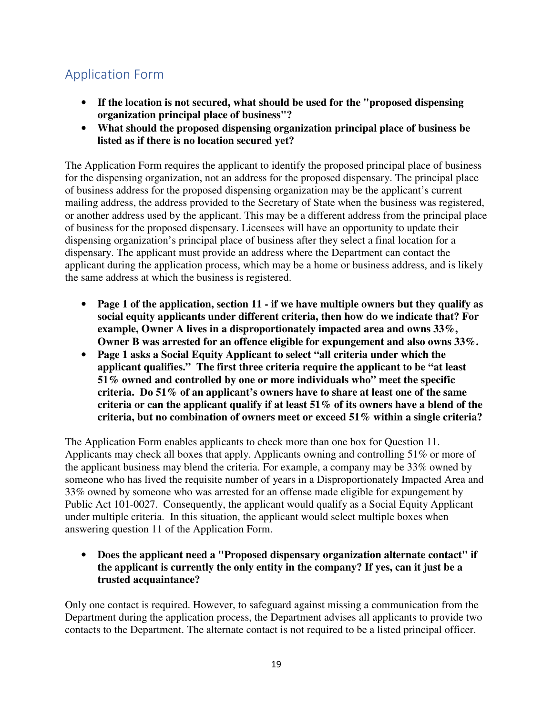# Application Form

- **If the location is not secured, what should be used for the "proposed dispensing organization principal place of business"?**
- **What should the proposed dispensing organization principal place of business be listed as if there is no location secured yet?**

The Application Form requires the applicant to identify the proposed principal place of business for the dispensing organization, not an address for the proposed dispensary. The principal place of business address for the proposed dispensing organization may be the applicant's current mailing address, the address provided to the Secretary of State when the business was registered, or another address used by the applicant. This may be a different address from the principal place of business for the proposed dispensary. Licensees will have an opportunity to update their dispensing organization's principal place of business after they select a final location for a dispensary. The applicant must provide an address where the Department can contact the applicant during the application process, which may be a home or business address, and is likely the same address at which the business is registered.

- **Page 1 of the application, section 11 if we have multiple owners but they qualify as social equity applicants under different criteria, then how do we indicate that? For example, Owner A lives in a disproportionately impacted area and owns 33%, Owner B was arrested for an offence eligible for expungement and also owns 33%.**
- **Page 1 asks a Social Equity Applicant to select "all criteria under which the applicant qualifies." The first three criteria require the applicant to be "at least 51% owned and controlled by one or more individuals who" meet the specific criteria. Do 51% of an applicant's owners have to share at least one of the same criteria or can the applicant qualify if at least 51% of its owners have a blend of the criteria, but no combination of owners meet or exceed 51% within a single criteria?**

The Application Form enables applicants to check more than one box for Question 11. Applicants may check all boxes that apply. Applicants owning and controlling 51% or more of the applicant business may blend the criteria. For example, a company may be 33% owned by someone who has lived the requisite number of years in a Disproportionately Impacted Area and 33% owned by someone who was arrested for an offense made eligible for expungement by Public Act 101-0027. Consequently, the applicant would qualify as a Social Equity Applicant under multiple criteria. In this situation, the applicant would select multiple boxes when answering question 11 of the Application Form.

• **Does the applicant need a "Proposed dispensary organization alternate contact" if the applicant is currently the only entity in the company? If yes, can it just be a trusted acquaintance?** 

Only one contact is required. However, to safeguard against missing a communication from the Department during the application process, the Department advises all applicants to provide two contacts to the Department. The alternate contact is not required to be a listed principal officer.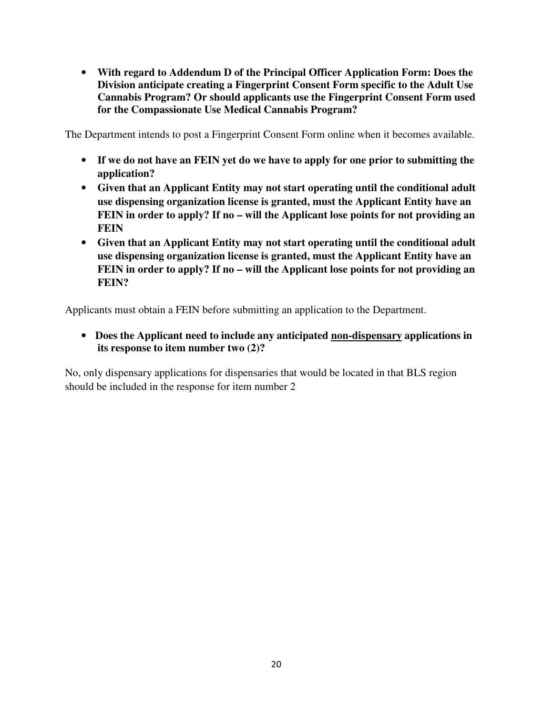• **With regard to Addendum D of the Principal Officer Application Form: Does the Division anticipate creating a Fingerprint Consent Form specific to the Adult Use Cannabis Program? Or should applicants use the Fingerprint Consent Form used for the Compassionate Use Medical Cannabis Program?**

The Department intends to post a Fingerprint Consent Form online when it becomes available.

- **If we do not have an FEIN yet do we have to apply for one prior to submitting the application?**
- **Given that an Applicant Entity may not start operating until the conditional adult use dispensing organization license is granted, must the Applicant Entity have an FEIN in order to apply? If no – will the Applicant lose points for not providing an FEIN**
- **Given that an Applicant Entity may not start operating until the conditional adult use dispensing organization license is granted, must the Applicant Entity have an FEIN in order to apply? If no – will the Applicant lose points for not providing an FEIN?**

Applicants must obtain a FEIN before submitting an application to the Department.

• **Does the Applicant need to include any anticipated non-dispensary applications in its response to item number two (2)?** 

No, only dispensary applications for dispensaries that would be located in that BLS region should be included in the response for item number 2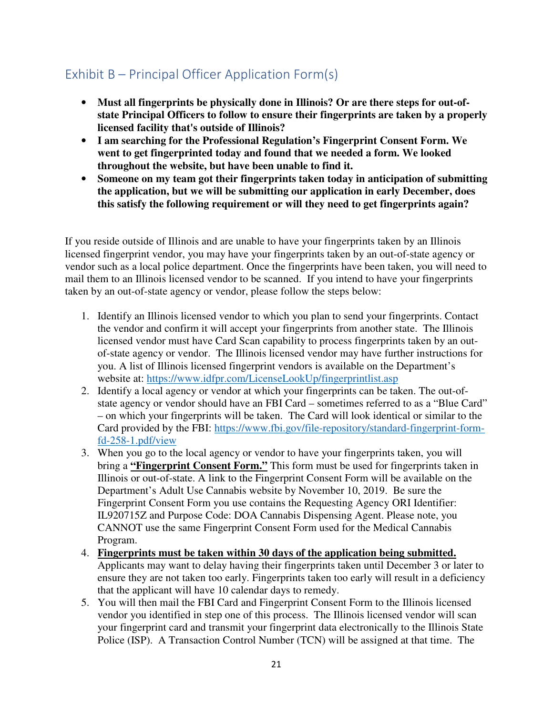# Exhibit B – Principal Officer Application Form(s)

- **Must all fingerprints be physically done in Illinois? Or are there steps for out-ofstate Principal Officers to follow to ensure their fingerprints are taken by a properly licensed facility that's outside of Illinois?**
- **I am searching for the Professional Regulation's Fingerprint Consent Form. We went to get fingerprinted today and found that we needed a form. We looked throughout the website, but have been unable to find it.**
- **Someone on my team got their fingerprints taken today in anticipation of submitting the application, but we will be submitting our application in early December, does this satisfy the following requirement or will they need to get fingerprints again?**

If you reside outside of Illinois and are unable to have your fingerprints taken by an Illinois licensed fingerprint vendor, you may have your fingerprints taken by an out-of-state agency or vendor such as a local police department. Once the fingerprints have been taken, you will need to mail them to an Illinois licensed vendor to be scanned. If you intend to have your fingerprints taken by an out-of-state agency or vendor, please follow the steps below:

- 1. Identify an Illinois licensed vendor to which you plan to send your fingerprints. Contact the vendor and confirm it will accept your fingerprints from another state. The Illinois licensed vendor must have Card Scan capability to process fingerprints taken by an outof-state agency or vendor. The Illinois licensed vendor may have further instructions for you. A list of Illinois licensed fingerprint vendors is available on the Department's website at: https://www.idfpr.com/LicenseLookUp/fingerprintlist.asp
- 2. Identify a local agency or vendor at which your fingerprints can be taken. The out-ofstate agency or vendor should have an FBI Card – sometimes referred to as a "Blue Card" – on which your fingerprints will be taken. The Card will look identical or similar to the Card provided by the FBI: https://www.fbi.gov/file-repository/standard-fingerprint-formfd-258-1.pdf/view
- 3. When you go to the local agency or vendor to have your fingerprints taken, you will bring a **"Fingerprint Consent Form."** This form must be used for fingerprints taken in Illinois or out-of-state. A link to the Fingerprint Consent Form will be available on the Department's Adult Use Cannabis website by November 10, 2019. Be sure the Fingerprint Consent Form you use contains the Requesting Agency ORI Identifier: IL920715Z and Purpose Code: DOA Cannabis Dispensing Agent. Please note, you CANNOT use the same Fingerprint Consent Form used for the Medical Cannabis Program.
- 4. **Fingerprints must be taken within 30 days of the application being submitted.** Applicants may want to delay having their fingerprints taken until December 3 or later to ensure they are not taken too early. Fingerprints taken too early will result in a deficiency that the applicant will have 10 calendar days to remedy.
- 5. You will then mail the FBI Card and Fingerprint Consent Form to the Illinois licensed vendor you identified in step one of this process. The Illinois licensed vendor will scan your fingerprint card and transmit your fingerprint data electronically to the Illinois State Police (ISP). A Transaction Control Number (TCN) will be assigned at that time. The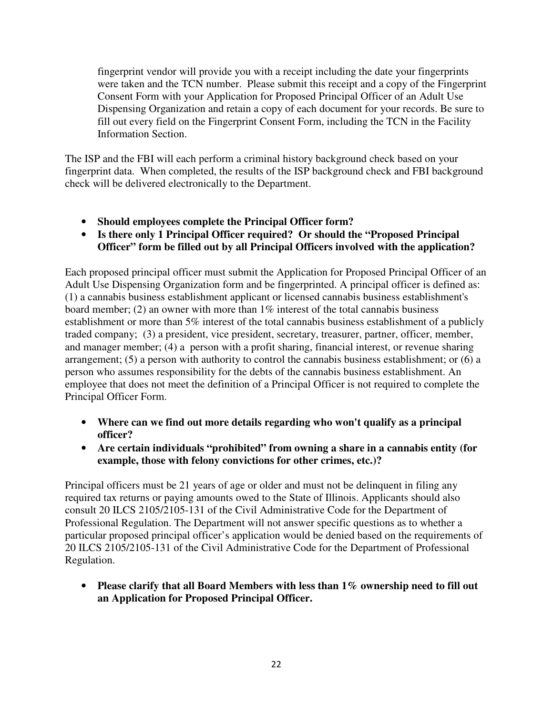fingerprint vendor will provide you with a receipt including the date your fingerprints were taken and the TCN number. Please submit this receipt and a copy of the Fingerprint Consent Form with your Application for Proposed Principal Officer of an Adult Use Dispensing Organization and retain a copy of each document for your records. Be sure to fill out every field on the Fingerprint Consent Form, including the TCN in the Facility Information Section.

The ISP and the FBI will each perform a criminal history background check based on your fingerprint data. When completed, the results of the ISP background check and FBI background check will be delivered electronically to the Department.

- **Should employees complete the Principal Officer form?**
- **Is there only 1 Principal Officer required? Or should the "Proposed Principal Officer" form be filled out by all Principal Officers involved with the application?**

Each proposed principal officer must submit the Application for Proposed Principal Officer of an Adult Use Dispensing Organization form and be fingerprinted. A principal officer is defined as: (1) a cannabis business establishment applicant or licensed cannabis business establishment's board member; (2) an owner with more than  $1\%$  interest of the total cannabis business establishment or more than 5% interest of the total cannabis business establishment of a publicly traded company; (3) a president, vice president, secretary, treasurer, partner, officer, member, and manager member; (4) a person with a profit sharing, financial interest, or revenue sharing arrangement; (5) a person with authority to control the cannabis business establishment; or (6) a person who assumes responsibility for the debts of the cannabis business establishment. An employee that does not meet the definition of a Principal Officer is not required to complete the Principal Officer Form.

- **Where can we find out more details regarding who won't qualify as a principal officer?**
- **Are certain individuals "prohibited" from owning a share in a cannabis entity (for example, those with felony convictions for other crimes, etc.)?**

Principal officers must be 21 years of age or older and must not be delinquent in filing any required tax returns or paying amounts owed to the State of Illinois. Applicants should also consult 20 ILCS 2105/2105-131 of the Civil Administrative Code for the Department of Professional Regulation. The Department will not answer specific questions as to whether a particular proposed principal officer's application would be denied based on the requirements of 20 ILCS 2105/2105-131 of the Civil Administrative Code for the Department of Professional Regulation.

• **Please clarify that all Board Members with less than 1% ownership need to fill out an Application for Proposed Principal Officer.**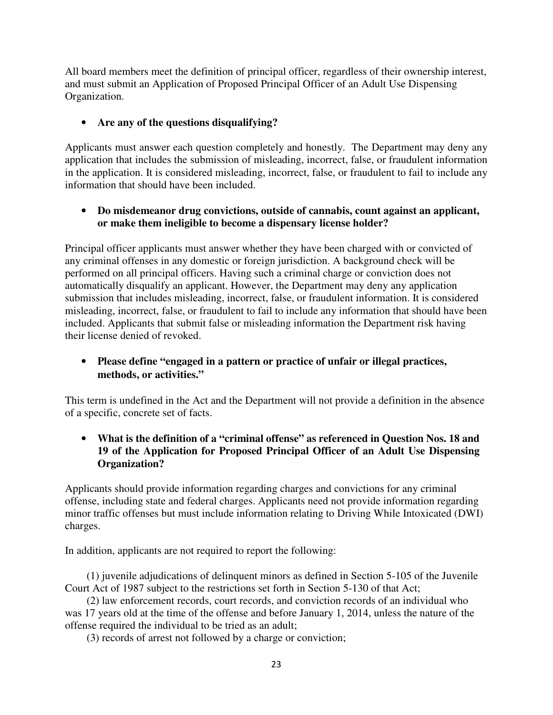All board members meet the definition of principal officer, regardless of their ownership interest, and must submit an Application of Proposed Principal Officer of an Adult Use Dispensing Organization.

#### • **Are any of the questions disqualifying?**

Applicants must answer each question completely and honestly. The Department may deny any application that includes the submission of misleading, incorrect, false, or fraudulent information in the application. It is considered misleading, incorrect, false, or fraudulent to fail to include any information that should have been included.

#### • **Do misdemeanor drug convictions, outside of cannabis, count against an applicant, or make them ineligible to become a dispensary license holder?**

Principal officer applicants must answer whether they have been charged with or convicted of any criminal offenses in any domestic or foreign jurisdiction. A background check will be performed on all principal officers. Having such a criminal charge or conviction does not automatically disqualify an applicant. However, the Department may deny any application submission that includes misleading, incorrect, false, or fraudulent information. It is considered misleading, incorrect, false, or fraudulent to fail to include any information that should have been included. Applicants that submit false or misleading information the Department risk having their license denied of revoked.

#### • **Please define "engaged in a pattern or practice of unfair or illegal practices, methods, or activities."**

This term is undefined in the Act and the Department will not provide a definition in the absence of a specific, concrete set of facts.

• **What is the definition of a "criminal offense" as referenced in Question Nos. 18 and 19 of the Application for Proposed Principal Officer of an Adult Use Dispensing Organization?** 

Applicants should provide information regarding charges and convictions for any criminal offense, including state and federal charges. Applicants need not provide information regarding minor traffic offenses but must include information relating to Driving While Intoxicated (DWI) charges.

In addition, applicants are not required to report the following:

 (1) juvenile adjudications of delinquent minors as defined in Section 5-105 of the Juvenile Court Act of 1987 subject to the restrictions set forth in Section 5-130 of that Act;

 (2) law enforcement records, court records, and conviction records of an individual who was 17 years old at the time of the offense and before January 1, 2014, unless the nature of the offense required the individual to be tried as an adult;

(3) records of arrest not followed by a charge or conviction;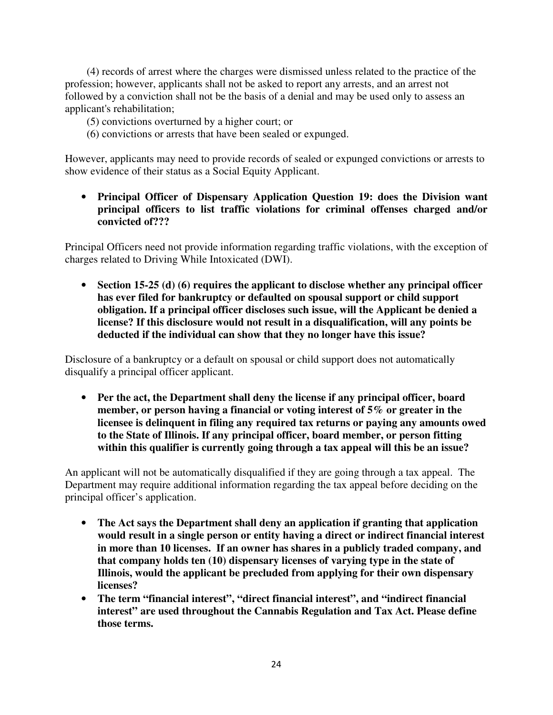(4) records of arrest where the charges were dismissed unless related to the practice of the profession; however, applicants shall not be asked to report any arrests, and an arrest not followed by a conviction shall not be the basis of a denial and may be used only to assess an applicant's rehabilitation;

- (5) convictions overturned by a higher court; or
- (6) convictions or arrests that have been sealed or expunged.

However, applicants may need to provide records of sealed or expunged convictions or arrests to show evidence of their status as a Social Equity Applicant.

• **Principal Officer of Dispensary Application Question 19: does the Division want principal officers to list traffic violations for criminal offenses charged and/or convicted of???** 

Principal Officers need not provide information regarding traffic violations, with the exception of charges related to Driving While Intoxicated (DWI).

• **Section 15-25 (d) (6) requires the applicant to disclose whether any principal officer has ever filed for bankruptcy or defaulted on spousal support or child support obligation. If a principal officer discloses such issue, will the Applicant be denied a license? If this disclosure would not result in a disqualification, will any points be deducted if the individual can show that they no longer have this issue?** 

Disclosure of a bankruptcy or a default on spousal or child support does not automatically disqualify a principal officer applicant.

• **Per the act, the Department shall deny the license if any principal officer, board member, or person having a financial or voting interest of 5% or greater in the licensee is delinquent in filing any required tax returns or paying any amounts owed to the State of Illinois. If any principal officer, board member, or person fitting within this qualifier is currently going through a tax appeal will this be an issue?** 

An applicant will not be automatically disqualified if they are going through a tax appeal. The Department may require additional information regarding the tax appeal before deciding on the principal officer's application.

- **The Act says the Department shall deny an application if granting that application would result in a single person or entity having a direct or indirect financial interest in more than 10 licenses. If an owner has shares in a publicly traded company, and that company holds ten (10) dispensary licenses of varying type in the state of Illinois, would the applicant be precluded from applying for their own dispensary licenses?**
- **The term "financial interest", "direct financial interest", and "indirect financial interest" are used throughout the Cannabis Regulation and Tax Act. Please define those terms.**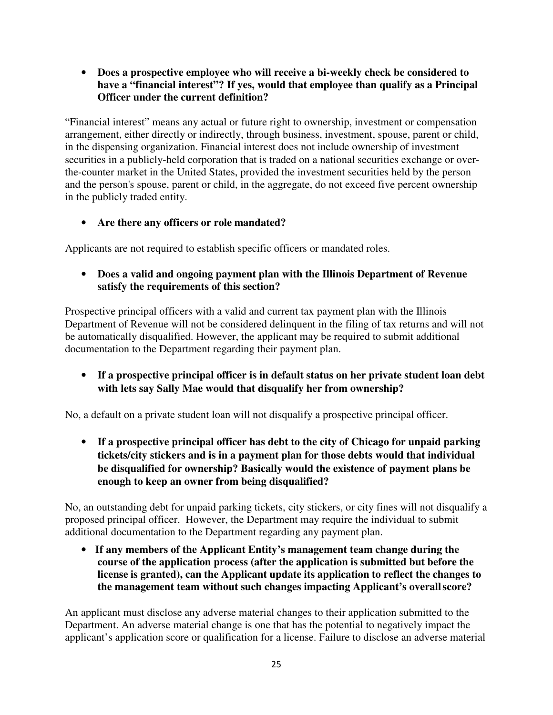• **Does a prospective employee who will receive a bi-weekly check be considered to have a "financial interest"? If yes, would that employee than qualify as a Principal Officer under the current definition?** 

"Financial interest" means any actual or future right to ownership, investment or compensation arrangement, either directly or indirectly, through business, investment, spouse, parent or child, in the dispensing organization. Financial interest does not include ownership of investment securities in a publicly-held corporation that is traded on a national securities exchange or overthe-counter market in the United States, provided the investment securities held by the person and the person's spouse, parent or child, in the aggregate, do not exceed five percent ownership in the publicly traded entity.

• **Are there any officers or role mandated?** 

Applicants are not required to establish specific officers or mandated roles.

• **Does a valid and ongoing payment plan with the Illinois Department of Revenue satisfy the requirements of this section?** 

Prospective principal officers with a valid and current tax payment plan with the Illinois Department of Revenue will not be considered delinquent in the filing of tax returns and will not be automatically disqualified. However, the applicant may be required to submit additional documentation to the Department regarding their payment plan.

• **If a prospective principal officer is in default status on her private student loan debt with lets say Sally Mae would that disqualify her from ownership?** 

No, a default on a private student loan will not disqualify a prospective principal officer.

• **If a prospective principal officer has debt to the city of Chicago for unpaid parking tickets/city stickers and is in a payment plan for those debts would that individual be disqualified for ownership? Basically would the existence of payment plans be enough to keep an owner from being disqualified?** 

No, an outstanding debt for unpaid parking tickets, city stickers, or city fines will not disqualify a proposed principal officer. However, the Department may require the individual to submit additional documentation to the Department regarding any payment plan.

• **If any members of the Applicant Entity's management team change during the course of the application process (after the application is submitted but before the license is granted), can the Applicant update its application to reflect the changes to the management team without such changes impacting Applicant's overall score?** 

An applicant must disclose any adverse material changes to their application submitted to the Department. An adverse material change is one that has the potential to negatively impact the applicant's application score or qualification for a license. Failure to disclose an adverse material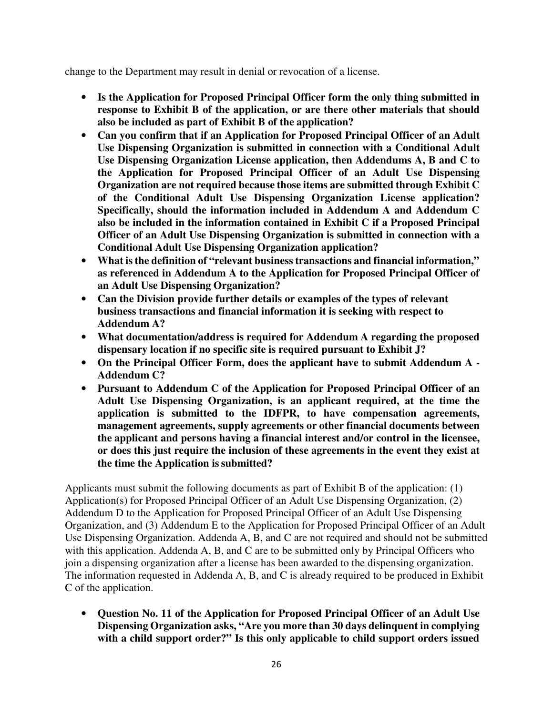change to the Department may result in denial or revocation of a license.

- **Is the Application for Proposed Principal Officer form the only thing submitted in response to Exhibit B of the application, or are there other materials that should also be included as part of Exhibit B of the application?**
- **Can you confirm that if an Application for Proposed Principal Officer of an Adult Use Dispensing Organization is submitted in connection with a Conditional Adult Use Dispensing Organization License application, then Addendums A, B and C to the Application for Proposed Principal Officer of an Adult Use Dispensing Organization are not required because those items are submitted through Exhibit C of the Conditional Adult Use Dispensing Organization License application? Specifically, should the information included in Addendum A and Addendum C also be included in the information contained in Exhibit C if a Proposed Principal Officer of an Adult Use Dispensing Organization is submitted in connection with a Conditional Adult Use Dispensing Organization application?**
- **What is the definition of "relevant business transactions and financial information," as referenced in Addendum A to the Application for Proposed Principal Officer of an Adult Use Dispensing Organization?**
- **Can the Division provide further details or examples of the types of relevant business transactions and financial information it is seeking with respect to Addendum A?**
- **What documentation/address is required for Addendum A regarding the proposed dispensary location if no specific site is required pursuant to Exhibit J?**
- **On the Principal Officer Form, does the applicant have to submit Addendum A Addendum C?**
- **Pursuant to Addendum C of the Application for Proposed Principal Officer of an Adult Use Dispensing Organization, is an applicant required, at the time the application is submitted to the IDFPR, to have compensation agreements, management agreements, supply agreements or other financial documents between the applicant and persons having a financial interest and/or control in the licensee, or does this just require the inclusion of these agreements in the event they exist at the time the Application is submitted?**

Applicants must submit the following documents as part of Exhibit B of the application: (1) Application(s) for Proposed Principal Officer of an Adult Use Dispensing Organization, (2) Addendum D to the Application for Proposed Principal Officer of an Adult Use Dispensing Organization, and (3) Addendum E to the Application for Proposed Principal Officer of an Adult Use Dispensing Organization. Addenda A, B, and C are not required and should not be submitted with this application. Addenda A, B, and C are to be submitted only by Principal Officers who join a dispensing organization after a license has been awarded to the dispensing organization. The information requested in Addenda A, B, and C is already required to be produced in Exhibit C of the application.

• **Question No. 11 of the Application for Proposed Principal Officer of an Adult Use Dispensing Organization asks, "Are you more than 30 days delinquent in complying with a child support order?" Is this only applicable to child support orders issued**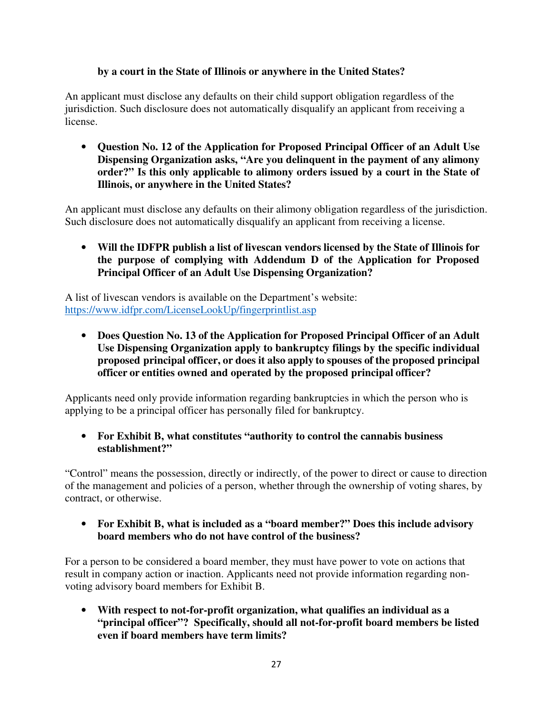#### **by a court in the State of Illinois or anywhere in the United States?**

An applicant must disclose any defaults on their child support obligation regardless of the jurisdiction. Such disclosure does not automatically disqualify an applicant from receiving a license.

• **Question No. 12 of the Application for Proposed Principal Officer of an Adult Use Dispensing Organization asks, "Are you delinquent in the payment of any alimony order?" Is this only applicable to alimony orders issued by a court in the State of Illinois, or anywhere in the United States?** 

An applicant must disclose any defaults on their alimony obligation regardless of the jurisdiction. Such disclosure does not automatically disqualify an applicant from receiving a license.

• **Will the IDFPR publish a list of livescan vendors licensed by the State of Illinois for the purpose of complying with Addendum D of the Application for Proposed Principal Officer of an Adult Use Dispensing Organization?** 

A list of livescan vendors is available on the Department's website: https://www.idfpr.com/LicenseLookUp/fingerprintlist.asp

• **Does Question No. 13 of the Application for Proposed Principal Officer of an Adult Use Dispensing Organization apply to bankruptcy filings by the specific individual proposed principal officer, or does it also apply to spouses of the proposed principal officer or entities owned and operated by the proposed principal officer?** 

Applicants need only provide information regarding bankruptcies in which the person who is applying to be a principal officer has personally filed for bankruptcy.

• **For Exhibit B, what constitutes "authority to control the cannabis business establishment?"** 

"Control" means the possession, directly or indirectly, of the power to direct or cause to direction of the management and policies of a person, whether through the ownership of voting shares, by contract, or otherwise.

• **For Exhibit B, what is included as a "board member?" Does this include advisory board members who do not have control of the business?** 

For a person to be considered a board member, they must have power to vote on actions that result in company action or inaction. Applicants need not provide information regarding nonvoting advisory board members for Exhibit B.

• **With respect to not-for-profit organization, what qualifies an individual as a "principal officer"? Specifically, should all not-for-profit board members be listed even if board members have term limits?**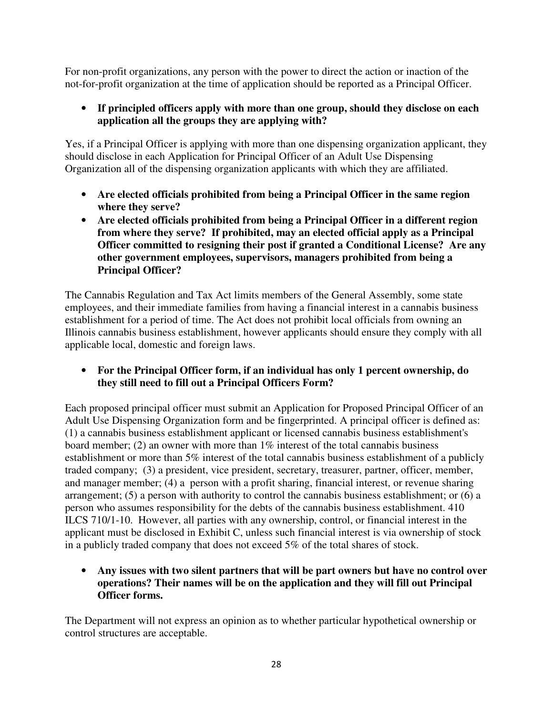For non-profit organizations, any person with the power to direct the action or inaction of the not-for-profit organization at the time of application should be reported as a Principal Officer.

• **If principled officers apply with more than one group, should they disclose on each application all the groups they are applying with?** 

Yes, if a Principal Officer is applying with more than one dispensing organization applicant, they should disclose in each Application for Principal Officer of an Adult Use Dispensing Organization all of the dispensing organization applicants with which they are affiliated.

- **Are elected officials prohibited from being a Principal Officer in the same region where they serve?**
- **Are elected officials prohibited from being a Principal Officer in a different region from where they serve? If prohibited, may an elected official apply as a Principal Officer committed to resigning their post if granted a Conditional License? Are any other government employees, supervisors, managers prohibited from being a Principal Officer?**

The Cannabis Regulation and Tax Act limits members of the General Assembly, some state employees, and their immediate families from having a financial interest in a cannabis business establishment for a period of time. The Act does not prohibit local officials from owning an Illinois cannabis business establishment, however applicants should ensure they comply with all applicable local, domestic and foreign laws.

• **For the Principal Officer form, if an individual has only 1 percent ownership, do they still need to fill out a Principal Officers Form?** 

Each proposed principal officer must submit an Application for Proposed Principal Officer of an Adult Use Dispensing Organization form and be fingerprinted. A principal officer is defined as: (1) a cannabis business establishment applicant or licensed cannabis business establishment's board member; (2) an owner with more than 1% interest of the total cannabis business establishment or more than 5% interest of the total cannabis business establishment of a publicly traded company; (3) a president, vice president, secretary, treasurer, partner, officer, member, and manager member; (4) a person with a profit sharing, financial interest, or revenue sharing arrangement; (5) a person with authority to control the cannabis business establishment; or (6) a person who assumes responsibility for the debts of the cannabis business establishment. 410 ILCS 710/1-10. However, all parties with any ownership, control, or financial interest in the applicant must be disclosed in Exhibit C, unless such financial interest is via ownership of stock in a publicly traded company that does not exceed 5% of the total shares of stock.

• **Any issues with two silent partners that will be part owners but have no control over operations? Their names will be on the application and they will fill out Principal Officer forms.** 

The Department will not express an opinion as to whether particular hypothetical ownership or control structures are acceptable.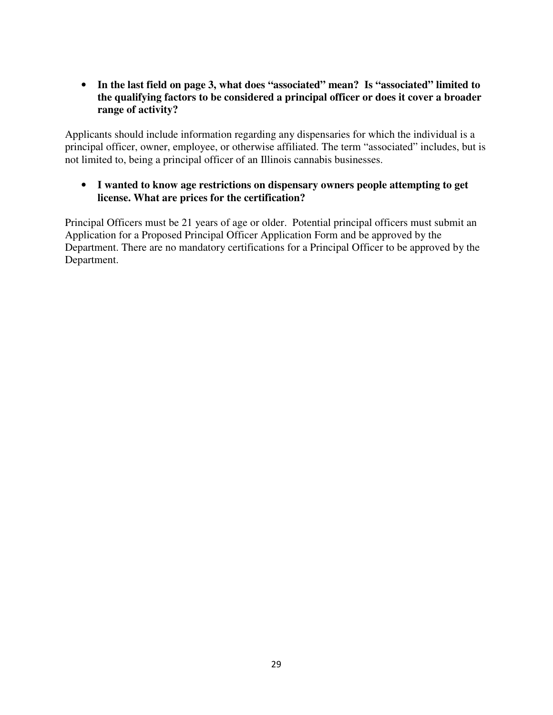• **In the last field on page 3, what does "associated" mean? Is "associated" limited to the qualifying factors to be considered a principal officer or does it cover a broader range of activity?** 

Applicants should include information regarding any dispensaries for which the individual is a principal officer, owner, employee, or otherwise affiliated. The term "associated" includes, but is not limited to, being a principal officer of an Illinois cannabis businesses.

• **I wanted to know age restrictions on dispensary owners people attempting to get license. What are prices for the certification?** 

Principal Officers must be 21 years of age or older. Potential principal officers must submit an Application for a Proposed Principal Officer Application Form and be approved by the Department. There are no mandatory certifications for a Principal Officer to be approved by the Department.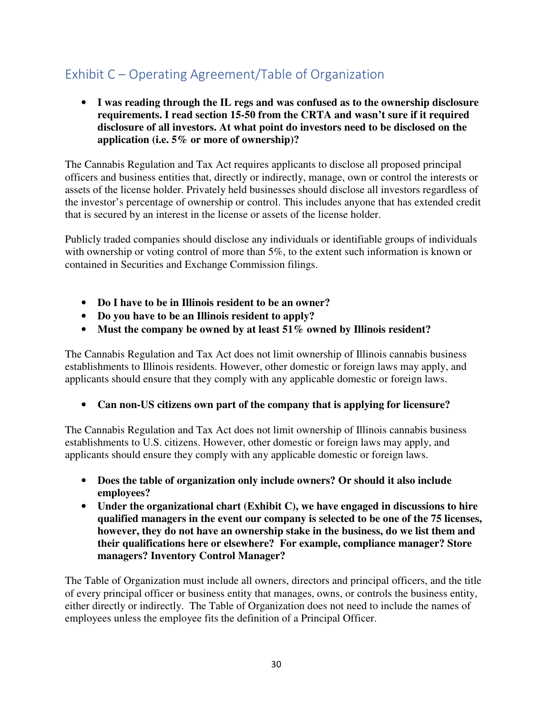# Exhibit C – Operating Agreement/Table of Organization

• **I was reading through the IL regs and was confused as to the ownership disclosure requirements. I read section 15-50 from the CRTA and wasn't sure if it required disclosure of all investors. At what point do investors need to be disclosed on the application (i.e. 5% or more of ownership)?** 

The Cannabis Regulation and Tax Act requires applicants to disclose all proposed principal officers and business entities that, directly or indirectly, manage, own or control the interests or assets of the license holder. Privately held businesses should disclose all investors regardless of the investor's percentage of ownership or control. This includes anyone that has extended credit that is secured by an interest in the license or assets of the license holder.

Publicly traded companies should disclose any individuals or identifiable groups of individuals with ownership or voting control of more than 5%, to the extent such information is known or contained in Securities and Exchange Commission filings.

- **Do I have to be in Illinois resident to be an owner?**
- **Do you have to be an Illinois resident to apply?**
- **Must the company be owned by at least 51% owned by Illinois resident?**

The Cannabis Regulation and Tax Act does not limit ownership of Illinois cannabis business establishments to Illinois residents. However, other domestic or foreign laws may apply, and applicants should ensure that they comply with any applicable domestic or foreign laws.

• **Can non-US citizens own part of the company that is applying for licensure?** 

The Cannabis Regulation and Tax Act does not limit ownership of Illinois cannabis business establishments to U.S. citizens. However, other domestic or foreign laws may apply, and applicants should ensure they comply with any applicable domestic or foreign laws.

- **Does the table of organization only include owners? Or should it also include employees?**
- **Under the organizational chart (Exhibit C), we have engaged in discussions to hire qualified managers in the event our company is selected to be one of the 75 licenses, however, they do not have an ownership stake in the business, do we list them and their qualifications here or elsewhere? For example, compliance manager? Store managers? Inventory Control Manager?**

The Table of Organization must include all owners, directors and principal officers, and the title of every principal officer or business entity that manages, owns, or controls the business entity, either directly or indirectly. The Table of Organization does not need to include the names of employees unless the employee fits the definition of a Principal Officer.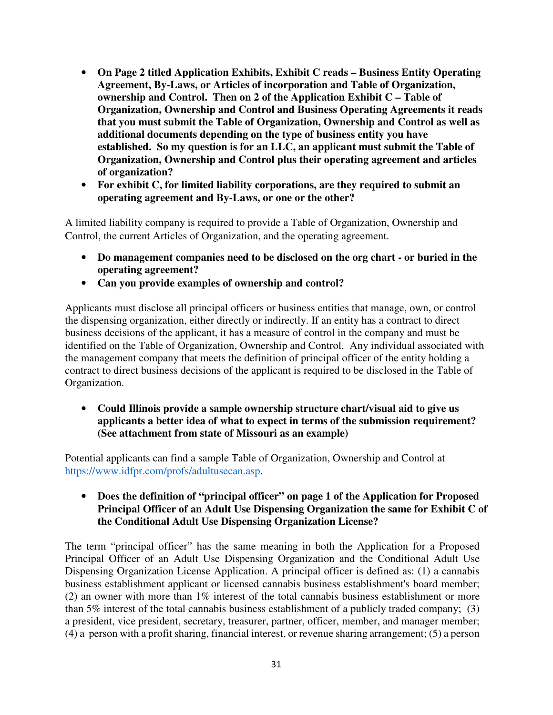- **On Page 2 titled Application Exhibits, Exhibit C reads Business Entity Operating Agreement, By-Laws, or Articles of incorporation and Table of Organization, ownership and Control. Then on 2 of the Application Exhibit C – Table of Organization, Ownership and Control and Business Operating Agreements it reads that you must submit the Table of Organization, Ownership and Control as well as additional documents depending on the type of business entity you have established. So my question is for an LLC, an applicant must submit the Table of Organization, Ownership and Control plus their operating agreement and articles of organization?**
- **For exhibit C, for limited liability corporations, are they required to submit an operating agreement and By-Laws, or one or the other?**

A limited liability company is required to provide a Table of Organization, Ownership and Control, the current Articles of Organization, and the operating agreement.

- **Do management companies need to be disclosed on the org chart or buried in the operating agreement?**
- **Can you provide examples of ownership and control?**

Applicants must disclose all principal officers or business entities that manage, own, or control the dispensing organization, either directly or indirectly. If an entity has a contract to direct business decisions of the applicant, it has a measure of control in the company and must be identified on the Table of Organization, Ownership and Control. Any individual associated with the management company that meets the definition of principal officer of the entity holding a contract to direct business decisions of the applicant is required to be disclosed in the Table of Organization.

• **Could Illinois provide a sample ownership structure chart/visual aid to give us applicants a better idea of what to expect in terms of the submission requirement? (See attachment from state of Missouri as an example)** 

Potential applicants can find a sample Table of Organization, Ownership and Control at https://www.idfpr.com/profs/adultusecan.asp.

• **Does the definition of "principal officer" on page 1 of the Application for Proposed Principal Officer of an Adult Use Dispensing Organization the same for Exhibit C of the Conditional Adult Use Dispensing Organization License?** 

The term "principal officer" has the same meaning in both the Application for a Proposed Principal Officer of an Adult Use Dispensing Organization and the Conditional Adult Use Dispensing Organization License Application. A principal officer is defined as: (1) a cannabis business establishment applicant or licensed cannabis business establishment's board member; (2) an owner with more than  $1\%$  interest of the total cannabis business establishment or more than 5% interest of the total cannabis business establishment of a publicly traded company; (3) a president, vice president, secretary, treasurer, partner, officer, member, and manager member; (4) a person with a profit sharing, financial interest, or revenue sharing arrangement; (5) a person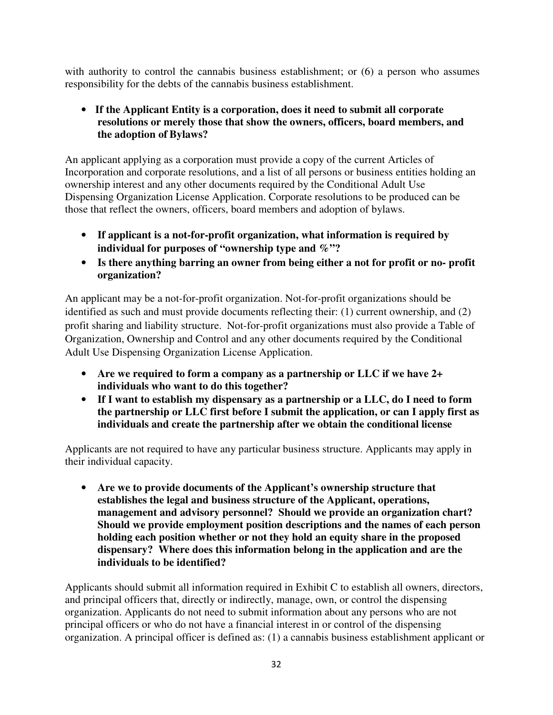with authority to control the cannabis business establishment; or (6) a person who assumes responsibility for the debts of the cannabis business establishment.

• **If the Applicant Entity is a corporation, does it need to submit all corporate resolutions or merely those that show the owners, officers, board members, and the adoption of Bylaws?** 

An applicant applying as a corporation must provide a copy of the current Articles of Incorporation and corporate resolutions, and a list of all persons or business entities holding an ownership interest and any other documents required by the Conditional Adult Use Dispensing Organization License Application. Corporate resolutions to be produced can be those that reflect the owners, officers, board members and adoption of bylaws.

- **If applicant is a not-for-profit organization, what information is required by individual for purposes of "ownership type and %"?**
- **Is there anything barring an owner from being either a not for profit or no- profit organization?**

An applicant may be a not-for-profit organization. Not-for-profit organizations should be identified as such and must provide documents reflecting their: (1) current ownership, and (2) profit sharing and liability structure. Not-for-profit organizations must also provide a Table of Organization, Ownership and Control and any other documents required by the Conditional Adult Use Dispensing Organization License Application.

- **Are we required to form a company as a partnership or LLC if we have 2+ individuals who want to do this together?**
- **If I want to establish my dispensary as a partnership or a LLC, do I need to form the partnership or LLC first before I submit the application, or can I apply first as individuals and create the partnership after we obtain the conditional license**

Applicants are not required to have any particular business structure. Applicants may apply in their individual capacity.

• **Are we to provide documents of the Applicant's ownership structure that establishes the legal and business structure of the Applicant, operations, management and advisory personnel? Should we provide an organization chart? Should we provide employment position descriptions and the names of each person holding each position whether or not they hold an equity share in the proposed dispensary? Where does this information belong in the application and are the individuals to be identified?** 

Applicants should submit all information required in Exhibit C to establish all owners, directors, and principal officers that, directly or indirectly, manage, own, or control the dispensing organization. Applicants do not need to submit information about any persons who are not principal officers or who do not have a financial interest in or control of the dispensing organization. A principal officer is defined as: (1) a cannabis business establishment applicant or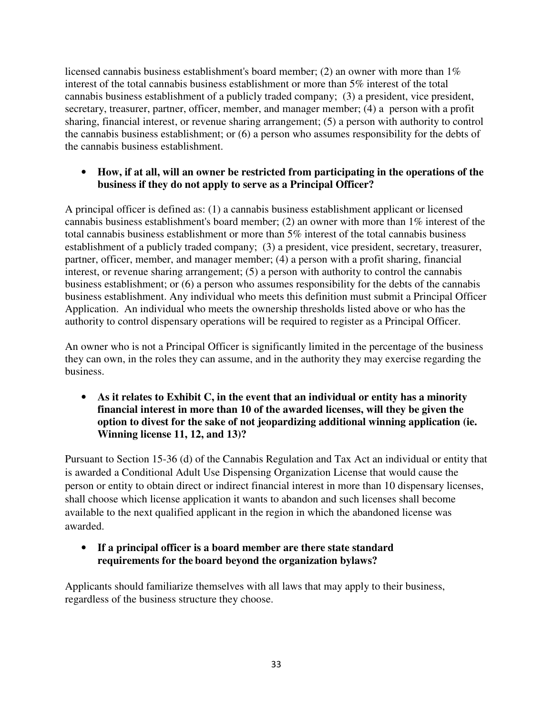licensed cannabis business establishment's board member; (2) an owner with more than  $1\%$ interest of the total cannabis business establishment or more than 5% interest of the total cannabis business establishment of a publicly traded company; (3) a president, vice president, secretary, treasurer, partner, officer, member, and manager member; (4) a person with a profit sharing, financial interest, or revenue sharing arrangement; (5) a person with authority to control the cannabis business establishment; or (6) a person who assumes responsibility for the debts of the cannabis business establishment.

#### • **How, if at all, will an owner be restricted from participating in the operations of the business if they do not apply to serve as a Principal Officer?**

A principal officer is defined as: (1) a cannabis business establishment applicant or licensed cannabis business establishment's board member; (2) an owner with more than 1% interest of the total cannabis business establishment or more than 5% interest of the total cannabis business establishment of a publicly traded company; (3) a president, vice president, secretary, treasurer, partner, officer, member, and manager member; (4) a person with a profit sharing, financial interest, or revenue sharing arrangement; (5) a person with authority to control the cannabis business establishment; or (6) a person who assumes responsibility for the debts of the cannabis business establishment. Any individual who meets this definition must submit a Principal Officer Application. An individual who meets the ownership thresholds listed above or who has the authority to control dispensary operations will be required to register as a Principal Officer.

An owner who is not a Principal Officer is significantly limited in the percentage of the business they can own, in the roles they can assume, and in the authority they may exercise regarding the business.

• **As it relates to Exhibit C, in the event that an individual or entity has a minority financial interest in more than 10 of the awarded licenses, will they be given the option to divest for the sake of not jeopardizing additional winning application (ie. Winning license 11, 12, and 13)?** 

Pursuant to Section 15-36 (d) of the Cannabis Regulation and Tax Act an individual or entity that is awarded a Conditional Adult Use Dispensing Organization License that would cause the person or entity to obtain direct or indirect financial interest in more than 10 dispensary licenses, shall choose which license application it wants to abandon and such licenses shall become available to the next qualified applicant in the region in which the abandoned license was awarded.

#### • **If a principal officer is a board member are there state standard requirements for the board beyond the organization bylaws?**

Applicants should familiarize themselves with all laws that may apply to their business, regardless of the business structure they choose.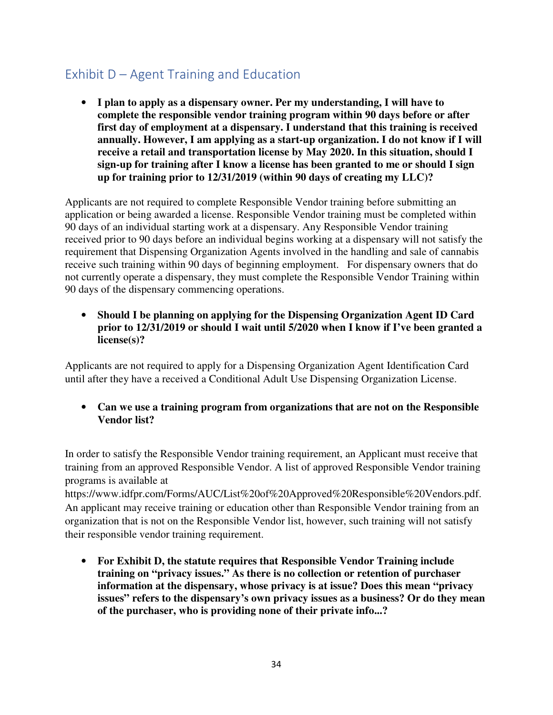# Exhibit D – Agent Training and Education

• **I plan to apply as a dispensary owner. Per my understanding, I will have to complete the responsible vendor training program within 90 days before or after first day of employment at a dispensary. I understand that this training is received annually. However, I am applying as a start-up organization. I do not know if I will receive a retail and transportation license by May 2020. In this situation, should I sign-up for training after I know a license has been granted to me or should I sign up for training prior to 12/31/2019 (within 90 days of creating my LLC)?** 

Applicants are not required to complete Responsible Vendor training before submitting an application or being awarded a license. Responsible Vendor training must be completed within 90 days of an individual starting work at a dispensary. Any Responsible Vendor training received prior to 90 days before an individual begins working at a dispensary will not satisfy the requirement that Dispensing Organization Agents involved in the handling and sale of cannabis receive such training within 90 days of beginning employment. For dispensary owners that do not currently operate a dispensary, they must complete the Responsible Vendor Training within 90 days of the dispensary commencing operations.

• **Should I be planning on applying for the Dispensing Organization Agent ID Card prior to 12/31/2019 or should I wait until 5/2020 when I know if I've been granted a license(s)?** 

Applicants are not required to apply for a Dispensing Organization Agent Identification Card until after they have a received a Conditional Adult Use Dispensing Organization License.

• **Can we use a training program from organizations that are not on the Responsible Vendor list?** 

In order to satisfy the Responsible Vendor training requirement, an Applicant must receive that training from an approved Responsible Vendor. A list of approved Responsible Vendor training programs is available at

https://www.idfpr.com/Forms/AUC/List%20of%20Approved%20Responsible%20Vendors.pdf. An applicant may receive training or education other than Responsible Vendor training from an organization that is not on the Responsible Vendor list, however, such training will not satisfy their responsible vendor training requirement.

• **For Exhibit D, the statute requires that Responsible Vendor Training include training on "privacy issues." As there is no collection or retention of purchaser information at the dispensary, whose privacy is at issue? Does this mean "privacy issues" refers to the dispensary's own privacy issues as a business? Or do they mean of the purchaser, who is providing none of their private info...?**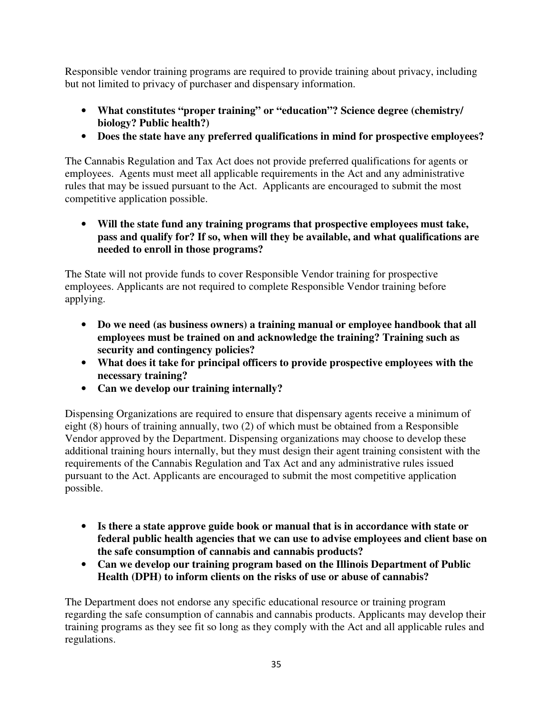Responsible vendor training programs are required to provide training about privacy, including but not limited to privacy of purchaser and dispensary information.

- **What constitutes "proper training" or "education"? Science degree (chemistry/ biology? Public health?)**
- **Does the state have any preferred qualifications in mind for prospective employees?**

The Cannabis Regulation and Tax Act does not provide preferred qualifications for agents or employees. Agents must meet all applicable requirements in the Act and any administrative rules that may be issued pursuant to the Act. Applicants are encouraged to submit the most competitive application possible.

• **Will the state fund any training programs that prospective employees must take, pass and qualify for? If so, when will they be available, and what qualifications are needed to enroll in those programs?** 

The State will not provide funds to cover Responsible Vendor training for prospective employees. Applicants are not required to complete Responsible Vendor training before applying.

- **Do we need (as business owners) a training manual or employee handbook that all employees must be trained on and acknowledge the training? Training such as security and contingency policies?**
- **What does it take for principal officers to provide prospective employees with the necessary training?**
- **Can we develop our training internally?**

Dispensing Organizations are required to ensure that dispensary agents receive a minimum of eight (8) hours of training annually, two (2) of which must be obtained from a Responsible Vendor approved by the Department. Dispensing organizations may choose to develop these additional training hours internally, but they must design their agent training consistent with the requirements of the Cannabis Regulation and Tax Act and any administrative rules issued pursuant to the Act. Applicants are encouraged to submit the most competitive application possible.

- **Is there a state approve guide book or manual that is in accordance with state or federal public health agencies that we can use to advise employees and client base on the safe consumption of cannabis and cannabis products?**
- **Can we develop our training program based on the Illinois Department of Public Health (DPH) to inform clients on the risks of use or abuse of cannabis?**

The Department does not endorse any specific educational resource or training program regarding the safe consumption of cannabis and cannabis products. Applicants may develop their training programs as they see fit so long as they comply with the Act and all applicable rules and regulations.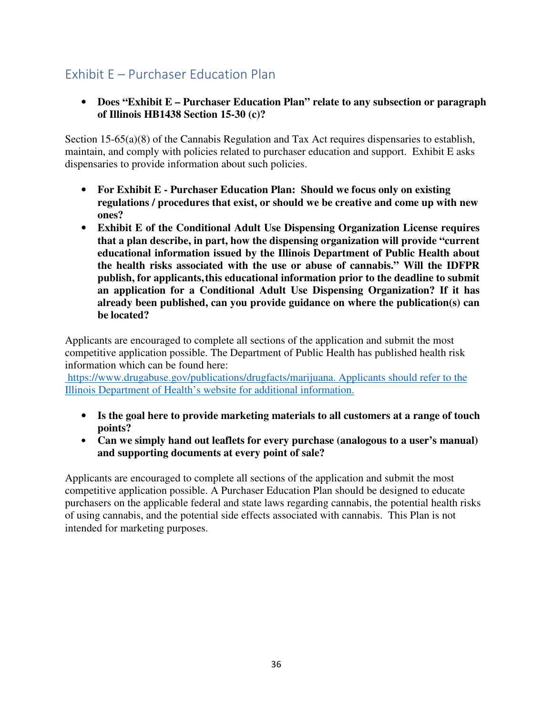## Exhibit E – Purchaser Education Plan

• **Does "Exhibit E – Purchaser Education Plan" relate to any subsection or paragraph of Illinois HB1438 Section 15-30 (c)?** 

Section 15-65(a)(8) of the Cannabis Regulation and Tax Act requires dispensaries to establish, maintain, and comply with policies related to purchaser education and support. Exhibit E asks dispensaries to provide information about such policies.

- **For Exhibit E Purchaser Education Plan: Should we focus only on existing regulations / procedures that exist, or should we be creative and come up with new ones?**
- **Exhibit E of the Conditional Adult Use Dispensing Organization License requires that a plan describe, in part, how the dispensing organization will provide "current educational information issued by the Illinois Department of Public Health about the health risks associated with the use or abuse of cannabis." Will the IDFPR publish, for applicants, this educational information prior to the deadline to submit an application for a Conditional Adult Use Dispensing Organization? If it has already been published, can you provide guidance on where the publication(s) can be located?**

Applicants are encouraged to complete all sections of the application and submit the most competitive application possible. The Department of Public Health has published health risk information which can be found here:

 https://www.drugabuse.gov/publications/drugfacts/marijuana. Applicants should refer to the Illinois Department of Health's website for additional information.

- **Is the goal here to provide marketing materials to all customers at a range of touch points?**
- **Can we simply hand out leaflets for every purchase (analogous to a user's manual) and supporting documents at every point of sale?**

Applicants are encouraged to complete all sections of the application and submit the most competitive application possible. A Purchaser Education Plan should be designed to educate purchasers on the applicable federal and state laws regarding cannabis, the potential health risks of using cannabis, and the potential side effects associated with cannabis. This Plan is not intended for marketing purposes.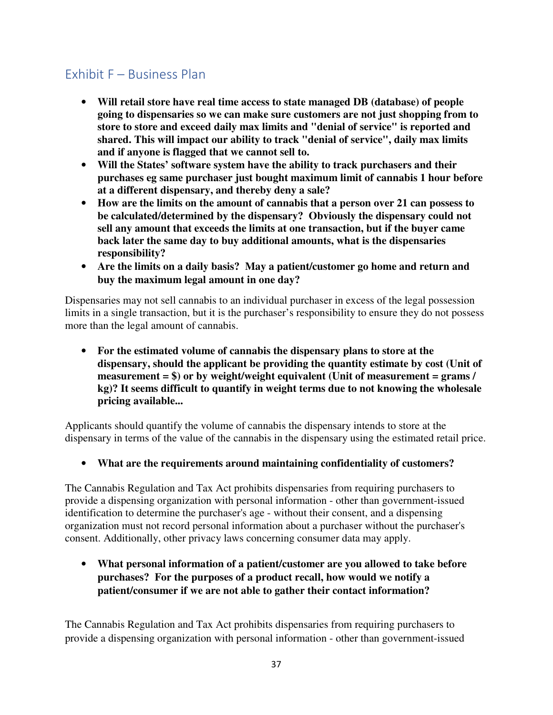# Exhibit F – Business Plan

- **Will retail store have real time access to state managed DB (database) of people going to dispensaries so we can make sure customers are not just shopping from to store to store and exceed daily max limits and "denial of service" is reported and shared. This will impact our ability to track "denial of service", daily max limits and if anyone is flagged that we cannot sell to.**
- **Will the States' software system have the ability to track purchasers and their purchases eg same purchaser just bought maximum limit of cannabis 1 hour before at a different dispensary, and thereby deny a sale?**
- **How are the limits on the amount of cannabis that a person over 21 can possess to be calculated/determined by the dispensary? Obviously the dispensary could not sell any amount that exceeds the limits at one transaction, but if the buyer came back later the same day to buy additional amounts, what is the dispensaries responsibility?**
- **Are the limits on a daily basis? May a patient/customer go home and return and buy the maximum legal amount in one day?**

Dispensaries may not sell cannabis to an individual purchaser in excess of the legal possession limits in a single transaction, but it is the purchaser's responsibility to ensure they do not possess more than the legal amount of cannabis.

• **For the estimated volume of cannabis the dispensary plans to store at the dispensary, should the applicant be providing the quantity estimate by cost (Unit of measurement = \$) or by weight/weight equivalent (Unit of measurement = grams / kg)? It seems difficult to quantify in weight terms due to not knowing the wholesale pricing available...** 

Applicants should quantify the volume of cannabis the dispensary intends to store at the dispensary in terms of the value of the cannabis in the dispensary using the estimated retail price.

• **What are the requirements around maintaining confidentiality of customers?** 

The Cannabis Regulation and Tax Act prohibits dispensaries from requiring purchasers to provide a dispensing organization with personal information - other than government-issued identification to determine the purchaser's age - without their consent, and a dispensing organization must not record personal information about a purchaser without the purchaser's consent. Additionally, other privacy laws concerning consumer data may apply.

• **What personal information of a patient/customer are you allowed to take before purchases? For the purposes of a product recall, how would we notify a patient/consumer if we are not able to gather their contact information?** 

The Cannabis Regulation and Tax Act prohibits dispensaries from requiring purchasers to provide a dispensing organization with personal information - other than government-issued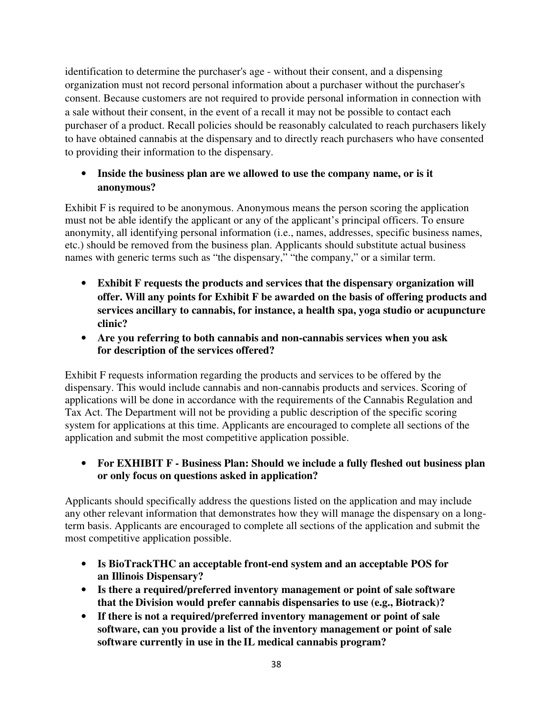identification to determine the purchaser's age - without their consent, and a dispensing organization must not record personal information about a purchaser without the purchaser's consent. Because customers are not required to provide personal information in connection with a sale without their consent, in the event of a recall it may not be possible to contact each purchaser of a product. Recall policies should be reasonably calculated to reach purchasers likely to have obtained cannabis at the dispensary and to directly reach purchasers who have consented to providing their information to the dispensary.

### • **Inside the business plan are we allowed to use the company name, or is it anonymous?**

Exhibit F is required to be anonymous. Anonymous means the person scoring the application must not be able identify the applicant or any of the applicant's principal officers. To ensure anonymity, all identifying personal information (i.e., names, addresses, specific business names, etc.) should be removed from the business plan. Applicants should substitute actual business names with generic terms such as "the dispensary," "the company," or a similar term.

- **Exhibit F requests the products and services that the dispensary organization will offer. Will any points for Exhibit F be awarded on the basis of offering products and services ancillary to cannabis, for instance, a health spa, yoga studio or acupuncture clinic?**
- **Are you referring to both cannabis and non-cannabis services when you ask for description of the services offered?**

Exhibit F requests information regarding the products and services to be offered by the dispensary. This would include cannabis and non-cannabis products and services. Scoring of applications will be done in accordance with the requirements of the Cannabis Regulation and Tax Act. The Department will not be providing a public description of the specific scoring system for applications at this time. Applicants are encouraged to complete all sections of the application and submit the most competitive application possible.

• **For EXHIBIT F - Business Plan: Should we include a fully fleshed out business plan or only focus on questions asked in application?** 

Applicants should specifically address the questions listed on the application and may include any other relevant information that demonstrates how they will manage the dispensary on a longterm basis. Applicants are encouraged to complete all sections of the application and submit the most competitive application possible.

- **Is BioTrackTHC an acceptable front-end system and an acceptable POS for an Illinois Dispensary?**
- **Is there a required/preferred inventory management or point of sale software that the Division would prefer cannabis dispensaries to use (e.g., Biotrack)?**
- **If there is not a required/preferred inventory management or point of sale software, can you provide a list of the inventory management or point of sale software currently in use in the IL medical cannabis program?**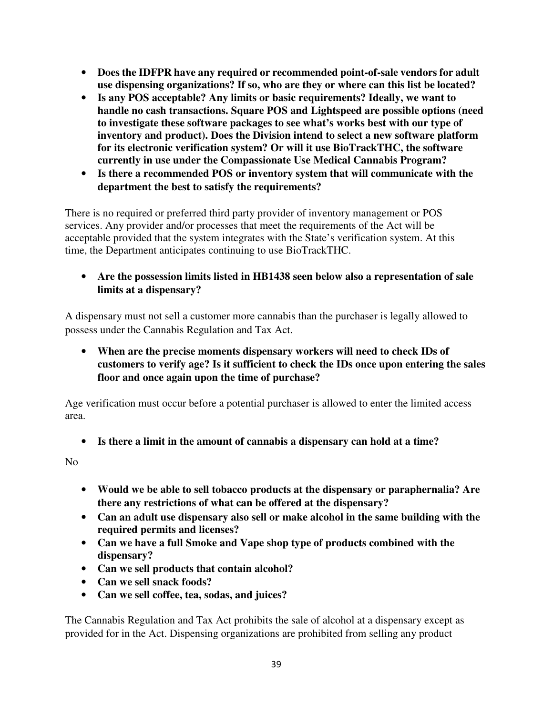- **Does the IDFPR have any required or recommended point-of-sale vendors for adult use dispensing organizations? If so, who are they or where can this list be located?**
- **Is any POS acceptable? Any limits or basic requirements? Ideally, we want to handle no cash transactions. Square POS and Lightspeed are possible options (need to investigate these software packages to see what's works best with our type of inventory and product). Does the Division intend to select a new software platform for its electronic verification system? Or will it use BioTrackTHC, the software currently in use under the Compassionate Use Medical Cannabis Program?**
- **Is there a recommended POS or inventory system that will communicate with the department the best to satisfy the requirements?**

There is no required or preferred third party provider of inventory management or POS services. Any provider and/or processes that meet the requirements of the Act will be acceptable provided that the system integrates with the State's verification system. At this time, the Department anticipates continuing to use BioTrackTHC.

• **Are the possession limits listed in HB1438 seen below also a representation of sale limits at a dispensary?** 

A dispensary must not sell a customer more cannabis than the purchaser is legally allowed to possess under the Cannabis Regulation and Tax Act.

• **When are the precise moments dispensary workers will need to check IDs of customers to verify age? Is it sufficient to check the IDs once upon entering the sales floor and once again upon the time of purchase?** 

Age verification must occur before a potential purchaser is allowed to enter the limited access area.

• **Is there a limit in the amount of cannabis a dispensary can hold at a time?**

No

- **Would we be able to sell tobacco products at the dispensary or paraphernalia? Are there any restrictions of what can be offered at the dispensary?**
- **Can an adult use dispensary also sell or make alcohol in the same building with the required permits and licenses?**
- **Can we have a full Smoke and Vape shop type of products combined with the dispensary?**
- **Can we sell products that contain alcohol?**
- **Can we sell snack foods?**
- **Can we sell coffee, tea, sodas, and juices?**

The Cannabis Regulation and Tax Act prohibits the sale of alcohol at a dispensary except as provided for in the Act. Dispensing organizations are prohibited from selling any product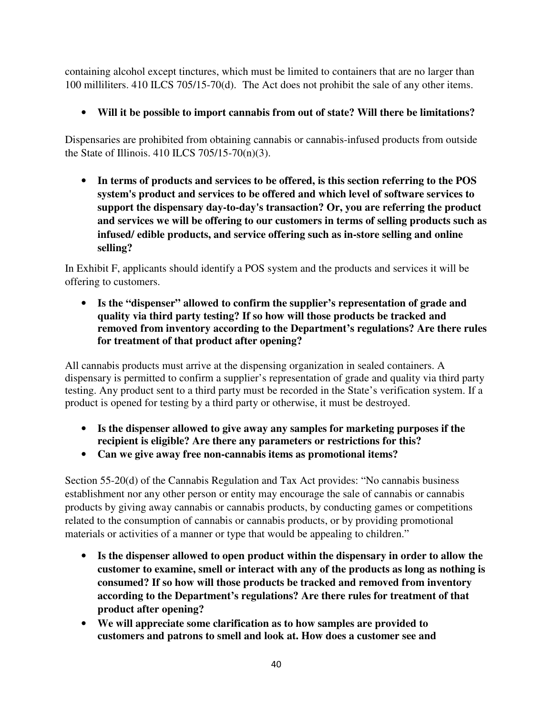containing alcohol except tinctures, which must be limited to containers that are no larger than 100 milliliters. 410 ILCS 705/15-70(d). The Act does not prohibit the sale of any other items.

• **Will it be possible to import cannabis from out of state? Will there be limitations?** 

Dispensaries are prohibited from obtaining cannabis or cannabis-infused products from outside the State of Illinois. 410 ILCS 705/15-70(n)(3).

• **In terms of products and services to be offered, is this section referring to the POS system's product and services to be offered and which level of software services to support the dispensary day-to-day's transaction? Or, you are referring the product and services we will be offering to our customers in terms of selling products such as infused/ edible products, and service offering such as in-store selling and online selling?** 

In Exhibit F, applicants should identify a POS system and the products and services it will be offering to customers.

• **Is the "dispenser" allowed to confirm the supplier's representation of grade and quality via third party testing? If so how will those products be tracked and removed from inventory according to the Department's regulations? Are there rules for treatment of that product after opening?** 

All cannabis products must arrive at the dispensing organization in sealed containers. A dispensary is permitted to confirm a supplier's representation of grade and quality via third party testing. Any product sent to a third party must be recorded in the State's verification system. If a product is opened for testing by a third party or otherwise, it must be destroyed.

- **Is the dispenser allowed to give away any samples for marketing purposes if the recipient is eligible? Are there any parameters or restrictions for this?**
- **Can we give away free non-cannabis items as promotional items?**

Section 55-20(d) of the Cannabis Regulation and Tax Act provides: "No cannabis business establishment nor any other person or entity may encourage the sale of cannabis or cannabis products by giving away cannabis or cannabis products, by conducting games or competitions related to the consumption of cannabis or cannabis products, or by providing promotional materials or activities of a manner or type that would be appealing to children."

- **Is the dispenser allowed to open product within the dispensary in order to allow the customer to examine, smell or interact with any of the products as long as nothing is consumed? If so how will those products be tracked and removed from inventory according to the Department's regulations? Are there rules for treatment of that product after opening?**
- **We will appreciate some clarification as to how samples are provided to customers and patrons to smell and look at. How does a customer see and**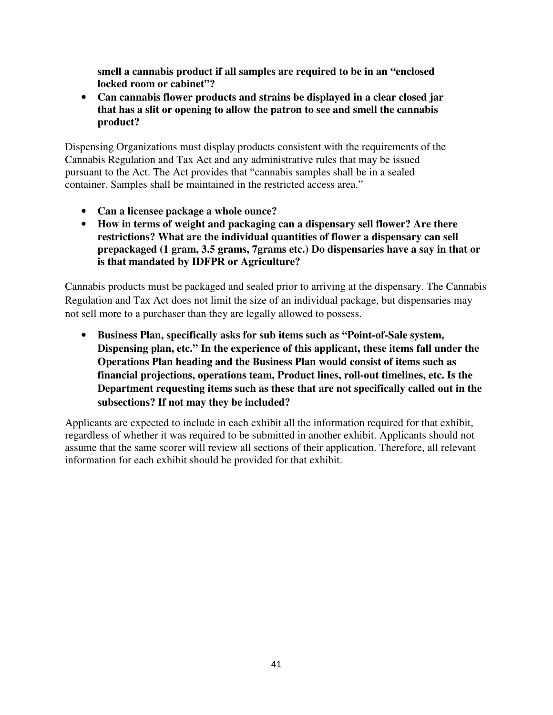**smell a cannabis product if all samples are required to be in an "enclosed locked room or cabinet"?** 

• **Can cannabis flower products and strains be displayed in a clear closed jar that has a slit or opening to allow the patron to see and smell the cannabis product?** 

Dispensing Organizations must display products consistent with the requirements of the Cannabis Regulation and Tax Act and any administrative rules that may be issued pursuant to the Act. The Act provides that "cannabis samples shall be in a sealed container. Samples shall be maintained in the restricted access area."

- **Can a licensee package a whole ounce?**
- **How in terms of weight and packaging can a dispensary sell flower? Are there restrictions? What are the individual quantities of flower a dispensary can sell prepackaged (1 gram, 3.5 grams, 7grams etc.) Do dispensaries have a say in that or is that mandated by IDFPR or Agriculture?**

Cannabis products must be packaged and sealed prior to arriving at the dispensary. The Cannabis Regulation and Tax Act does not limit the size of an individual package, but dispensaries may not sell more to a purchaser than they are legally allowed to possess.

• **Business Plan, specifically asks for sub items such as "Point-of-Sale system, Dispensing plan, etc." In the experience of this applicant, these items fall under the Operations Plan heading and the Business Plan would consist of items such as financial projections, operations team, Product lines, roll-out timelines, etc. Is the Department requesting items such as these that are not specifically called out in the subsections? If not may they be included?**

Applicants are expected to include in each exhibit all the information required for that exhibit, regardless of whether it was required to be submitted in another exhibit. Applicants should not assume that the same scorer will review all sections of their application. Therefore, all relevant information for each exhibit should be provided for that exhibit.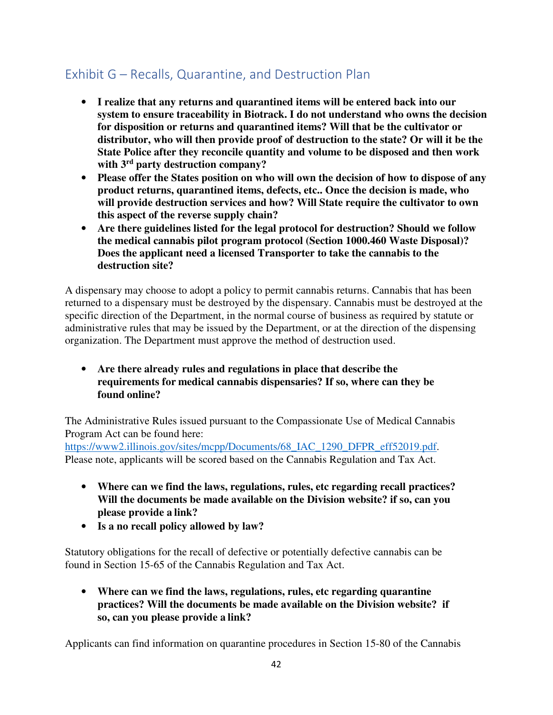# Exhibit G – Recalls, Quarantine, and Destruction Plan

- **I realize that any returns and quarantined items will be entered back into our system to ensure traceability in Biotrack. I do not understand who owns the decision for disposition or returns and quarantined items? Will that be the cultivator or distributor, who will then provide proof of destruction to the state? Or will it be the State Police after they reconcile quantity and volume to be disposed and then work with 3rd party destruction company?**
- **Please offer the States position on who will own the decision of how to dispose of any product returns, quarantined items, defects, etc.. Once the decision is made, who will provide destruction services and how? Will State require the cultivator to own this aspect of the reverse supply chain?**
- **Are there guidelines listed for the legal protocol for destruction? Should we follow the medical cannabis pilot program protocol (Section 1000.460 Waste Disposal)? Does the applicant need a licensed Transporter to take the cannabis to the destruction site?**

A dispensary may choose to adopt a policy to permit cannabis returns. Cannabis that has been returned to a dispensary must be destroyed by the dispensary. Cannabis must be destroyed at the specific direction of the Department, in the normal course of business as required by statute or administrative rules that may be issued by the Department, or at the direction of the dispensing organization. The Department must approve the method of destruction used.

• **Are there already rules and regulations in place that describe the requirements for medical cannabis dispensaries? If so, where can they be found online?** 

The Administrative Rules issued pursuant to the Compassionate Use of Medical Cannabis Program Act can be found here: https://www2.illinois.gov/sites/mcpp/Documents/68\_IAC\_1290\_DFPR\_eff52019.pdf.

Please note, applicants will be scored based on the Cannabis Regulation and Tax Act.

- **Where can we find the laws, regulations, rules, etc regarding recall practices? Will the documents be made available on the Division website? if so, can you please provide a link?**
- **Is a no recall policy allowed by law?**

Statutory obligations for the recall of defective or potentially defective cannabis can be found in Section 15-65 of the Cannabis Regulation and Tax Act.

• **Where can we find the laws, regulations, rules, etc regarding quarantine practices? Will the documents be made available on the Division website? if so, can you please provide a link?** 

Applicants can find information on quarantine procedures in Section 15-80 of the Cannabis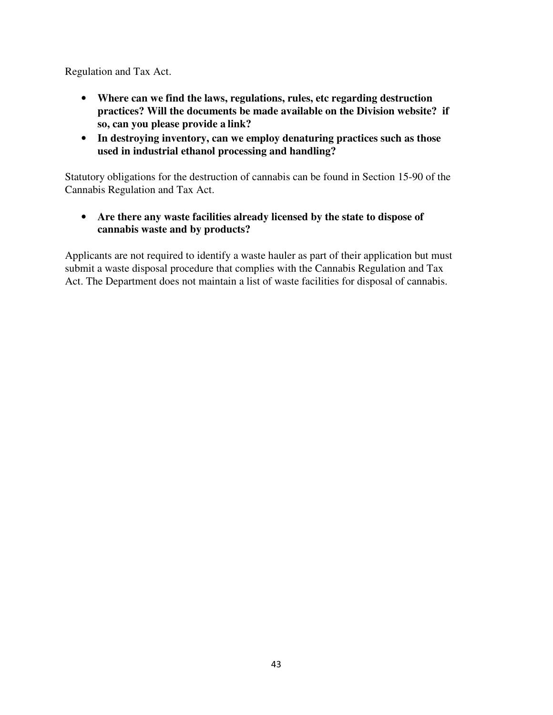Regulation and Tax Act.

- **Where can we find the laws, regulations, rules, etc regarding destruction practices? Will the documents be made available on the Division website? if so, can you please provide a link?**
- **In destroying inventory, can we employ denaturing practices such as those used in industrial ethanol processing and handling?**

Statutory obligations for the destruction of cannabis can be found in Section 15-90 of the Cannabis Regulation and Tax Act.

• **Are there any waste facilities already licensed by the state to dispose of cannabis waste and by products?** 

Applicants are not required to identify a waste hauler as part of their application but must submit a waste disposal procedure that complies with the Cannabis Regulation and Tax Act. The Department does not maintain a list of waste facilities for disposal of cannabis.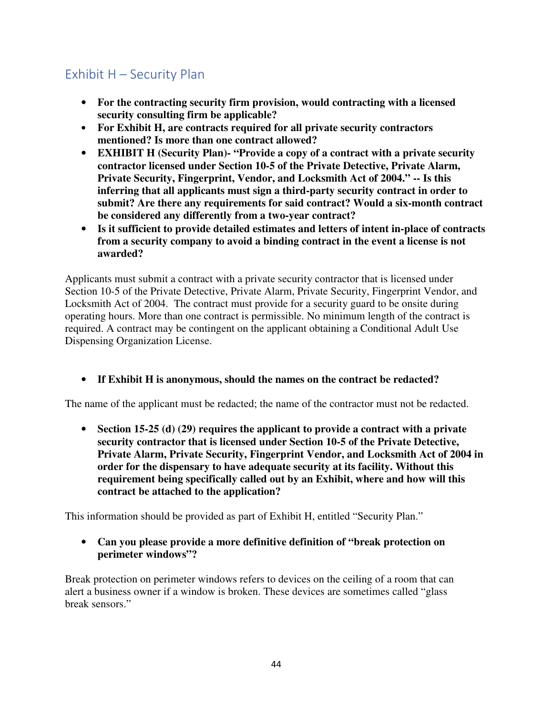## Exhibit H – Security Plan

- **For the contracting security firm provision, would contracting with a licensed security consulting firm be applicable?**
- **For Exhibit H, are contracts required for all private security contractors mentioned? Is more than one contract allowed?**
- **EXHIBIT H (Security Plan)- "Provide a copy of a contract with a private security contractor licensed under Section 10-5 of the Private Detective, Private Alarm, Private Security, Fingerprint, Vendor, and Locksmith Act of 2004." -- Is this inferring that all applicants must sign a third-party security contract in order to submit? Are there any requirements for said contract? Would a six-month contract be considered any differently from a two-year contract?**
- **Is it sufficient to provide detailed estimates and letters of intent in-place of contracts from a security company to avoid a binding contract in the event a license is not awarded?**

Applicants must submit a contract with a private security contractor that is licensed under Section 10-5 of the Private Detective, Private Alarm, Private Security, Fingerprint Vendor, and Locksmith Act of 2004. The contract must provide for a security guard to be onsite during operating hours. More than one contract is permissible. No minimum length of the contract is required. A contract may be contingent on the applicant obtaining a Conditional Adult Use Dispensing Organization License.

• **If Exhibit H is anonymous, should the names on the contract be redacted?** 

The name of the applicant must be redacted; the name of the contractor must not be redacted.

• **Section 15-25 (d) (29) requires the applicant to provide a contract with a private security contractor that is licensed under Section 10-5 of the Private Detective, Private Alarm, Private Security, Fingerprint Vendor, and Locksmith Act of 2004 in order for the dispensary to have adequate security at its facility. Without this requirement being specifically called out by an Exhibit, where and how will this contract be attached to the application?** 

This information should be provided as part of Exhibit H, entitled "Security Plan."

• **Can you please provide a more definitive definition of "break protection on perimeter windows"?** 

Break protection on perimeter windows refers to devices on the ceiling of a room that can alert a business owner if a window is broken. These devices are sometimes called "glass break sensors."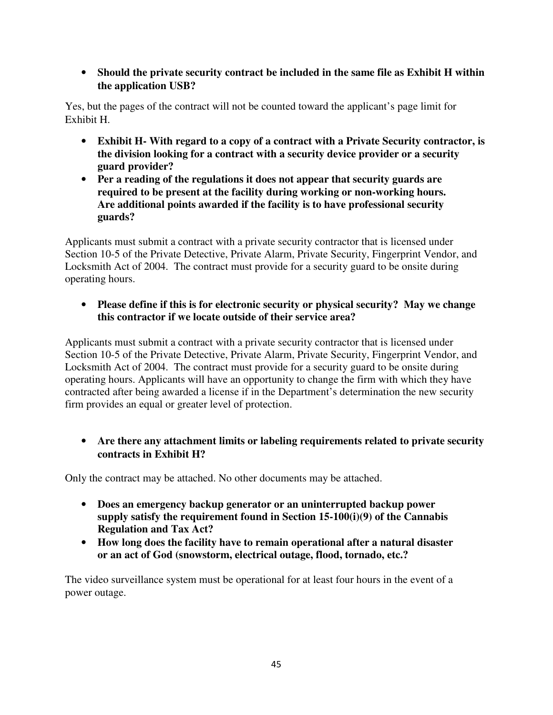• **Should the private security contract be included in the same file as Exhibit H within the application USB?** 

Yes, but the pages of the contract will not be counted toward the applicant's page limit for Exhibit H.

- **Exhibit H- With regard to a copy of a contract with a Private Security contractor, is the division looking for a contract with a security device provider or a security guard provider?**
- **Per a reading of the regulations it does not appear that security guards are required to be present at the facility during working or non-working hours. Are additional points awarded if the facility is to have professional security guards?**

Applicants must submit a contract with a private security contractor that is licensed under Section 10-5 of the Private Detective, Private Alarm, Private Security, Fingerprint Vendor, and Locksmith Act of 2004. The contract must provide for a security guard to be onsite during operating hours.

• **Please define if this is for electronic security or physical security? May we change this contractor if we locate outside of their service area?** 

Applicants must submit a contract with a private security contractor that is licensed under Section 10-5 of the Private Detective, Private Alarm, Private Security, Fingerprint Vendor, and Locksmith Act of 2004. The contract must provide for a security guard to be onsite during operating hours. Applicants will have an opportunity to change the firm with which they have contracted after being awarded a license if in the Department's determination the new security firm provides an equal or greater level of protection.

• **Are there any attachment limits or labeling requirements related to private security contracts in Exhibit H?** 

Only the contract may be attached. No other documents may be attached.

- **Does an emergency backup generator or an uninterrupted backup power supply satisfy the requirement found in Section 15-100(i)(9) of the Cannabis Regulation and Tax Act?**
- **How long does the facility have to remain operational after a natural disaster or an act of God (snowstorm, electrical outage, flood, tornado, etc.?**

The video surveillance system must be operational for at least four hours in the event of a power outage.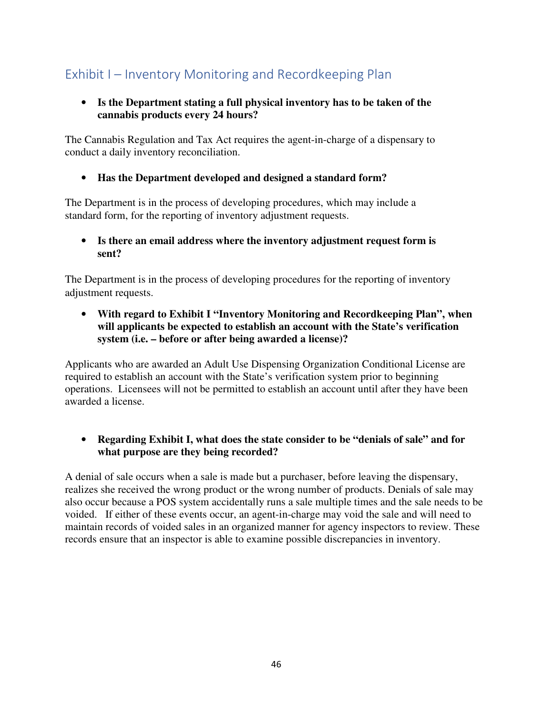# Exhibit I – Inventory Monitoring and Recordkeeping Plan

### • **Is the Department stating a full physical inventory has to be taken of the cannabis products every 24 hours?**

The Cannabis Regulation and Tax Act requires the agent-in-charge of a dispensary to conduct a daily inventory reconciliation.

### • **Has the Department developed and designed a standard form?**

The Department is in the process of developing procedures, which may include a standard form, for the reporting of inventory adjustment requests.

• **Is there an email address where the inventory adjustment request form is sent?** 

The Department is in the process of developing procedures for the reporting of inventory adjustment requests.

• **With regard to Exhibit I "Inventory Monitoring and Recordkeeping Plan", when will applicants be expected to establish an account with the State's verification system (i.e. – before or after being awarded a license)?** 

Applicants who are awarded an Adult Use Dispensing Organization Conditional License are required to establish an account with the State's verification system prior to beginning operations. Licensees will not be permitted to establish an account until after they have been awarded a license.

### • **Regarding Exhibit I, what does the state consider to be "denials of sale" and for what purpose are they being recorded?**

A denial of sale occurs when a sale is made but a purchaser, before leaving the dispensary, realizes she received the wrong product or the wrong number of products. Denials of sale may also occur because a POS system accidentally runs a sale multiple times and the sale needs to be voided. If either of these events occur, an agent-in-charge may void the sale and will need to maintain records of voided sales in an organized manner for agency inspectors to review. These records ensure that an inspector is able to examine possible discrepancies in inventory.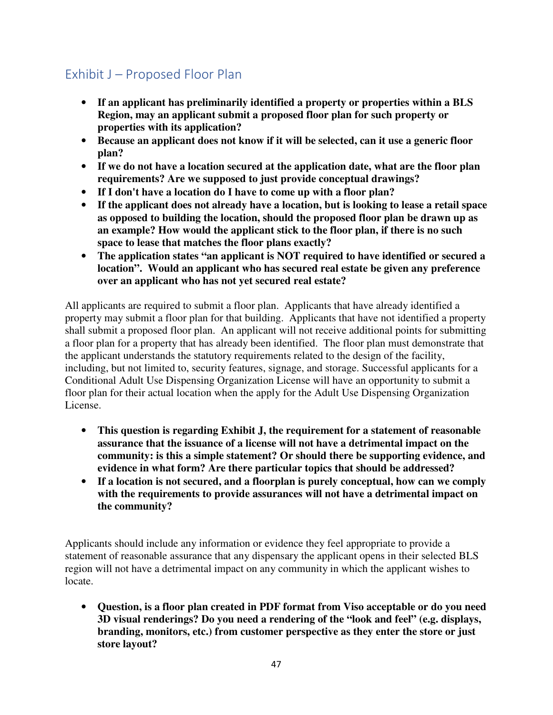# Exhibit J – Proposed Floor Plan

- **If an applicant has preliminarily identified a property or properties within a BLS Region, may an applicant submit a proposed floor plan for such property or properties with its application?**
- **Because an applicant does not know if it will be selected, can it use a generic floor plan?**
- **If we do not have a location secured at the application date, what are the floor plan requirements? Are we supposed to just provide conceptual drawings?**
- **If I don't have a location do I have to come up with a floor plan?**
- **If the applicant does not already have a location, but is looking to lease a retail space as opposed to building the location, should the proposed floor plan be drawn up as an example? How would the applicant stick to the floor plan, if there is no such space to lease that matches the floor plans exactly?**
- **The application states "an applicant is NOT required to have identified or secured a location". Would an applicant who has secured real estate be given any preference over an applicant who has not yet secured real estate?**

All applicants are required to submit a floor plan. Applicants that have already identified a property may submit a floor plan for that building. Applicants that have not identified a property shall submit a proposed floor plan. An applicant will not receive additional points for submitting a floor plan for a property that has already been identified. The floor plan must demonstrate that the applicant understands the statutory requirements related to the design of the facility, including, but not limited to, security features, signage, and storage. Successful applicants for a Conditional Adult Use Dispensing Organization License will have an opportunity to submit a floor plan for their actual location when the apply for the Adult Use Dispensing Organization License.

- **This question is regarding Exhibit J, the requirement for a statement of reasonable assurance that the issuance of a license will not have a detrimental impact on the community: is this a simple statement? Or should there be supporting evidence, and evidence in what form? Are there particular topics that should be addressed?**
- **If a location is not secured, and a floorplan is purely conceptual, how can we comply with the requirements to provide assurances will not have a detrimental impact on the community?**

Applicants should include any information or evidence they feel appropriate to provide a statement of reasonable assurance that any dispensary the applicant opens in their selected BLS region will not have a detrimental impact on any community in which the applicant wishes to locate.

• **Question, is a floor plan created in PDF format from Viso acceptable or do you need 3D visual renderings? Do you need a rendering of the "look and feel" (e.g. displays, branding, monitors, etc.) from customer perspective as they enter the store or just store layout?**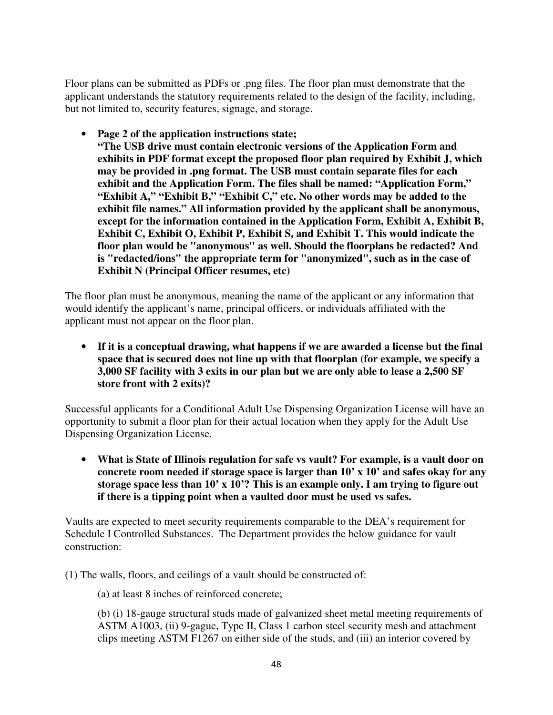Floor plans can be submitted as PDFs or .png files. The floor plan must demonstrate that the applicant understands the statutory requirements related to the design of the facility, including, but not limited to, security features, signage, and storage.

• **Page 2 of the application instructions state;** 

**"The USB drive must contain electronic versions of the Application Form and exhibits in PDF format except the proposed floor plan required by Exhibit J, which may be provided in .png format. The USB must contain separate files for each exhibit and the Application Form. The files shall be named: "Application Form," "Exhibit A," "Exhibit B," "Exhibit C," etc. No other words may be added to the exhibit file names." All information provided by the applicant shall be anonymous, except for the information contained in the Application Form, Exhibit A, Exhibit B, Exhibit C, Exhibit O, Exhibit P, Exhibit S, and Exhibit T. This would indicate the floor plan would be "anonymous" as well. Should the floorplans be redacted? And is "redacted/ions" the appropriate term for "anonymized", such as in the case of Exhibit N (Principal Officer resumes, etc)** 

The floor plan must be anonymous, meaning the name of the applicant or any information that would identify the applicant's name, principal officers, or individuals affiliated with the applicant must not appear on the floor plan.

• **If it is a conceptual drawing, what happens if we are awarded a license but the final space that is secured does not line up with that floorplan (for example, we specify a 3,000 SF facility with 3 exits in our plan but we are only able to lease a 2,500 SF store front with 2 exits)?** 

Successful applicants for a Conditional Adult Use Dispensing Organization License will have an opportunity to submit a floor plan for their actual location when they apply for the Adult Use Dispensing Organization License.

• **What is State of Illinois regulation for safe vs vault? For example, is a vault door on concrete room needed if storage space is larger than 10' x 10' and safes okay for any storage space less than 10' x 10'? This is an example only. I am trying to figure out if there is a tipping point when a vaulted door must be used vs safes.** 

Vaults are expected to meet security requirements comparable to the DEA's requirement for Schedule I Controlled Substances. The Department provides the below guidance for vault construction:

(1) The walls, floors, and ceilings of a vault should be constructed of:

(a) at least 8 inches of reinforced concrete;

(b) (i) 18-gauge structural studs made of galvanized sheet metal meeting requirements of ASTM A1003, (ii) 9-gague, Type II, Class 1 carbon steel security mesh and attachment clips meeting ASTM F1267 on either side of the studs, and (iii) an interior covered by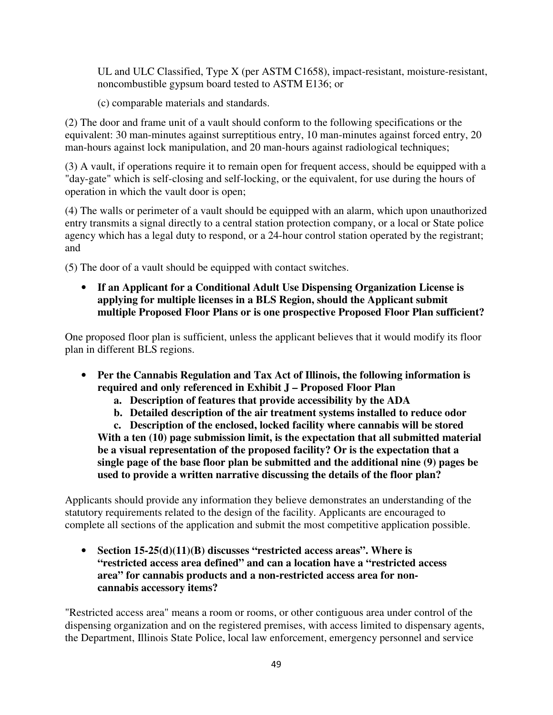UL and ULC Classified, Type X (per ASTM C1658), impact-resistant, moisture-resistant, noncombustible gypsum board tested to ASTM E136; or

(c) comparable materials and standards.

(2) The door and frame unit of a vault should conform to the following specifications or the equivalent: 30 man-minutes against surreptitious entry, 10 man-minutes against forced entry, 20 man-hours against lock manipulation, and 20 man-hours against radiological techniques;

(3) A vault, if operations require it to remain open for frequent access, should be equipped with a "day-gate" which is self-closing and self-locking, or the equivalent, for use during the hours of operation in which the vault door is open;

(4) The walls or perimeter of a vault should be equipped with an alarm, which upon unauthorized entry transmits a signal directly to a central station protection company, or a local or State police agency which has a legal duty to respond, or a 24-hour control station operated by the registrant; and

(5) The door of a vault should be equipped with contact switches.

• **If an Applicant for a Conditional Adult Use Dispensing Organization License is applying for multiple licenses in a BLS Region, should the Applicant submit multiple Proposed Floor Plans or is one prospective Proposed Floor Plan sufficient?** 

One proposed floor plan is sufficient, unless the applicant believes that it would modify its floor plan in different BLS regions.

- **Per the Cannabis Regulation and Tax Act of Illinois, the following information is required and only referenced in Exhibit J – Proposed Floor Plan** 
	- **a. Description of features that provide accessibility by the ADA**
	- **b. Detailed description of the air treatment systems installed to reduce odor**

**c. Description of the enclosed, locked facility where cannabis will be stored With a ten (10) page submission limit, is the expectation that all submitted material be a visual representation of the proposed facility? Or is the expectation that a single page of the base floor plan be submitted and the additional nine (9) pages be used to provide a written narrative discussing the details of the floor plan?** 

Applicants should provide any information they believe demonstrates an understanding of the statutory requirements related to the design of the facility. Applicants are encouraged to complete all sections of the application and submit the most competitive application possible.

• **Section 15-25(d)(11)(B) discusses "restricted access areas". Where is "restricted access area defined" and can a location have a "restricted access area" for cannabis products and a non-restricted access area for noncannabis accessory items?** 

"Restricted access area" means a room or rooms, or other contiguous area under control of the dispensing organization and on the registered premises, with access limited to dispensary agents, the Department, Illinois State Police, local law enforcement, emergency personnel and service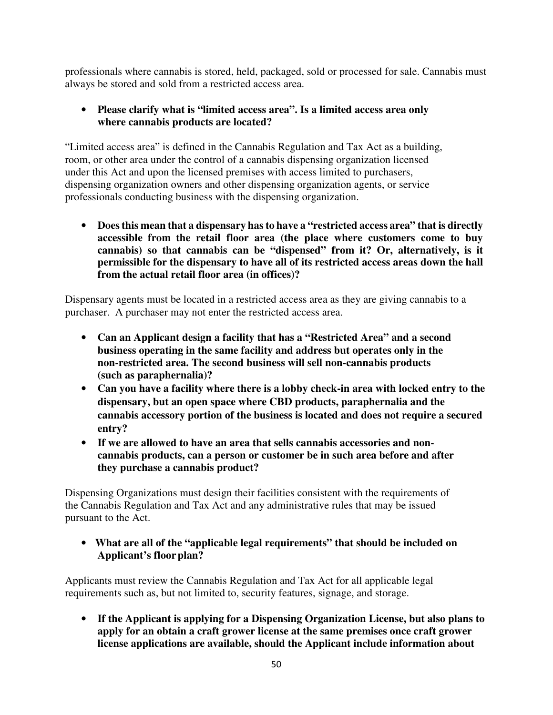professionals where cannabis is stored, held, packaged, sold or processed for sale. Cannabis must always be stored and sold from a restricted access area.

### • **Please clarify what is "limited access area". Is a limited access area only where cannabis products are located?**

"Limited access area" is defined in the Cannabis Regulation and Tax Act as a building, room, or other area under the control of a cannabis dispensing organization licensed under this Act and upon the licensed premises with access limited to purchasers, dispensing organization owners and other dispensing organization agents, or service professionals conducting business with the dispensing organization.

• **Does this mean that a dispensary has to have a "restricted access area" that is directly accessible from the retail floor area (the place where customers come to buy cannabis) so that cannabis can be "dispensed" from it? Or, alternatively, is it permissible for the dispensary to have all of its restricted access areas down the hall from the actual retail floor area (in offices)?** 

Dispensary agents must be located in a restricted access area as they are giving cannabis to a purchaser. A purchaser may not enter the restricted access area.

- **Can an Applicant design a facility that has a "Restricted Area" and a second business operating in the same facility and address but operates only in the non-restricted area. The second business will sell non-cannabis products (such as paraphernalia)?**
- **Can you have a facility where there is a lobby check-in area with locked entry to the dispensary, but an open space where CBD products, paraphernalia and the cannabis accessory portion of the business is located and does not require a secured entry?**
- **If we are allowed to have an area that sells cannabis accessories and noncannabis products, can a person or customer be in such area before and after they purchase a cannabis product?**

Dispensing Organizations must design their facilities consistent with the requirements of the Cannabis Regulation and Tax Act and any administrative rules that may be issued pursuant to the Act.

• **What are all of the "applicable legal requirements" that should be included on Applicant's floor plan?**

Applicants must review the Cannabis Regulation and Tax Act for all applicable legal requirements such as, but not limited to, security features, signage, and storage.

• **If the Applicant is applying for a Dispensing Organization License, but also plans to apply for an obtain a craft grower license at the same premises once craft grower license applications are available, should the Applicant include information about**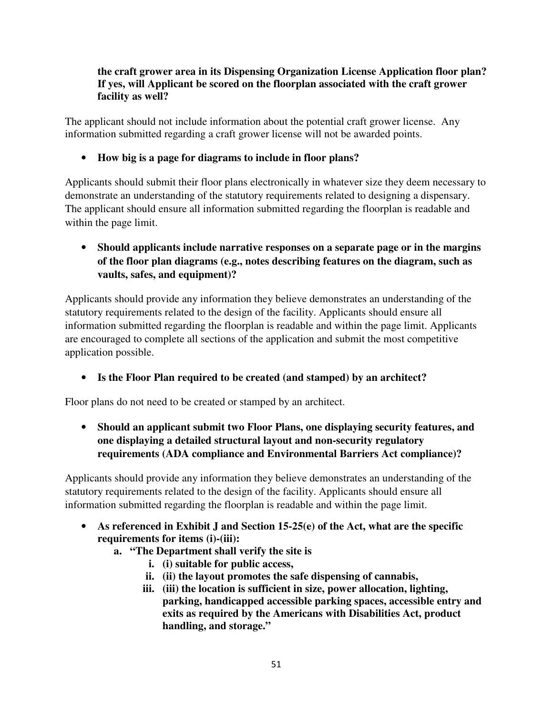### **the craft grower area in its Dispensing Organization License Application floor plan? If yes, will Applicant be scored on the floorplan associated with the craft grower facility as well?**

The applicant should not include information about the potential craft grower license. Any information submitted regarding a craft grower license will not be awarded points.

• **How big is a page for diagrams to include in floor plans?** 

Applicants should submit their floor plans electronically in whatever size they deem necessary to demonstrate an understanding of the statutory requirements related to designing a dispensary. The applicant should ensure all information submitted regarding the floorplan is readable and within the page limit.

• **Should applicants include narrative responses on a separate page or in the margins of the floor plan diagrams (e.g., notes describing features on the diagram, such as vaults, safes, and equipment)?**

Applicants should provide any information they believe demonstrates an understanding of the statutory requirements related to the design of the facility. Applicants should ensure all information submitted regarding the floorplan is readable and within the page limit. Applicants are encouraged to complete all sections of the application and submit the most competitive application possible.

• **Is the Floor Plan required to be created (and stamped) by an architect?**

Floor plans do not need to be created or stamped by an architect.

• **Should an applicant submit two Floor Plans, one displaying security features, and one displaying a detailed structural layout and non-security regulatory requirements (ADA compliance and Environmental Barriers Act compliance)?** 

Applicants should provide any information they believe demonstrates an understanding of the statutory requirements related to the design of the facility. Applicants should ensure all information submitted regarding the floorplan is readable and within the page limit.

- **As referenced in Exhibit J and Section 15-25(e) of the Act, what are the specific requirements for items (i)-(iii):** 
	- **a. "The Department shall verify the site is** 
		- **i. (i) suitable for public access,**
		- **ii. (ii) the layout promotes the safe dispensing of cannabis,**
		- **iii. (iii) the location is sufficient in size, power allocation, lighting, parking, handicapped accessible parking spaces, accessible entry and exits as required by the Americans with Disabilities Act, product handling, and storage."**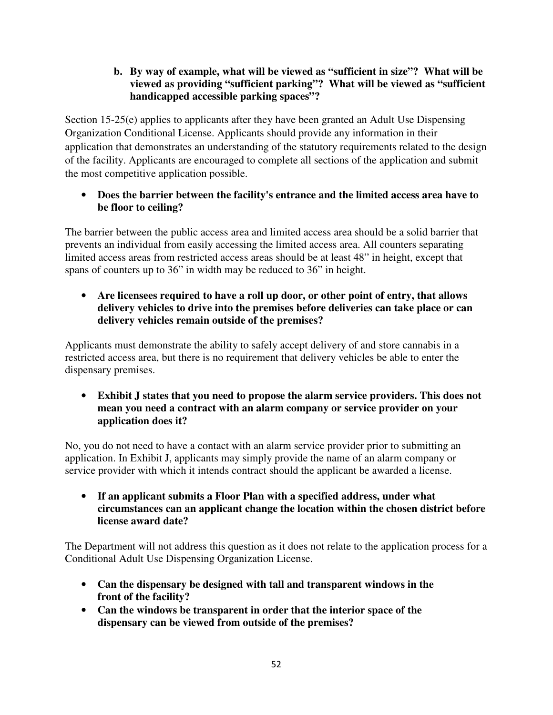### **b. By way of example, what will be viewed as "sufficient in size"? What will be viewed as providing "sufficient parking"? What will be viewed as "sufficient handicapped accessible parking spaces"?**

Section 15-25(e) applies to applicants after they have been granted an Adult Use Dispensing Organization Conditional License. Applicants should provide any information in their application that demonstrates an understanding of the statutory requirements related to the design of the facility. Applicants are encouraged to complete all sections of the application and submit the most competitive application possible.

• **Does the barrier between the facility's entrance and the limited access area have to be floor to ceiling?** 

The barrier between the public access area and limited access area should be a solid barrier that prevents an individual from easily accessing the limited access area. All counters separating limited access areas from restricted access areas should be at least 48" in height, except that spans of counters up to 36" in width may be reduced to 36" in height.

• **Are licensees required to have a roll up door, or other point of entry, that allows delivery vehicles to drive into the premises before deliveries can take place or can delivery vehicles remain outside of the premises?** 

Applicants must demonstrate the ability to safely accept delivery of and store cannabis in a restricted access area, but there is no requirement that delivery vehicles be able to enter the dispensary premises.

• **Exhibit J states that you need to propose the alarm service providers. This does not mean you need a contract with an alarm company or service provider on your application does it?** 

No, you do not need to have a contact with an alarm service provider prior to submitting an application. In Exhibit J, applicants may simply provide the name of an alarm company or service provider with which it intends contract should the applicant be awarded a license.

• **If an applicant submits a Floor Plan with a specified address, under what circumstances can an applicant change the location within the chosen district before license award date?** 

The Department will not address this question as it does not relate to the application process for a Conditional Adult Use Dispensing Organization License.

- **Can the dispensary be designed with tall and transparent windows in the front of the facility?**
- **Can the windows be transparent in order that the interior space of the dispensary can be viewed from outside of the premises?**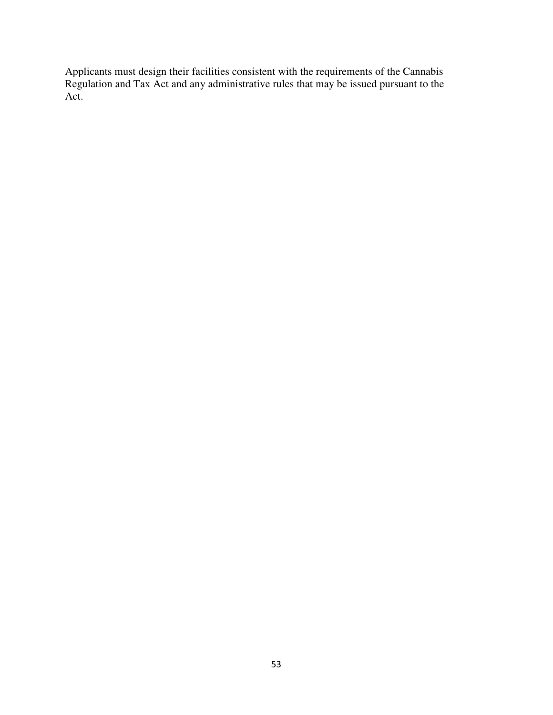Applicants must design their facilities consistent with the requirements of the Cannabis Regulation and Tax Act and any administrative rules that may be issued pursuant to the Act.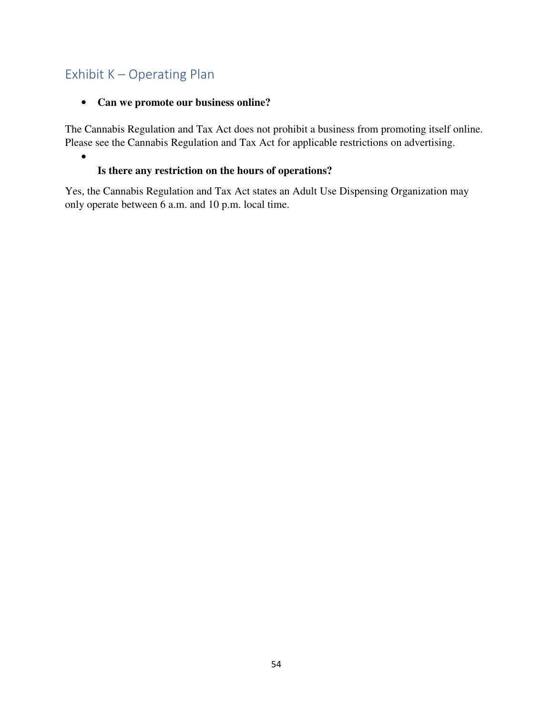# Exhibit K – Operating Plan

•

• **Can we promote our business online?** 

The Cannabis Regulation and Tax Act does not prohibit a business from promoting itself online. Please see the Cannabis Regulation and Tax Act for applicable restrictions on advertising.

## **Is there any restriction on the hours of operations?**

Yes, the Cannabis Regulation and Tax Act states an Adult Use Dispensing Organization may only operate between 6 a.m. and 10 p.m. local time.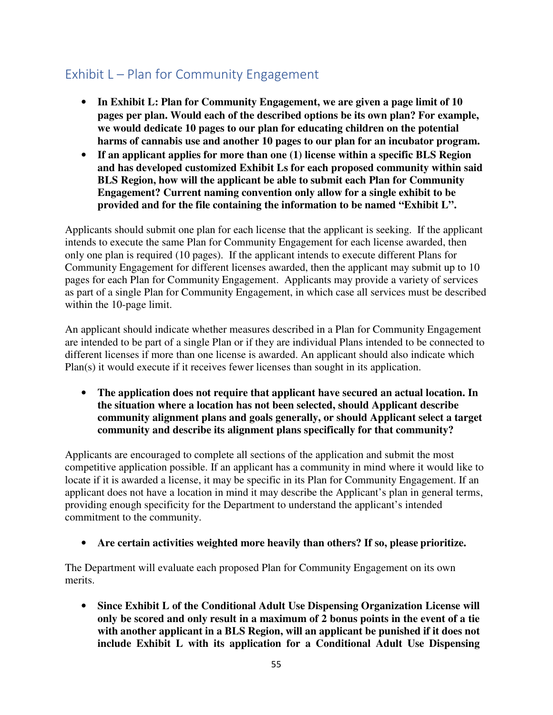# Exhibit L – Plan for Community Engagement

- **In Exhibit L: Plan for Community Engagement, we are given a page limit of 10 pages per plan. Would each of the described options be its own plan? For example, we would dedicate 10 pages to our plan for educating children on the potential harms of cannabis use and another 10 pages to our plan for an incubator program.**
- **If an applicant applies for more than one (1) license within a specific BLS Region and has developed customized Exhibit Ls for each proposed community within said BLS Region, how will the applicant be able to submit each Plan for Community Engagement? Current naming convention only allow for a single exhibit to be provided and for the file containing the information to be named "Exhibit L".**

Applicants should submit one plan for each license that the applicant is seeking. If the applicant intends to execute the same Plan for Community Engagement for each license awarded, then only one plan is required (10 pages). If the applicant intends to execute different Plans for Community Engagement for different licenses awarded, then the applicant may submit up to 10 pages for each Plan for Community Engagement. Applicants may provide a variety of services as part of a single Plan for Community Engagement, in which case all services must be described within the 10-page limit.

An applicant should indicate whether measures described in a Plan for Community Engagement are intended to be part of a single Plan or if they are individual Plans intended to be connected to different licenses if more than one license is awarded. An applicant should also indicate which Plan(s) it would execute if it receives fewer licenses than sought in its application.

• **The application does not require that applicant have secured an actual location. In the situation where a location has not been selected, should Applicant describe community alignment plans and goals generally, or should Applicant select a target community and describe its alignment plans specifically for that community?** 

Applicants are encouraged to complete all sections of the application and submit the most competitive application possible. If an applicant has a community in mind where it would like to locate if it is awarded a license, it may be specific in its Plan for Community Engagement. If an applicant does not have a location in mind it may describe the Applicant's plan in general terms, providing enough specificity for the Department to understand the applicant's intended commitment to the community.

• **Are certain activities weighted more heavily than others? If so, please prioritize.** 

The Department will evaluate each proposed Plan for Community Engagement on its own merits.

• **Since Exhibit L of the Conditional Adult Use Dispensing Organization License will only be scored and only result in a maximum of 2 bonus points in the event of a tie with another applicant in a BLS Region, will an applicant be punished if it does not include Exhibit L with its application for a Conditional Adult Use Dispensing**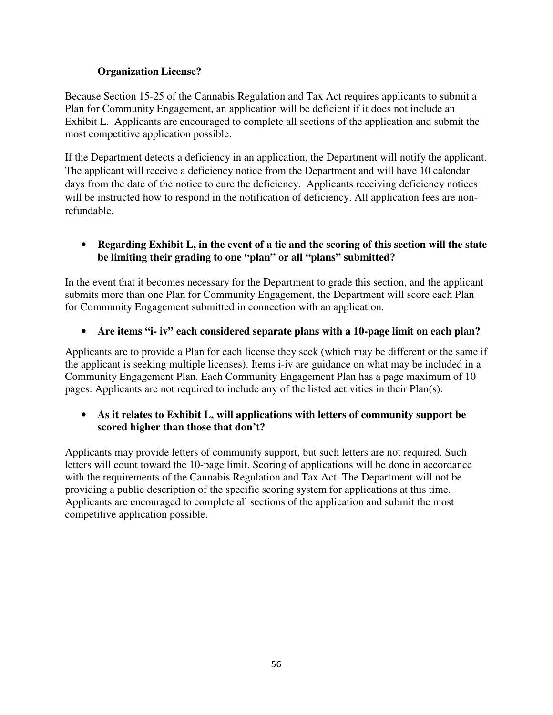### **Organization License?**

Because Section 15-25 of the Cannabis Regulation and Tax Act requires applicants to submit a Plan for Community Engagement, an application will be deficient if it does not include an Exhibit L. Applicants are encouraged to complete all sections of the application and submit the most competitive application possible.

If the Department detects a deficiency in an application, the Department will notify the applicant. The applicant will receive a deficiency notice from the Department and will have 10 calendar days from the date of the notice to cure the deficiency. Applicants receiving deficiency notices will be instructed how to respond in the notification of deficiency. All application fees are nonrefundable.

### • **Regarding Exhibit L, in the event of a tie and the scoring of this section will the state be limiting their grading to one "plan" or all "plans" submitted?**

In the event that it becomes necessary for the Department to grade this section, and the applicant submits more than one Plan for Community Engagement, the Department will score each Plan for Community Engagement submitted in connection with an application.

• **Are items "i- iv" each considered separate plans with a 10-page limit on each plan?** 

Applicants are to provide a Plan for each license they seek (which may be different or the same if the applicant is seeking multiple licenses). Items i-iv are guidance on what may be included in a Community Engagement Plan. Each Community Engagement Plan has a page maximum of 10 pages. Applicants are not required to include any of the listed activities in their Plan(s).

### • **As it relates to Exhibit L, will applications with letters of community support be scored higher than those that don't?**

Applicants may provide letters of community support, but such letters are not required. Such letters will count toward the 10-page limit. Scoring of applications will be done in accordance with the requirements of the Cannabis Regulation and Tax Act. The Department will not be providing a public description of the specific scoring system for applications at this time. Applicants are encouraged to complete all sections of the application and submit the most competitive application possible.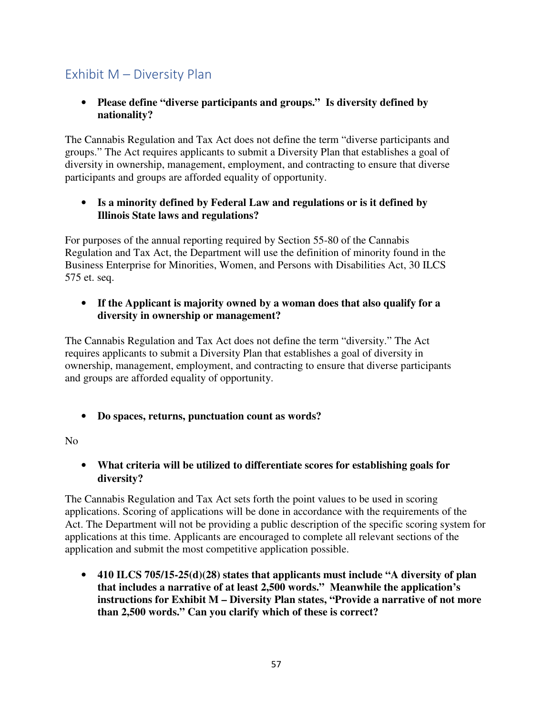# Exhibit M – Diversity Plan

• **Please define "diverse participants and groups." Is diversity defined by nationality?** 

The Cannabis Regulation and Tax Act does not define the term "diverse participants and groups." The Act requires applicants to submit a Diversity Plan that establishes a goal of diversity in ownership, management, employment, and contracting to ensure that diverse participants and groups are afforded equality of opportunity.

### • **Is a minority defined by Federal Law and regulations or is it defined by Illinois State laws and regulations?**

For purposes of the annual reporting required by Section 55-80 of the Cannabis Regulation and Tax Act, the Department will use the definition of minority found in the Business Enterprise for Minorities, Women, and Persons with Disabilities Act, 30 ILCS 575 et. seq.

### • **If the Applicant is majority owned by a woman does that also qualify for a diversity in ownership or management?**

The Cannabis Regulation and Tax Act does not define the term "diversity." The Act requires applicants to submit a Diversity Plan that establishes a goal of diversity in ownership, management, employment, and contracting to ensure that diverse participants and groups are afforded equality of opportunity.

• **Do spaces, returns, punctuation count as words?** 

No

## • **What criteria will be utilized to differentiate scores for establishing goals for diversity?**

The Cannabis Regulation and Tax Act sets forth the point values to be used in scoring applications. Scoring of applications will be done in accordance with the requirements of the Act. The Department will not be providing a public description of the specific scoring system for applications at this time. Applicants are encouraged to complete all relevant sections of the application and submit the most competitive application possible.

• **410 ILCS 705/15-25(d)(28) states that applicants must include "A diversity of plan that includes a narrative of at least 2,500 words." Meanwhile the application's instructions for Exhibit M – Diversity Plan states, "Provide a narrative of not more than 2,500 words." Can you clarify which of these is correct?**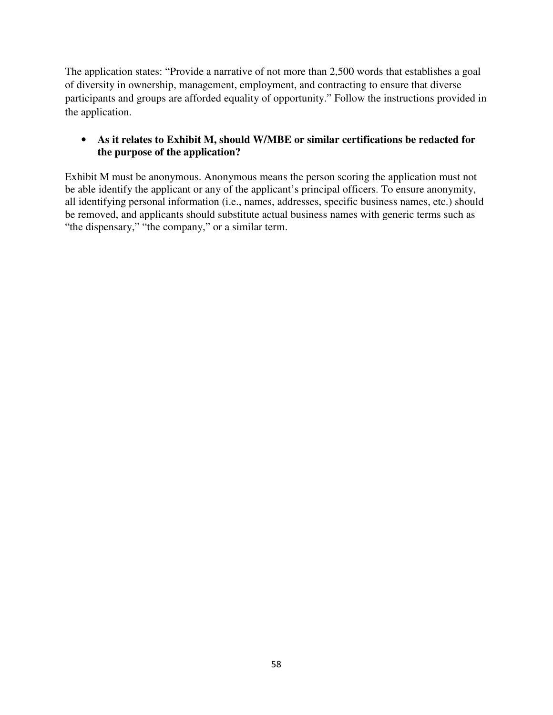The application states: "Provide a narrative of not more than 2,500 words that establishes a goal of diversity in ownership, management, employment, and contracting to ensure that diverse participants and groups are afforded equality of opportunity." Follow the instructions provided in the application.

### • **As it relates to Exhibit M, should W/MBE or similar certifications be redacted for the purpose of the application?**

Exhibit M must be anonymous. Anonymous means the person scoring the application must not be able identify the applicant or any of the applicant's principal officers. To ensure anonymity, all identifying personal information (i.e., names, addresses, specific business names, etc.) should be removed, and applicants should substitute actual business names with generic terms such as "the dispensary," "the company," or a similar term.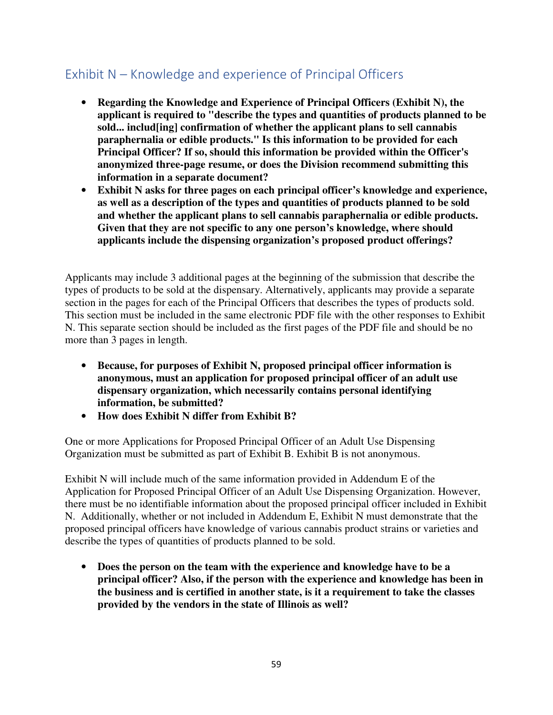# Exhibit N – Knowledge and experience of Principal Officers

- **Regarding the Knowledge and Experience of Principal Officers (Exhibit N), the applicant is required to "describe the types and quantities of products planned to be sold... includ[ing] confirmation of whether the applicant plans to sell cannabis paraphernalia or edible products." Is this information to be provided for each Principal Officer? If so, should this information be provided within the Officer's anonymized three-page resume, or does the Division recommend submitting this information in a separate document?**
- **Exhibit N asks for three pages on each principal officer's knowledge and experience, as well as a description of the types and quantities of products planned to be sold and whether the applicant plans to sell cannabis paraphernalia or edible products. Given that they are not specific to any one person's knowledge, where should applicants include the dispensing organization's proposed product offerings?**

Applicants may include 3 additional pages at the beginning of the submission that describe the types of products to be sold at the dispensary. Alternatively, applicants may provide a separate section in the pages for each of the Principal Officers that describes the types of products sold. This section must be included in the same electronic PDF file with the other responses to Exhibit N. This separate section should be included as the first pages of the PDF file and should be no more than 3 pages in length.

- **Because, for purposes of Exhibit N, proposed principal officer information is anonymous, must an application for proposed principal officer of an adult use dispensary organization, which necessarily contains personal identifying information, be submitted?**
- **How does Exhibit N differ from Exhibit B?**

One or more Applications for Proposed Principal Officer of an Adult Use Dispensing Organization must be submitted as part of Exhibit B. Exhibit B is not anonymous.

Exhibit N will include much of the same information provided in Addendum E of the Application for Proposed Principal Officer of an Adult Use Dispensing Organization. However, there must be no identifiable information about the proposed principal officer included in Exhibit N. Additionally, whether or not included in Addendum E, Exhibit N must demonstrate that the proposed principal officers have knowledge of various cannabis product strains or varieties and describe the types of quantities of products planned to be sold.

• **Does the person on the team with the experience and knowledge have to be a principal officer? Also, if the person with the experience and knowledge has been in the business and is certified in another state, is it a requirement to take the classes provided by the vendors in the state of Illinois as well?**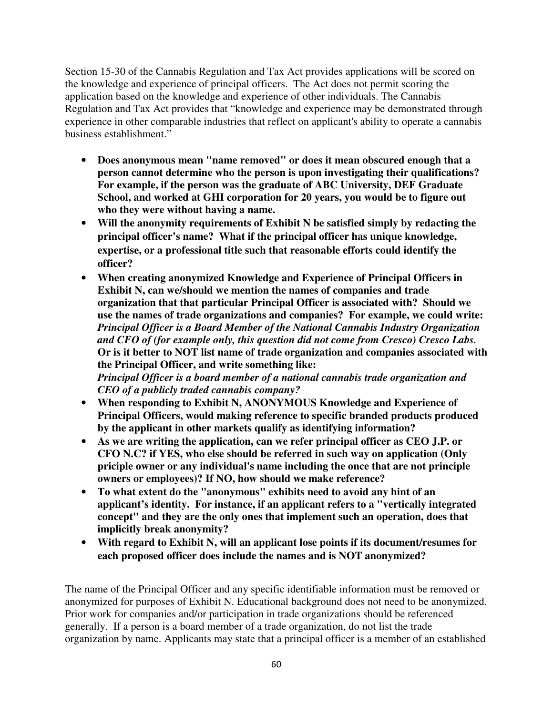Section 15-30 of the Cannabis Regulation and Tax Act provides applications will be scored on the knowledge and experience of principal officers. The Act does not permit scoring the application based on the knowledge and experience of other individuals. The Cannabis Regulation and Tax Act provides that "knowledge and experience may be demonstrated through experience in other comparable industries that reflect on applicant's ability to operate a cannabis business establishment."

- **Does anonymous mean "name removed" or does it mean obscured enough that a person cannot determine who the person is upon investigating their qualifications? For example, if the person was the graduate of ABC University, DEF Graduate School, and worked at GHI corporation for 20 years, you would be to figure out who they were without having a name.**
- **Will the anonymity requirements of Exhibit N be satisfied simply by redacting the principal officer's name? What if the principal officer has unique knowledge, expertise, or a professional title such that reasonable efforts could identify the officer?**
- **When creating anonymized Knowledge and Experience of Principal Officers in Exhibit N, can we/should we mention the names of companies and trade organization that that particular Principal Officer is associated with? Should we use the names of trade organizations and companies? For example, we could write:**  *Principal Officer is a Board Member of the National Cannabis Industry Organization and CFO of (for example only, this question did not come from Cresco) Cresco Labs.* **Or is it better to NOT list name of trade organization and companies associated with the Principal Officer, and write something like:**  *Principal Officer is a board member of a national cannabis trade organization and CEO of a publicly traded cannabis company?*
- **When responding to Exhibit N, ANONYMOUS Knowledge and Experience of Principal Officers, would making reference to specific branded products produced by the applicant in other markets qualify as identifying information?**
- **As we are writing the application, can we refer principal officer as CEO J.P. or CFO N.C? if YES, who else should be referred in such way on application (Only priciple owner or any individual's name including the once that are not principle owners or employees)? If NO, how should we make reference?**
- **To what extent do the "anonymous" exhibits need to avoid any hint of an applicant's identity. For instance, if an applicant refers to a "vertically integrated concept" and they are the only ones that implement such an operation, does that implicitly break anonymity?**
- **With regard to Exhibit N, will an applicant lose points if its document/resumes for each proposed officer does include the names and is NOT anonymized?**

The name of the Principal Officer and any specific identifiable information must be removed or anonymized for purposes of Exhibit N. Educational background does not need to be anonymized. Prior work for companies and/or participation in trade organizations should be referenced generally. If a person is a board member of a trade organization, do not list the trade organization by name. Applicants may state that a principal officer is a member of an established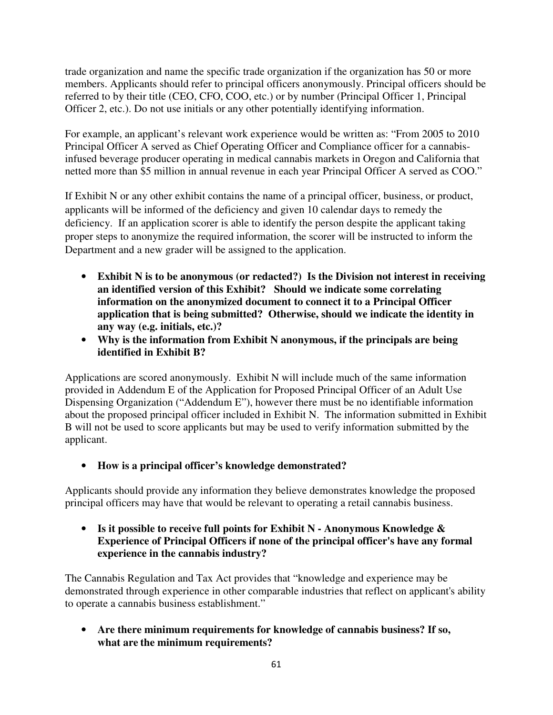trade organization and name the specific trade organization if the organization has 50 or more members. Applicants should refer to principal officers anonymously. Principal officers should be referred to by their title (CEO, CFO, COO, etc.) or by number (Principal Officer 1, Principal Officer 2, etc.). Do not use initials or any other potentially identifying information.

For example, an applicant's relevant work experience would be written as: "From 2005 to 2010 Principal Officer A served as Chief Operating Officer and Compliance officer for a cannabisinfused beverage producer operating in medical cannabis markets in Oregon and California that netted more than \$5 million in annual revenue in each year Principal Officer A served as COO."

If Exhibit N or any other exhibit contains the name of a principal officer, business, or product, applicants will be informed of the deficiency and given 10 calendar days to remedy the deficiency. If an application scorer is able to identify the person despite the applicant taking proper steps to anonymize the required information, the scorer will be instructed to inform the Department and a new grader will be assigned to the application.

- **Exhibit N is to be anonymous (or redacted?) Is the Division not interest in receiving an identified version of this Exhibit? Should we indicate some correlating information on the anonymized document to connect it to a Principal Officer application that is being submitted? Otherwise, should we indicate the identity in any way (e.g. initials, etc.)?**
- **Why is the information from Exhibit N anonymous, if the principals are being identified in Exhibit B?**

Applications are scored anonymously. Exhibit N will include much of the same information provided in Addendum E of the Application for Proposed Principal Officer of an Adult Use Dispensing Organization ("Addendum E"), however there must be no identifiable information about the proposed principal officer included in Exhibit N. The information submitted in Exhibit B will not be used to score applicants but may be used to verify information submitted by the applicant.

• **How is a principal officer's knowledge demonstrated?** 

Applicants should provide any information they believe demonstrates knowledge the proposed principal officers may have that would be relevant to operating a retail cannabis business.

• **Is it possible to receive full points for Exhibit N - Anonymous Knowledge & Experience of Principal Officers if none of the principal officer's have any formal experience in the cannabis industry?** 

The Cannabis Regulation and Tax Act provides that "knowledge and experience may be demonstrated through experience in other comparable industries that reflect on applicant's ability to operate a cannabis business establishment."

• **Are there minimum requirements for knowledge of cannabis business? If so, what are the minimum requirements?**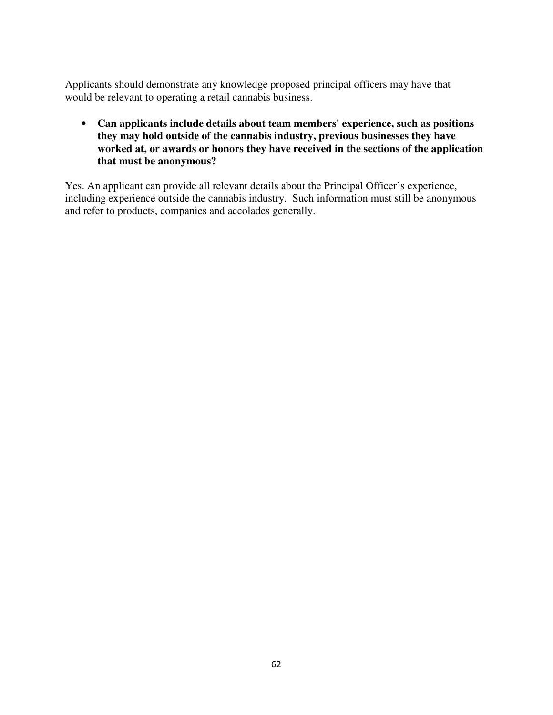Applicants should demonstrate any knowledge proposed principal officers may have that would be relevant to operating a retail cannabis business.

• **Can applicants include details about team members' experience, such as positions they may hold outside of the cannabis industry, previous businesses they have worked at, or awards or honors they have received in the sections of the application that must be anonymous?** 

Yes. An applicant can provide all relevant details about the Principal Officer's experience, including experience outside the cannabis industry. Such information must still be anonymous and refer to products, companies and accolades generally.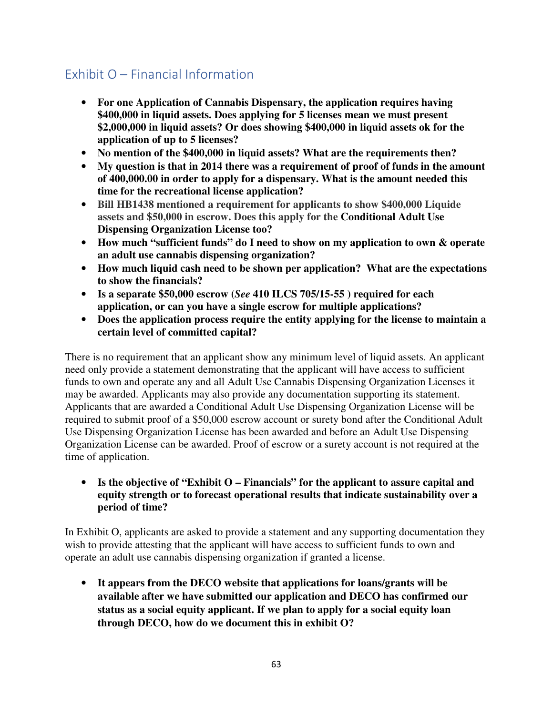# Exhibit O – Financial Information

- **For one Application of Cannabis Dispensary, the application requires having \$400,000 in liquid assets. Does applying for 5 licenses mean we must present \$2,000,000 in liquid assets? Or does showing \$400,000 in liquid assets ok for the application of up to 5 licenses?**
- **No mention of the \$400,000 in liquid assets? What are the requirements then?**
- **My question is that in 2014 there was a requirement of proof of funds in the amount of 400,000.00 in order to apply for a dispensary. What is the amount needed this time for the recreational license application?**
- **Bill HB1438 mentioned a requirement for applicants to show \$400,000 Liquide assets and \$50,000 in escrow. Does this apply for the Conditional Adult Use Dispensing Organization License too?**
- **How much "sufficient funds" do I need to show on my application to own & operate an adult use cannabis dispensing organization?**
- **How much liquid cash need to be shown per application? What are the expectations to show the financials?**
- **Is a separate \$50,000 escrow (***See* **410 ILCS 705/15-55 ) required for each application, or can you have a single escrow for multiple applications?**
- **Does the application process require the entity applying for the license to maintain a certain level of committed capital?**

There is no requirement that an applicant show any minimum level of liquid assets. An applicant need only provide a statement demonstrating that the applicant will have access to sufficient funds to own and operate any and all Adult Use Cannabis Dispensing Organization Licenses it may be awarded. Applicants may also provide any documentation supporting its statement. Applicants that are awarded a Conditional Adult Use Dispensing Organization License will be required to submit proof of a \$50,000 escrow account or surety bond after the Conditional Adult Use Dispensing Organization License has been awarded and before an Adult Use Dispensing Organization License can be awarded. Proof of escrow or a surety account is not required at the time of application.

#### • **Is the objective of "Exhibit O – Financials" for the applicant to assure capital and equity strength or to forecast operational results that indicate sustainability over a period of time?**

In Exhibit O, applicants are asked to provide a statement and any supporting documentation they wish to provide attesting that the applicant will have access to sufficient funds to own and operate an adult use cannabis dispensing organization if granted a license.

• **It appears from the DECO website that applications for loans/grants will be available after we have submitted our application and DECO has confirmed our status as a social equity applicant. If we plan to apply for a social equity loan through DECO, how do we document this in exhibit O?**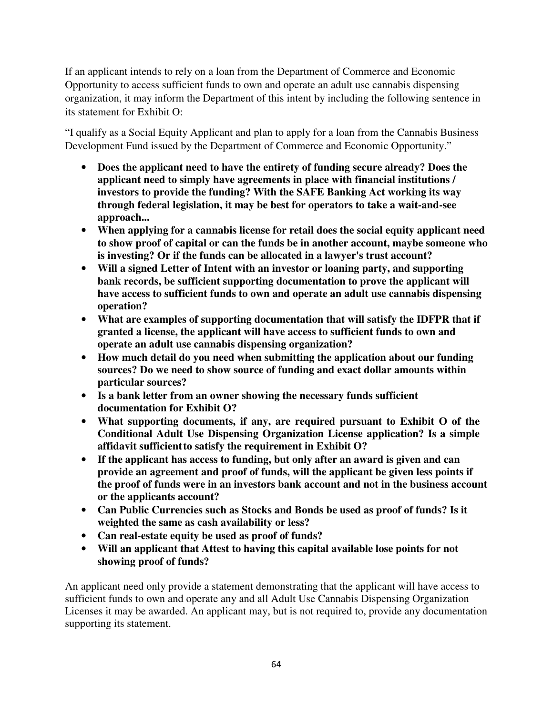If an applicant intends to rely on a loan from the Department of Commerce and Economic Opportunity to access sufficient funds to own and operate an adult use cannabis dispensing organization, it may inform the Department of this intent by including the following sentence in its statement for Exhibit O:

"I qualify as a Social Equity Applicant and plan to apply for a loan from the Cannabis Business Development Fund issued by the Department of Commerce and Economic Opportunity."

- **Does the applicant need to have the entirety of funding secure already? Does the applicant need to simply have agreements in place with financial institutions / investors to provide the funding? With the SAFE Banking Act working its way through federal legislation, it may be best for operators to take a wait-and-see approach...**
- **When applying for a cannabis license for retail does the social equity applicant need to show proof of capital or can the funds be in another account, maybe someone who is investing? Or if the funds can be allocated in a lawyer's trust account?**
- **Will a signed Letter of Intent with an investor or loaning party, and supporting bank records, be sufficient supporting documentation to prove the applicant will have access to sufficient funds to own and operate an adult use cannabis dispensing operation?**
- **What are examples of supporting documentation that will satisfy the IDFPR that if granted a license, the applicant will have access to sufficient funds to own and operate an adult use cannabis dispensing organization?**
- **How much detail do you need when submitting the application about our funding sources? Do we need to show source of funding and exact dollar amounts within particular sources?**
- **Is a bank letter from an owner showing the necessary funds sufficient documentation for Exhibit O?**
- **What supporting documents, if any, are required pursuant to Exhibit O of the Conditional Adult Use Dispensing Organization License application? Is a simple affidavit sufficient to satisfy the requirement in Exhibit O?**
- **If the applicant has access to funding, but only after an award is given and can provide an agreement and proof of funds, will the applicant be given less points if the proof of funds were in an investors bank account and not in the business account or the applicants account?**
- **Can Public Currencies such as Stocks and Bonds be used as proof of funds? Is it weighted the same as cash availability or less?**
- **Can real-estate equity be used as proof of funds?**
- **Will an applicant that Attest to having this capital available lose points for not showing proof of funds?**

An applicant need only provide a statement demonstrating that the applicant will have access to sufficient funds to own and operate any and all Adult Use Cannabis Dispensing Organization Licenses it may be awarded. An applicant may, but is not required to, provide any documentation supporting its statement.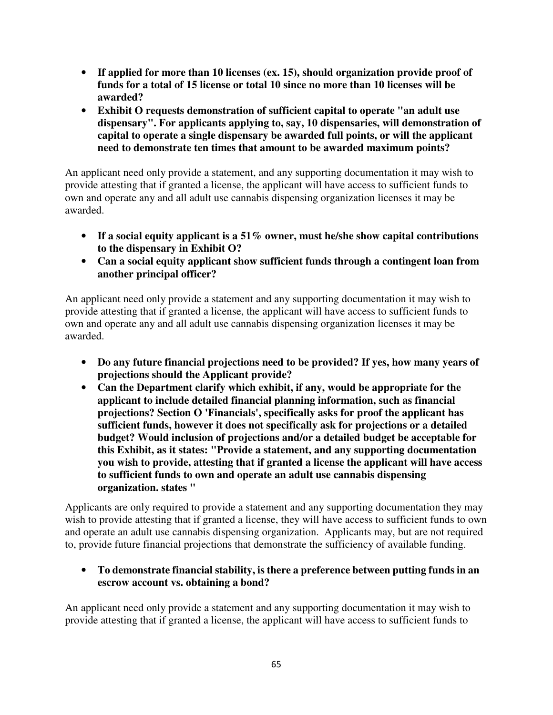- **If applied for more than 10 licenses (ex. 15), should organization provide proof of funds for a total of 15 license or total 10 since no more than 10 licenses will be awarded?**
- **Exhibit O requests demonstration of sufficient capital to operate "an adult use dispensary". For applicants applying to, say, 10 dispensaries, will demonstration of capital to operate a single dispensary be awarded full points, or will the applicant need to demonstrate ten times that amount to be awarded maximum points?**

An applicant need only provide a statement, and any supporting documentation it may wish to provide attesting that if granted a license, the applicant will have access to sufficient funds to own and operate any and all adult use cannabis dispensing organization licenses it may be awarded.

- **If a social equity applicant is a 51% owner, must he/she show capital contributions to the dispensary in Exhibit O?**
- **Can a social equity applicant show sufficient funds through a contingent loan from another principal officer?**

An applicant need only provide a statement and any supporting documentation it may wish to provide attesting that if granted a license, the applicant will have access to sufficient funds to own and operate any and all adult use cannabis dispensing organization licenses it may be awarded.

- **Do any future financial projections need to be provided? If yes, how many years of projections should the Applicant provide?**
- **Can the Department clarify which exhibit, if any, would be appropriate for the applicant to include detailed financial planning information, such as financial projections? Section O 'Financials', specifically asks for proof the applicant has sufficient funds, however it does not specifically ask for projections or a detailed budget? Would inclusion of projections and/or a detailed budget be acceptable for this Exhibit, as it states: "Provide a statement, and any supporting documentation you wish to provide, attesting that if granted a license the applicant will have access to sufficient funds to own and operate an adult use cannabis dispensing organization. states "**

Applicants are only required to provide a statement and any supporting documentation they may wish to provide attesting that if granted a license, they will have access to sufficient funds to own and operate an adult use cannabis dispensing organization. Applicants may, but are not required to, provide future financial projections that demonstrate the sufficiency of available funding.

### • **To demonstrate financial stability, is there a preference between putting funds in an escrow account vs. obtaining a bond?**

An applicant need only provide a statement and any supporting documentation it may wish to provide attesting that if granted a license, the applicant will have access to sufficient funds to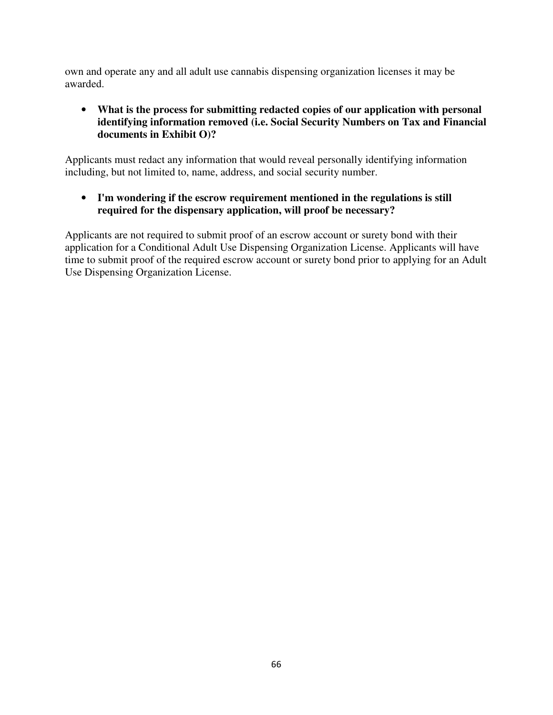own and operate any and all adult use cannabis dispensing organization licenses it may be awarded.

### • **What is the process for submitting redacted copies of our application with personal identifying information removed (i.e. Social Security Numbers on Tax and Financial documents in Exhibit O)?**

Applicants must redact any information that would reveal personally identifying information including, but not limited to, name, address, and social security number.

• **I'm wondering if the escrow requirement mentioned in the regulations is still required for the dispensary application, will proof be necessary?** 

Applicants are not required to submit proof of an escrow account or surety bond with their application for a Conditional Adult Use Dispensing Organization License. Applicants will have time to submit proof of the required escrow account or surety bond prior to applying for an Adult Use Dispensing Organization License.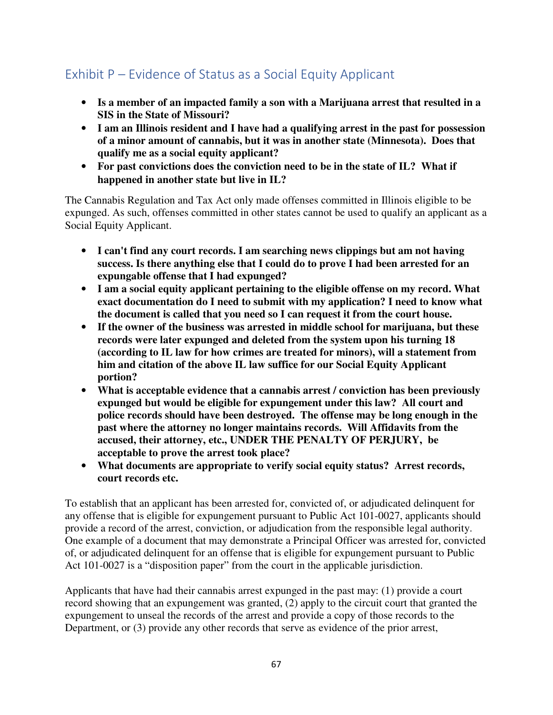# Exhibit P – Evidence of Status as a Social Equity Applicant

- **Is a member of an impacted family a son with a Marijuana arrest that resulted in a SIS in the State of Missouri?**
- **I am an Illinois resident and I have had a qualifying arrest in the past for possession of a minor amount of cannabis, but it was in another state (Minnesota). Does that qualify me as a social equity applicant?**
- **For past convictions does the conviction need to be in the state of IL? What if happened in another state but live in IL?**

The Cannabis Regulation and Tax Act only made offenses committed in Illinois eligible to be expunged. As such, offenses committed in other states cannot be used to qualify an applicant as a Social Equity Applicant.

- **I can't find any court records. I am searching news clippings but am not having success. Is there anything else that I could do to prove I had been arrested for an expungable offense that I had expunged?**
- **I am a social equity applicant pertaining to the eligible offense on my record. What exact documentation do I need to submit with my application? I need to know what the document is called that you need so I can request it from the court house.**
- **If the owner of the business was arrested in middle school for marijuana, but these records were later expunged and deleted from the system upon his turning 18 (according to IL law for how crimes are treated for minors), will a statement from him and citation of the above IL law suffice for our Social Equity Applicant portion?**
- **What is acceptable evidence that a cannabis arrest / conviction has been previously expunged but would be eligible for expungement under this law? All court and police records should have been destroyed. The offense may be long enough in the past where the attorney no longer maintains records. Will Affidavits from the accused, their attorney, etc., UNDER THE PENALTY OF PERJURY, be acceptable to prove the arrest took place?**
- **What documents are appropriate to verify social equity status? Arrest records, court records etc.**

To establish that an applicant has been arrested for, convicted of, or adjudicated delinquent for any offense that is eligible for expungement pursuant to Public Act 101-0027, applicants should provide a record of the arrest, conviction, or adjudication from the responsible legal authority. One example of a document that may demonstrate a Principal Officer was arrested for, convicted of, or adjudicated delinquent for an offense that is eligible for expungement pursuant to Public Act 101-0027 is a "disposition paper" from the court in the applicable jurisdiction.

Applicants that have had their cannabis arrest expunged in the past may: (1) provide a court record showing that an expungement was granted, (2) apply to the circuit court that granted the expungement to unseal the records of the arrest and provide a copy of those records to the Department, or (3) provide any other records that serve as evidence of the prior arrest,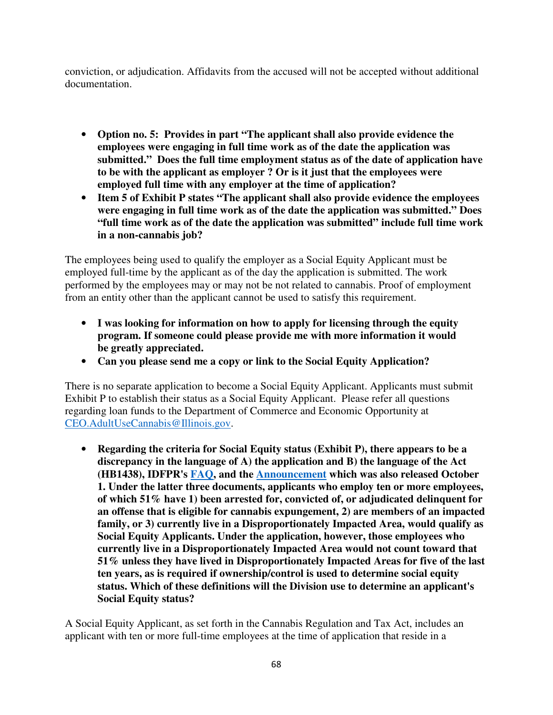conviction, or adjudication. Affidavits from the accused will not be accepted without additional documentation.

- **Option no. 5: Provides in part "The applicant shall also provide evidence the employees were engaging in full time work as of the date the application was submitted." Does the full time employment status as of the date of application have to be with the applicant as employer ? Or is it just that the employees were employed full time with any employer at the time of application?**
- **Item 5 of Exhibit P states "The applicant shall also provide evidence the employees were engaging in full time work as of the date the application was submitted." Does "full time work as of the date the application was submitted" include full time work in a non-cannabis job?**

The employees being used to qualify the employer as a Social Equity Applicant must be employed full-time by the applicant as of the day the application is submitted. The work performed by the employees may or may not be not related to cannabis. Proof of employment from an entity other than the applicant cannot be used to satisfy this requirement.

- **I was looking for information on how to apply for licensing through the equity program. If someone could please provide me with more information it would be greatly appreciated.**
- **Can you please send me a copy or link to the Social Equity Application?**

There is no separate application to become a Social Equity Applicant. Applicants must submit Exhibit P to establish their status as a Social Equity Applicant. Please refer all questions regarding loan funds to the Department of Commerce and Economic Opportunity at CEO.AdultUseCannabis@Illinois.gov.

• **Regarding the criteria for Social Equity status (Exhibit P), there appears to be a discrepancy in the language of A) the application and B) the language of the Act (HB1438), IDFPR's FAQ, and the Announcement which was also released October 1. Under the latter three documents, applicants who employ ten or more employees, of which 51% have 1) been arrested for, convicted of, or adjudicated delinquent for an offense that is eligible for cannabis expungement, 2) are members of an impacted family, or 3) currently live in a Disproportionately Impacted Area, would qualify as Social Equity Applicants. Under the application, however, those employees who currently live in a Disproportionately Impacted Area would not count toward that 51% unless they have lived in Disproportionately Impacted Areas for five of the last ten years, as is required if ownership/control is used to determine social equity status. Which of these definitions will the Division use to determine an applicant's Social Equity status?** 

A Social Equity Applicant, as set forth in the Cannabis Regulation and Tax Act, includes an applicant with ten or more full-time employees at the time of application that reside in a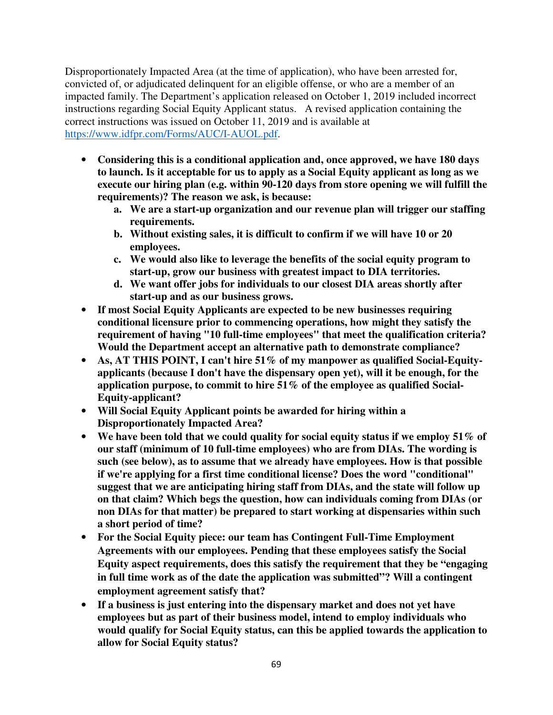Disproportionately Impacted Area (at the time of application), who have been arrested for, convicted of, or adjudicated delinquent for an eligible offense, or who are a member of an impacted family. The Department's application released on October 1, 2019 included incorrect instructions regarding Social Equity Applicant status. A revised application containing the correct instructions was issued on October 11, 2019 and is available at https://www.idfpr.com/Forms/AUC/I-AUOL.pdf.

- **Considering this is a conditional application and, once approved, we have 180 days to launch. Is it acceptable for us to apply as a Social Equity applicant as long as we execute our hiring plan (e.g. within 90-120 days from store opening we will fulfill the requirements)? The reason we ask, is because:** 
	- **a. We are a start-up organization and our revenue plan will trigger our staffing requirements.**
	- **b. Without existing sales, it is difficult to confirm if we will have 10 or 20 employees.**
	- **c. We would also like to leverage the benefits of the social equity program to start-up, grow our business with greatest impact to DIA territories.**
	- **d. We want offer jobs for individuals to our closest DIA areas shortly after start-up and as our business grows.**
- **If most Social Equity Applicants are expected to be new businesses requiring conditional licensure prior to commencing operations, how might they satisfy the requirement of having "10 full-time employees" that meet the qualification criteria? Would the Department accept an alternative path to demonstrate compliance?**
- **As, AT THIS POINT, I can't hire 51% of my manpower as qualified Social-Equityapplicants (because I don't have the dispensary open yet), will it be enough, for the application purpose, to commit to hire 51% of the employee as qualified Social-Equity-applicant?**
- **Will Social Equity Applicant points be awarded for hiring within a Disproportionately Impacted Area?**
- **We have been told that we could quality for social equity status if we employ 51% of our staff (minimum of 10 full-time employees) who are from DIAs. The wording is such (see below), as to assume that we already have employees. How is that possible if we're applying for a first time conditional license? Does the word "conditional" suggest that we are anticipating hiring staff from DIAs, and the state will follow up on that claim? Which begs the question, how can individuals coming from DIAs (or non DIAs for that matter) be prepared to start working at dispensaries within such a short period of time?**
- **For the Social Equity piece: our team has Contingent Full-Time Employment Agreements with our employees. Pending that these employees satisfy the Social Equity aspect requirements, does this satisfy the requirement that they be "engaging in full time work as of the date the application was submitted"? Will a contingent employment agreement satisfy that?**
- **If a business is just entering into the dispensary market and does not yet have employees but as part of their business model, intend to employ individuals who would qualify for Social Equity status, can this be applied towards the application to allow for Social Equity status?**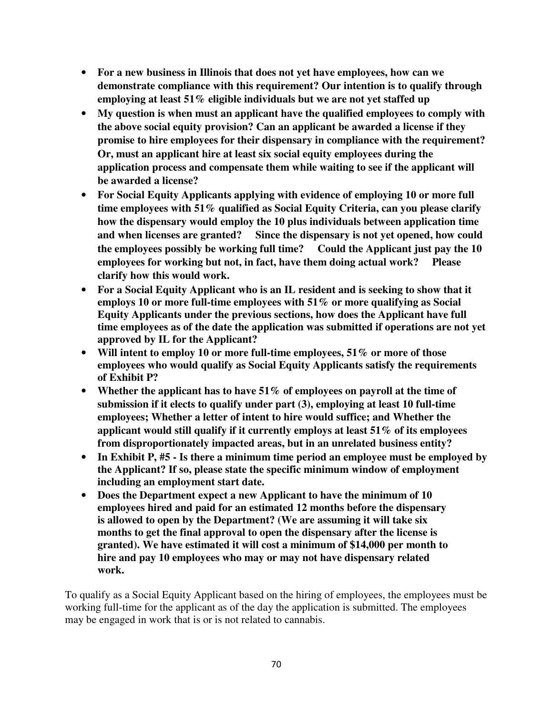- **For a new business in Illinois that does not yet have employees, how can we demonstrate compliance with this requirement? Our intention is to qualify through employing at least 51% eligible individuals but we are not yet staffed up**
- **My question is when must an applicant have the qualified employees to comply with the above social equity provision? Can an applicant be awarded a license if they promise to hire employees for their dispensary in compliance with the requirement? Or, must an applicant hire at least six social equity employees during the application process and compensate them while waiting to see if the applicant will be awarded a license?**
- **For Social Equity Applicants applying with evidence of employing 10 or more full time employees with 51% qualified as Social Equity Criteria, can you please clarify how the dispensary would employ the 10 plus individuals between application time and when licenses are granted? Since the dispensary is not yet opened, how could the employees possibly be working full time? Could the Applicant just pay the 10 employees for working but not, in fact, have them doing actual work? Please clarify how this would work.**
- **For a Social Equity Applicant who is an IL resident and is seeking to show that it employs 10 or more full-time employees with 51% or more qualifying as Social Equity Applicants under the previous sections, how does the Applicant have full time employees as of the date the application was submitted if operations are not yet approved by IL for the Applicant?**
- **Will intent to employ 10 or more full-time employees, 51% or more of those employees who would qualify as Social Equity Applicants satisfy the requirements of Exhibit P?**
- **Whether the applicant has to have 51% of employees on payroll at the time of submission if it elects to qualify under part (3), employing at least 10 full-time employees; Whether a letter of intent to hire would suffice; and Whether the applicant would still qualify if it currently employs at least 51% of its employees from disproportionately impacted areas, but in an unrelated business entity?**
- **In Exhibit P, #5 Is there a minimum time period an employee must be employed by the Applicant? If so, please state the specific minimum window of employment including an employment start date.**
- **Does the Department expect a new Applicant to have the minimum of 10 employees hired and paid for an estimated 12 months before the dispensary is allowed to open by the Department? (We are assuming it will take six months to get the final approval to open the dispensary after the license is granted). We have estimated it will cost a minimum of \$14,000 per month to hire and pay 10 employees who may or may not have dispensary related work.**

To qualify as a Social Equity Applicant based on the hiring of employees, the employees must be working full-time for the applicant as of the day the application is submitted. The employees may be engaged in work that is or is not related to cannabis.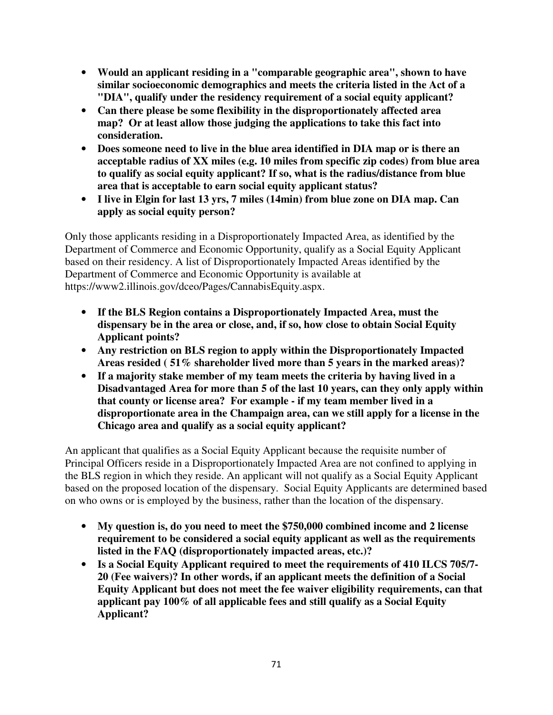- **Would an applicant residing in a "comparable geographic area", shown to have similar socioeconomic demographics and meets the criteria listed in the Act of a "DIA", qualify under the residency requirement of a social equity applicant?**
- **Can there please be some flexibility in the disproportionately affected area map? Or at least allow those judging the applications to take this fact into consideration.**
- **Does someone need to live in the blue area identified in DIA map or is there an acceptable radius of XX miles (e.g. 10 miles from specific zip codes) from blue area to qualify as social equity applicant? If so, what is the radius/distance from blue area that is acceptable to earn social equity applicant status?**
- **I live in Elgin for last 13 yrs, 7 miles (14min) from blue zone on DIA map. Can apply as social equity person?**

Only those applicants residing in a Disproportionately Impacted Area, as identified by the Department of Commerce and Economic Opportunity, qualify as a Social Equity Applicant based on their residency. A list of Disproportionately Impacted Areas identified by the Department of Commerce and Economic Opportunity is available at https://www2.illinois.gov/dceo/Pages/CannabisEquity.aspx.

- **If the BLS Region contains a Disproportionately Impacted Area, must the dispensary be in the area or close, and, if so, how close to obtain Social Equity Applicant points?**
- **Any restriction on BLS region to apply within the Disproportionately Impacted Areas resided ( 51% shareholder lived more than 5 years in the marked areas)?**
- **If a majority stake member of my team meets the criteria by having lived in a Disadvantaged Area for more than 5 of the last 10 years, can they only apply within that county or license area? For example - if my team member lived in a disproportionate area in the Champaign area, can we still apply for a license in the Chicago area and qualify as a social equity applicant?**

An applicant that qualifies as a Social Equity Applicant because the requisite number of Principal Officers reside in a Disproportionately Impacted Area are not confined to applying in the BLS region in which they reside. An applicant will not qualify as a Social Equity Applicant based on the proposed location of the dispensary. Social Equity Applicants are determined based on who owns or is employed by the business, rather than the location of the dispensary.

- **My question is, do you need to meet the \$750,000 combined income and 2 license requirement to be considered a social equity applicant as well as the requirements listed in the FAQ (disproportionately impacted areas, etc.)?**
- **Is a Social Equity Applicant required to meet the requirements of 410 ILCS 705/7- 20 (Fee waivers)? In other words, if an applicant meets the definition of a Social Equity Applicant but does not meet the fee waiver eligibility requirements, can that applicant pay 100% of all applicable fees and still qualify as a Social Equity Applicant?**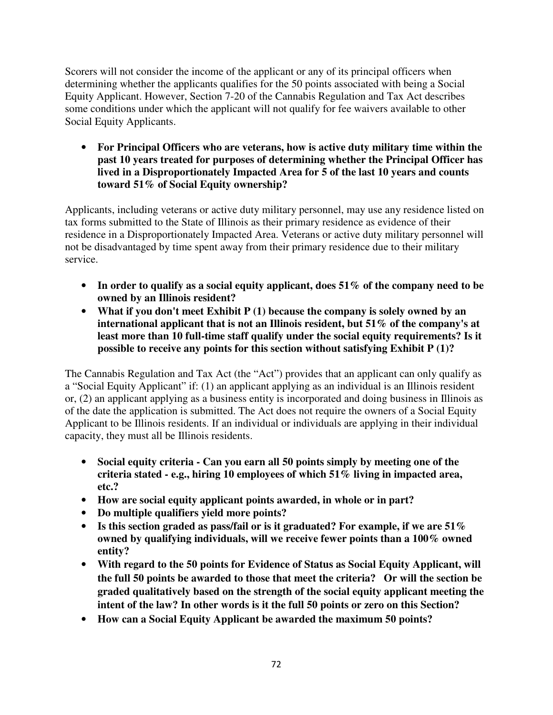Scorers will not consider the income of the applicant or any of its principal officers when determining whether the applicants qualifies for the 50 points associated with being a Social Equity Applicant. However, Section 7-20 of the Cannabis Regulation and Tax Act describes some conditions under which the applicant will not qualify for fee waivers available to other Social Equity Applicants.

• **For Principal Officers who are veterans, how is active duty military time within the past 10 years treated for purposes of determining whether the Principal Officer has lived in a Disproportionately Impacted Area for 5 of the last 10 years and counts toward 51% of Social Equity ownership?**

Applicants, including veterans or active duty military personnel, may use any residence listed on tax forms submitted to the State of Illinois as their primary residence as evidence of their residence in a Disproportionately Impacted Area. Veterans or active duty military personnel will not be disadvantaged by time spent away from their primary residence due to their military service.

- In order to qualify as a social equity applicant, does 51% of the company need to be **owned by an Illinois resident?**
- **What if you don't meet Exhibit P (1) because the company is solely owned by an international applicant that is not an Illinois resident, but 51% of the company's at least more than 10 full-time staff qualify under the social equity requirements? Is it possible to receive any points for this section without satisfying Exhibit P (1)?**

The Cannabis Regulation and Tax Act (the "Act") provides that an applicant can only qualify as a "Social Equity Applicant" if: (1) an applicant applying as an individual is an Illinois resident or, (2) an applicant applying as a business entity is incorporated and doing business in Illinois as of the date the application is submitted. The Act does not require the owners of a Social Equity Applicant to be Illinois residents. If an individual or individuals are applying in their individual capacity, they must all be Illinois residents.

- **Social equity criteria Can you earn all 50 points simply by meeting one of the criteria stated - e.g., hiring 10 employees of which 51% living in impacted area, etc.?**
- **How are social equity applicant points awarded, in whole or in part?**
- **Do multiple qualifiers yield more points?**
- **Is this section graded as pass/fail or is it graduated? For example, if we are 51% owned by qualifying individuals, will we receive fewer points than a 100% owned entity?**
- **With regard to the 50 points for Evidence of Status as Social Equity Applicant, will the full 50 points be awarded to those that meet the criteria? Or will the section be graded qualitatively based on the strength of the social equity applicant meeting the intent of the law? In other words is it the full 50 points or zero on this Section?**
- **How can a Social Equity Applicant be awarded the maximum 50 points?**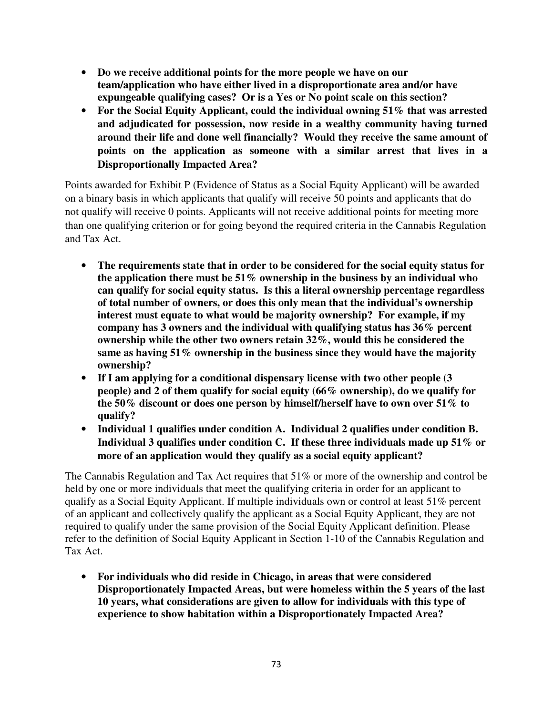- **Do we receive additional points for the more people we have on our team/application who have either lived in a disproportionate area and/or have expungeable qualifying cases? Or is a Yes or No point scale on this section?**
- **For the Social Equity Applicant, could the individual owning 51% that was arrested and adjudicated for possession, now reside in a wealthy community having turned around their life and done well financially? Would they receive the same amount of points on the application as someone with a similar arrest that lives in a Disproportionally Impacted Area?**

Points awarded for Exhibit P (Evidence of Status as a Social Equity Applicant) will be awarded on a binary basis in which applicants that qualify will receive 50 points and applicants that do not qualify will receive 0 points. Applicants will not receive additional points for meeting more than one qualifying criterion or for going beyond the required criteria in the Cannabis Regulation and Tax Act.

- **The requirements state that in order to be considered for the social equity status for the application there must be 51% ownership in the business by an individual who can qualify for social equity status. Is this a literal ownership percentage regardless of total number of owners, or does this only mean that the individual's ownership interest must equate to what would be majority ownership? For example, if my company has 3 owners and the individual with qualifying status has 36% percent ownership while the other two owners retain 32%, would this be considered the same as having 51% ownership in the business since they would have the majority ownership?**
- **If I am applying for a conditional dispensary license with two other people (3 people) and 2 of them qualify for social equity (66% ownership), do we qualify for the 50% discount or does one person by himself/herself have to own over 51% to qualify?**
- **Individual 1 qualifies under condition A. Individual 2 qualifies under condition B. Individual 3 qualifies under condition C. If these three individuals made up 51% or more of an application would they qualify as a social equity applicant?**

The Cannabis Regulation and Tax Act requires that 51% or more of the ownership and control be held by one or more individuals that meet the qualifying criteria in order for an applicant to qualify as a Social Equity Applicant. If multiple individuals own or control at least 51% percent of an applicant and collectively qualify the applicant as a Social Equity Applicant, they are not required to qualify under the same provision of the Social Equity Applicant definition. Please refer to the definition of Social Equity Applicant in Section 1-10 of the Cannabis Regulation and Tax Act.

• **For individuals who did reside in Chicago, in areas that were considered Disproportionately Impacted Areas, but were homeless within the 5 years of the last 10 years, what considerations are given to allow for individuals with this type of experience to show habitation within a Disproportionately Impacted Area?**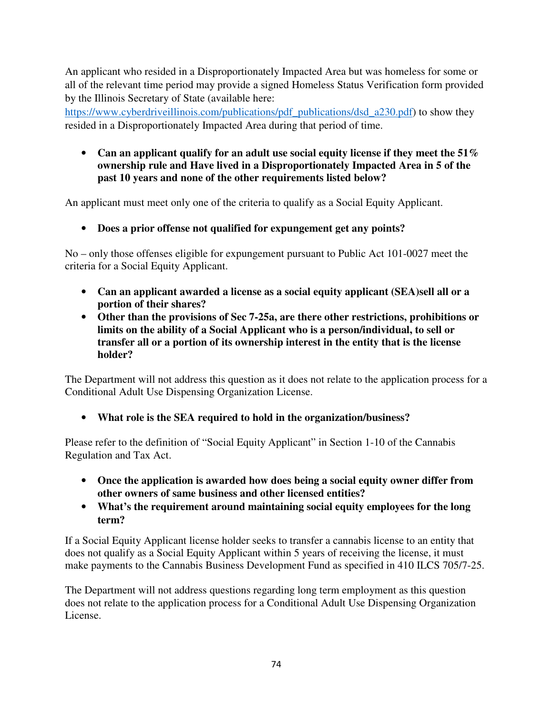An applicant who resided in a Disproportionately Impacted Area but was homeless for some or all of the relevant time period may provide a signed Homeless Status Verification form provided by the Illinois Secretary of State (available here:

https://www.cyberdriveillinois.com/publications/pdf\_publications/dsd\_a230.pdf) to show they resided in a Disproportionately Impacted Area during that period of time.

• **Can an applicant qualify for an adult use social equity license if they meet the 51% ownership rule and Have lived in a Disproportionately Impacted Area in 5 of the past 10 years and none of the other requirements listed below?** 

An applicant must meet only one of the criteria to qualify as a Social Equity Applicant.

• **Does a prior offense not qualified for expungement get any points?** 

No – only those offenses eligible for expungement pursuant to Public Act 101-0027 meet the criteria for a Social Equity Applicant.

- **Can an applicant awarded a license as a social equity applicant (SEA)sell all or a portion of their shares?**
- **Other than the provisions of Sec 7-25a, are there other restrictions, prohibitions or limits on the ability of a Social Applicant who is a person/individual, to sell or transfer all or a portion of its ownership interest in the entity that is the license holder?**

The Department will not address this question as it does not relate to the application process for a Conditional Adult Use Dispensing Organization License.

• **What role is the SEA required to hold in the organization/business?** 

Please refer to the definition of "Social Equity Applicant" in Section 1-10 of the Cannabis Regulation and Tax Act.

- **Once the application is awarded how does being a social equity owner differ from other owners of same business and other licensed entities?**
- **What's the requirement around maintaining social equity employees for the long term?**

If a Social Equity Applicant license holder seeks to transfer a cannabis license to an entity that does not qualify as a Social Equity Applicant within 5 years of receiving the license, it must make payments to the Cannabis Business Development Fund as specified in 410 ILCS 705/7-25.

The Department will not address questions regarding long term employment as this question does not relate to the application process for a Conditional Adult Use Dispensing Organization License.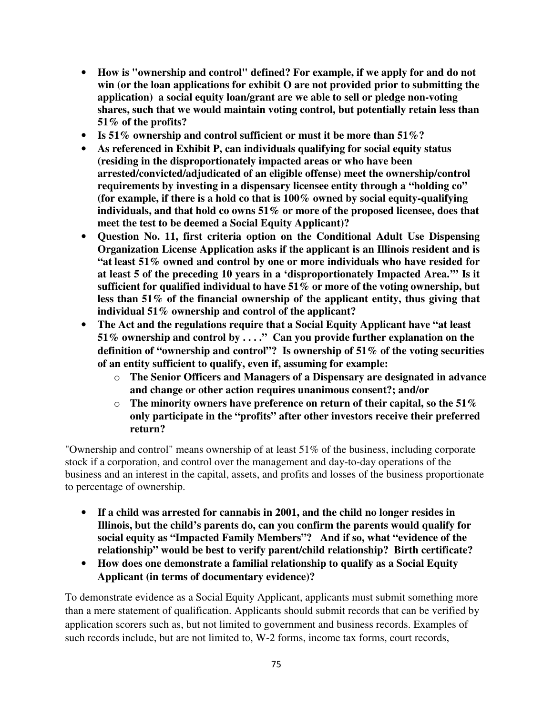- **How is "ownership and control" defined? For example, if we apply for and do not win (or the loan applications for exhibit O are not provided prior to submitting the application) a social equity loan/grant are we able to sell or pledge non-voting shares, such that we would maintain voting control, but potentially retain less than 51% of the profits?**
- **Is 51% ownership and control sufficient or must it be more than 51%?**
- **As referenced in Exhibit P, can individuals qualifying for social equity status (residing in the disproportionately impacted areas or who have been arrested/convicted/adjudicated of an eligible offense) meet the ownership/control requirements by investing in a dispensary licensee entity through a "holding co" (for example, if there is a hold co that is 100% owned by social equity-qualifying individuals, and that hold co owns 51% or more of the proposed licensee, does that meet the test to be deemed a Social Equity Applicant)?**
- **Question No. 11, first criteria option on the Conditional Adult Use Dispensing Organization License Application asks if the applicant is an Illinois resident and is "at least 51% owned and control by one or more individuals who have resided for at least 5 of the preceding 10 years in a 'disproportionately Impacted Area.'" Is it sufficient for qualified individual to have 51% or more of the voting ownership, but less than 51% of the financial ownership of the applicant entity, thus giving that individual 51% ownership and control of the applicant?**
- **The Act and the regulations require that a Social Equity Applicant have "at least 51% ownership and control by . . . ." Can you provide further explanation on the definition of "ownership and control"? Is ownership of 51% of the voting securities of an entity sufficient to qualify, even if, assuming for example:** 
	- o **The Senior Officers and Managers of a Dispensary are designated in advance and change or other action requires unanimous consent?; and/or**
	- o **The minority owners have preference on return of their capital, so the 51% only participate in the "profits" after other investors receive their preferred return?**

"Ownership and control" means ownership of at least 51% of the business, including corporate stock if a corporation, and control over the management and day-to-day operations of the business and an interest in the capital, assets, and profits and losses of the business proportionate to percentage of ownership.

- **If a child was arrested for cannabis in 2001, and the child no longer resides in Illinois, but the child's parents do, can you confirm the parents would qualify for social equity as "Impacted Family Members"? And if so, what "evidence of the relationship" would be best to verify parent/child relationship? Birth certificate?**
- **How does one demonstrate a familial relationship to qualify as a Social Equity Applicant (in terms of documentary evidence)?**

To demonstrate evidence as a Social Equity Applicant, applicants must submit something more than a mere statement of qualification. Applicants should submit records that can be verified by application scorers such as, but not limited to government and business records. Examples of such records include, but are not limited to, W-2 forms, income tax forms, court records,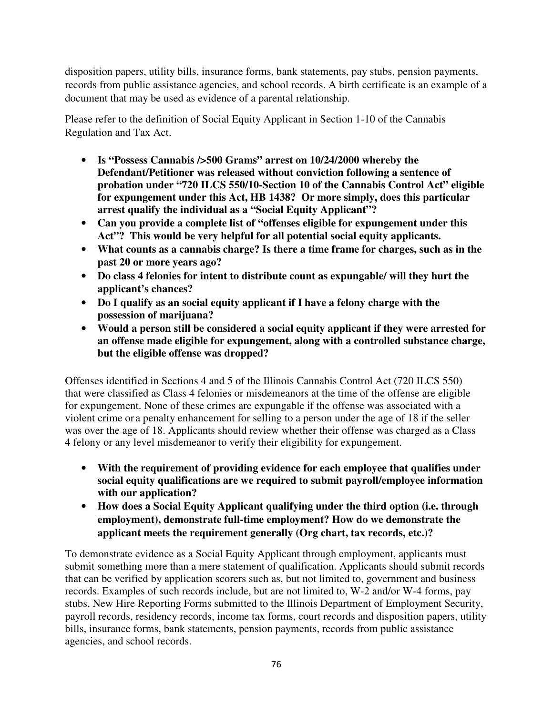disposition papers, utility bills, insurance forms, bank statements, pay stubs, pension payments, records from public assistance agencies, and school records. A birth certificate is an example of a document that may be used as evidence of a parental relationship.

Please refer to the definition of Social Equity Applicant in Section 1-10 of the Cannabis Regulation and Tax Act.

- **Is "Possess Cannabis />500 Grams" arrest on 10/24/2000 whereby the Defendant/Petitioner was released without conviction following a sentence of probation under "720 ILCS 550/10-Section 10 of the Cannabis Control Act" eligible for expungement under this Act, HB 1438? Or more simply, does this particular arrest qualify the individual as a "Social Equity Applicant"?**
- **Can you provide a complete list of "offenses eligible for expungement under this Act"? This would be very helpful for all potential social equity applicants.**
- **What counts as a cannabis charge? Is there a time frame for charges, such as in the past 20 or more years ago?**
- **Do class 4 felonies for intent to distribute count as expungable/ will they hurt the applicant's chances?**
- **Do I qualify as an social equity applicant if I have a felony charge with the possession of marijuana?**
- **Would a person still be considered a social equity applicant if they were arrested for an offense made eligible for expungement, along with a controlled substance charge, but the eligible offense was dropped?**

Offenses identified in Sections 4 and 5 of the Illinois Cannabis Control Act (720 ILCS 550) that were classified as Class 4 felonies or misdemeanors at the time of the offense are eligible for expungement. None of these crimes are expungable if the offense was associated with a violent crime or a penalty enhancement for selling to a person under the age of 18 if the seller was over the age of 18. Applicants should review whether their offense was charged as a Class 4 felony or any level misdemeanor to verify their eligibility for expungement.

- **With the requirement of providing evidence for each employee that qualifies under social equity qualifications are we required to submit payroll/employee information with our application?**
- **How does a Social Equity Applicant qualifying under the third option (i.e. through employment), demonstrate full-time employment? How do we demonstrate the applicant meets the requirement generally (Org chart, tax records, etc.)?**

To demonstrate evidence as a Social Equity Applicant through employment, applicants must submit something more than a mere statement of qualification. Applicants should submit records that can be verified by application scorers such as, but not limited to, government and business records. Examples of such records include, but are not limited to, W-2 and/or W-4 forms, pay stubs, New Hire Reporting Forms submitted to the Illinois Department of Employment Security, payroll records, residency records, income tax forms, court records and disposition papers, utility bills, insurance forms, bank statements, pension payments, records from public assistance agencies, and school records.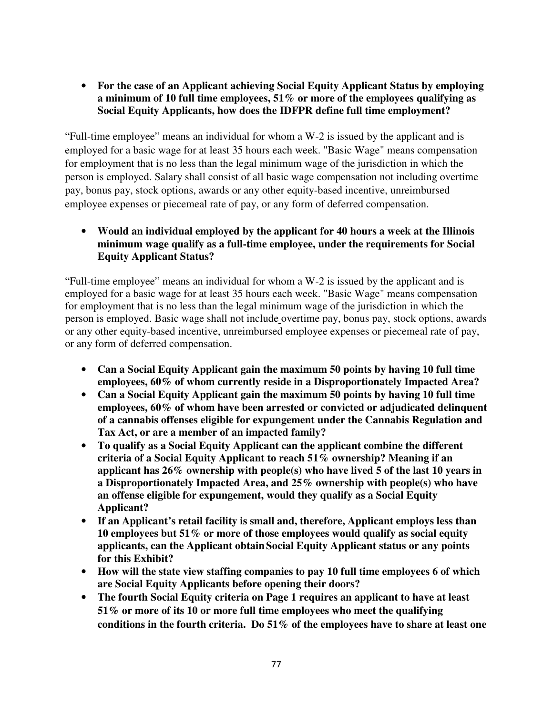• **For the case of an Applicant achieving Social Equity Applicant Status by employing a minimum of 10 full time employees, 51% or more of the employees qualifying as Social Equity Applicants, how does the IDFPR define full time employment?** 

"Full-time employee" means an individual for whom a W-2 is issued by the applicant and is employed for a basic wage for at least 35 hours each week. "Basic Wage" means compensation for employment that is no less than the legal minimum wage of the jurisdiction in which the person is employed. Salary shall consist of all basic wage compensation not including overtime pay, bonus pay, stock options, awards or any other equity-based incentive, unreimbursed employee expenses or piecemeal rate of pay, or any form of deferred compensation.

• **Would an individual employed by the applicant for 40 hours a week at the Illinois minimum wage qualify as a full-time employee, under the requirements for Social Equity Applicant Status?** 

"Full-time employee" means an individual for whom a W-2 is issued by the applicant and is employed for a basic wage for at least 35 hours each week. "Basic Wage" means compensation for employment that is no less than the legal minimum wage of the jurisdiction in which the person is employed. Basic wage shall not include overtime pay, bonus pay, stock options, awards or any other equity-based incentive, unreimbursed employee expenses or piecemeal rate of pay, or any form of deferred compensation.

- **Can a Social Equity Applicant gain the maximum 50 points by having 10 full time employees, 60% of whom currently reside in a Disproportionately Impacted Area?**
- **Can a Social Equity Applicant gain the maximum 50 points by having 10 full time employees, 60% of whom have been arrested or convicted or adjudicated delinquent of a cannabis offenses eligible for expungement under the Cannabis Regulation and Tax Act, or are a member of an impacted family?**
- **To qualify as a Social Equity Applicant can the applicant combine the different criteria of a Social Equity Applicant to reach 51% ownership? Meaning if an applicant has 26% ownership with people(s) who have lived 5 of the last 10 years in a Disproportionately Impacted Area, and 25% ownership with people(s) who have an offense eligible for expungement, would they qualify as a Social Equity Applicant?**
- **If an Applicant's retail facility is small and, therefore, Applicant employs less than 10 employees but 51% or more of those employees would qualify as social equity applicants, can the Applicant obtain Social Equity Applicant status or any points for this Exhibit?**
- **How will the state view staffing companies to pay 10 full time employees 6 of which are Social Equity Applicants before opening their doors?**
- **The fourth Social Equity criteria on Page 1 requires an applicant to have at least 51% or more of its 10 or more full time employees who meet the qualifying conditions in the fourth criteria. Do 51% of the employees have to share at least one**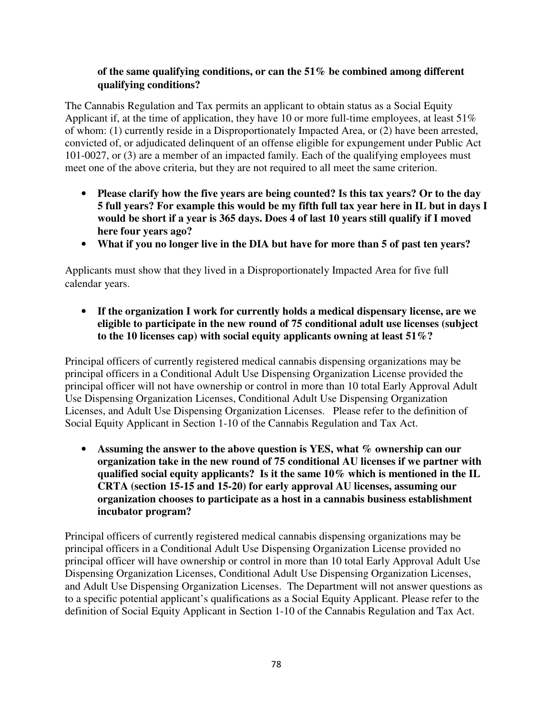### **of the same qualifying conditions, or can the 51% be combined among different qualifying conditions?**

The Cannabis Regulation and Tax permits an applicant to obtain status as a Social Equity Applicant if, at the time of application, they have 10 or more full-time employees, at least 51% of whom: (1) currently reside in a Disproportionately Impacted Area, or (2) have been arrested, convicted of, or adjudicated delinquent of an offense eligible for expungement under Public Act 101-0027, or (3) are a member of an impacted family. Each of the qualifying employees must meet one of the above criteria, but they are not required to all meet the same criterion.

- **Please clarify how the five years are being counted? Is this tax years? Or to the day 5 full years? For example this would be my fifth full tax year here in IL but in days I would be short if a year is 365 days. Does 4 of last 10 years still qualify if I moved here four years ago?**
- **What if you no longer live in the DIA but have for more than 5 of past ten years?**

Applicants must show that they lived in a Disproportionately Impacted Area for five full calendar years.

• **If the organization I work for currently holds a medical dispensary license, are we eligible to participate in the new round of 75 conditional adult use licenses (subject to the 10 licenses cap) with social equity applicants owning at least 51%?** 

Principal officers of currently registered medical cannabis dispensing organizations may be principal officers in a Conditional Adult Use Dispensing Organization License provided the principal officer will not have ownership or control in more than 10 total Early Approval Adult Use Dispensing Organization Licenses, Conditional Adult Use Dispensing Organization Licenses, and Adult Use Dispensing Organization Licenses. Please refer to the definition of Social Equity Applicant in Section 1-10 of the Cannabis Regulation and Tax Act.

• **Assuming the answer to the above question is YES, what % ownership can our organization take in the new round of 75 conditional AU licenses if we partner with qualified social equity applicants? Is it the same 10% which is mentioned in the IL CRTA (section 15-15 and 15-20) for early approval AU licenses, assuming our organization chooses to participate as a host in a cannabis business establishment incubator program?** 

Principal officers of currently registered medical cannabis dispensing organizations may be principal officers in a Conditional Adult Use Dispensing Organization License provided no principal officer will have ownership or control in more than 10 total Early Approval Adult Use Dispensing Organization Licenses, Conditional Adult Use Dispensing Organization Licenses, and Adult Use Dispensing Organization Licenses. The Department will not answer questions as to a specific potential applicant's qualifications as a Social Equity Applicant. Please refer to the definition of Social Equity Applicant in Section 1-10 of the Cannabis Regulation and Tax Act.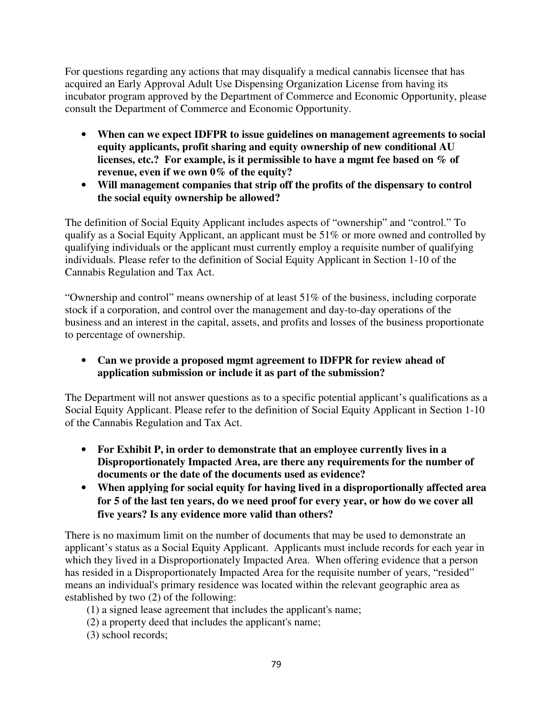For questions regarding any actions that may disqualify a medical cannabis licensee that has acquired an Early Approval Adult Use Dispensing Organization License from having its incubator program approved by the Department of Commerce and Economic Opportunity, please consult the Department of Commerce and Economic Opportunity.

- **When can we expect IDFPR to issue guidelines on management agreements to social equity applicants, profit sharing and equity ownership of new conditional AU licenses, etc.? For example, is it permissible to have a mgmt fee based on % of revenue, even if we own 0% of the equity?**
- **Will management companies that strip off the profits of the dispensary to control the social equity ownership be allowed?**

The definition of Social Equity Applicant includes aspects of "ownership" and "control." To qualify as a Social Equity Applicant, an applicant must be 51% or more owned and controlled by qualifying individuals or the applicant must currently employ a requisite number of qualifying individuals. Please refer to the definition of Social Equity Applicant in Section 1-10 of the Cannabis Regulation and Tax Act.

"Ownership and control" means ownership of at least 51% of the business, including corporate stock if a corporation, and control over the management and day-to-day operations of the business and an interest in the capital, assets, and profits and losses of the business proportionate to percentage of ownership.

• **Can we provide a proposed mgmt agreement to IDFPR for review ahead of application submission or include it as part of the submission?** 

The Department will not answer questions as to a specific potential applicant's qualifications as a Social Equity Applicant. Please refer to the definition of Social Equity Applicant in Section 1-10 of the Cannabis Regulation and Tax Act.

- **For Exhibit P, in order to demonstrate that an employee currently lives in a Disproportionately Impacted Area, are there any requirements for the number of documents or the date of the documents used as evidence?**
- **When applying for social equity for having lived in a disproportionally affected area for 5 of the last ten years, do we need proof for every year, or how do we cover all five years? Is any evidence more valid than others?**

There is no maximum limit on the number of documents that may be used to demonstrate an applicant's status as a Social Equity Applicant. Applicants must include records for each year in which they lived in a Disproportionately Impacted Area. When offering evidence that a person has resided in a Disproportionately Impacted Area for the requisite number of years, "resided" means an individual's primary residence was located within the relevant geographic area as established by two (2) of the following:

- (1) a signed lease agreement that includes the applicant's name;
- (2) a property deed that includes the applicant's name;
- (3) school records;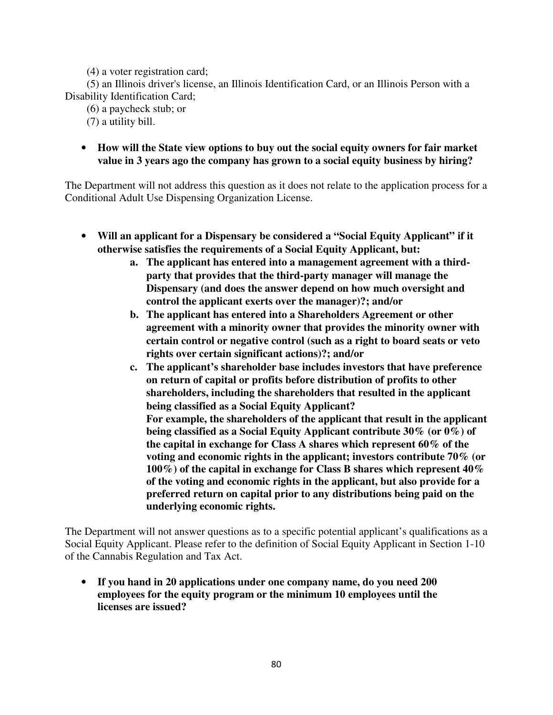(4) a voter registration card;

 (5) an Illinois driver's license, an Illinois Identification Card, or an Illinois Person with a Disability Identification Card;

 (6) a paycheck stub; or (7) a utility bill.

• **How will the State view options to buy out the social equity owners for fair market value in 3 years ago the company has grown to a social equity business by hiring?** 

The Department will not address this question as it does not relate to the application process for a Conditional Adult Use Dispensing Organization License.

- **Will an applicant for a Dispensary be considered a "Social Equity Applicant" if it otherwise satisfies the requirements of a Social Equity Applicant, but:** 
	- **a. The applicant has entered into a management agreement with a thirdparty that provides that the third-party manager will manage the Dispensary (and does the answer depend on how much oversight and control the applicant exerts over the manager)?; and/or**
	- **b. The applicant has entered into a Shareholders Agreement or other agreement with a minority owner that provides the minority owner with certain control or negative control (such as a right to board seats or veto rights over certain significant actions)?; and/or**
	- **c. The applicant's shareholder base includes investors that have preference on return of capital or profits before distribution of profits to other shareholders, including the shareholders that resulted in the applicant being classified as a Social Equity Applicant? For example, the shareholders of the applicant that result in the applicant being classified as a Social Equity Applicant contribute 30% (or 0%) of the capital in exchange for Class A shares which represent 60% of the voting and economic rights in the applicant; investors contribute 70% (or 100%) of the capital in exchange for Class B shares which represent 40% of the voting and economic rights in the applicant, but also provide for a preferred return on capital prior to any distributions being paid on the underlying economic rights.**

The Department will not answer questions as to a specific potential applicant's qualifications as a Social Equity Applicant. Please refer to the definition of Social Equity Applicant in Section 1-10 of the Cannabis Regulation and Tax Act.

• **If you hand in 20 applications under one company name, do you need 200 employees for the equity program or the minimum 10 employees until the licenses are issued?**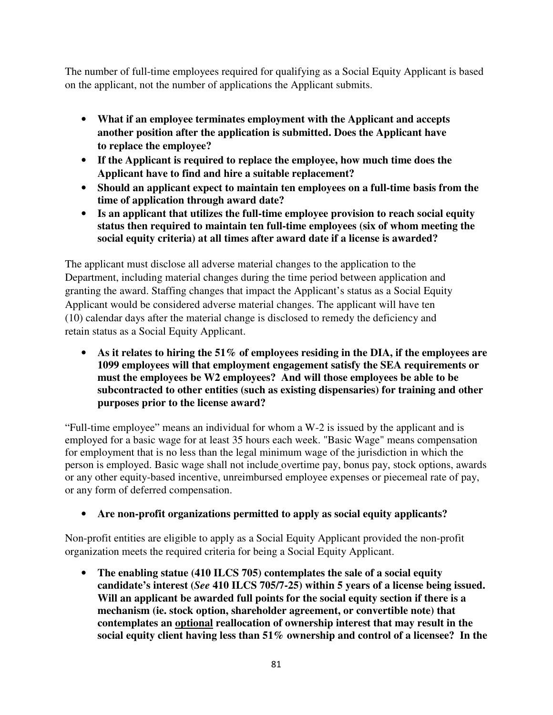The number of full-time employees required for qualifying as a Social Equity Applicant is based on the applicant, not the number of applications the Applicant submits.

- **What if an employee terminates employment with the Applicant and accepts another position after the application is submitted. Does the Applicant have to replace the employee?**
- **If the Applicant is required to replace the employee, how much time does the Applicant have to find and hire a suitable replacement?**
- **Should an applicant expect to maintain ten employees on a full-time basis from the time of application through award date?**
- **Is an applicant that utilizes the full-time employee provision to reach social equity status then required to maintain ten full-time employees (six of whom meeting the social equity criteria) at all times after award date if a license is awarded?**

The applicant must disclose all adverse material changes to the application to the Department, including material changes during the time period between application and granting the award. Staffing changes that impact the Applicant's status as a Social Equity Applicant would be considered adverse material changes. The applicant will have ten (10) calendar days after the material change is disclosed to remedy the deficiency and retain status as a Social Equity Applicant.

• **As it relates to hiring the 51% of employees residing in the DIA, if the employees are 1099 employees will that employment engagement satisfy the SEA requirements or must the employees be W2 employees? And will those employees be able to be subcontracted to other entities (such as existing dispensaries) for training and other purposes prior to the license award?** 

"Full-time employee" means an individual for whom a W-2 is issued by the applicant and is employed for a basic wage for at least 35 hours each week. "Basic Wage" means compensation for employment that is no less than the legal minimum wage of the jurisdiction in which the person is employed. Basic wage shall not include overtime pay, bonus pay, stock options, awards or any other equity-based incentive, unreimbursed employee expenses or piecemeal rate of pay, or any form of deferred compensation.

• **Are non-profit organizations permitted to apply as social equity applicants?** 

Non-profit entities are eligible to apply as a Social Equity Applicant provided the non-profit organization meets the required criteria for being a Social Equity Applicant.

• **The enabling statue (410 ILCS 705) contemplates the sale of a social equity candidate's interest (***See* **410 ILCS 705/7-25) within 5 years of a license being issued. Will an applicant be awarded full points for the social equity section if there is a mechanism (ie. stock option, shareholder agreement, or convertible note) that contemplates an optional reallocation of ownership interest that may result in the social equity client having less than 51% ownership and control of a licensee? In the**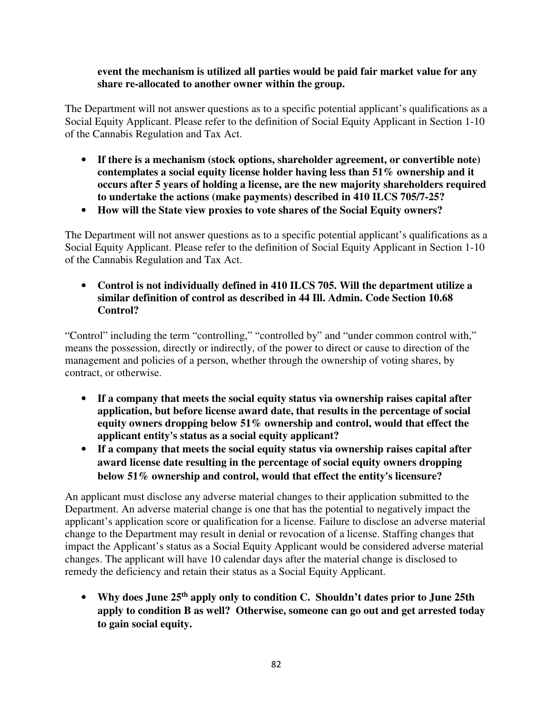#### **event the mechanism is utilized all parties would be paid fair market value for any share re-allocated to another owner within the group.**

The Department will not answer questions as to a specific potential applicant's qualifications as a Social Equity Applicant. Please refer to the definition of Social Equity Applicant in Section 1-10 of the Cannabis Regulation and Tax Act.

- **If there is a mechanism (stock options, shareholder agreement, or convertible note) contemplates a social equity license holder having less than 51% ownership and it occurs after 5 years of holding a license, are the new majority shareholders required to undertake the actions (make payments) described in 410 ILCS 705/7-25?**
- **How will the State view proxies to vote shares of the Social Equity owners?**

The Department will not answer questions as to a specific potential applicant's qualifications as a Social Equity Applicant. Please refer to the definition of Social Equity Applicant in Section 1-10 of the Cannabis Regulation and Tax Act.

• **Control is not individually defined in 410 ILCS 705. Will the department utilize a similar definition of control as described in 44 Ill. Admin. Code Section 10.68 Control?** 

"Control" including the term "controlling," "controlled by" and "under common control with," means the possession, directly or indirectly, of the power to direct or cause to direction of the management and policies of a person, whether through the ownership of voting shares, by contract, or otherwise.

- **If a company that meets the social equity status via ownership raises capital after application, but before license award date, that results in the percentage of social equity owners dropping below 51% ownership and control, would that effect the applicant entity's status as a social equity applicant?**
- **If a company that meets the social equity status via ownership raises capital after award license date resulting in the percentage of social equity owners dropping below 51% ownership and control, would that effect the entity's licensure?**

An applicant must disclose any adverse material changes to their application submitted to the Department. An adverse material change is one that has the potential to negatively impact the applicant's application score or qualification for a license. Failure to disclose an adverse material change to the Department may result in denial or revocation of a license. Staffing changes that impact the Applicant's status as a Social Equity Applicant would be considered adverse material changes. The applicant will have 10 calendar days after the material change is disclosed to remedy the deficiency and retain their status as a Social Equity Applicant.

• **Why does June 25th apply only to condition C. Shouldn't dates prior to June 25th apply to condition B as well? Otherwise, someone can go out and get arrested today to gain social equity.**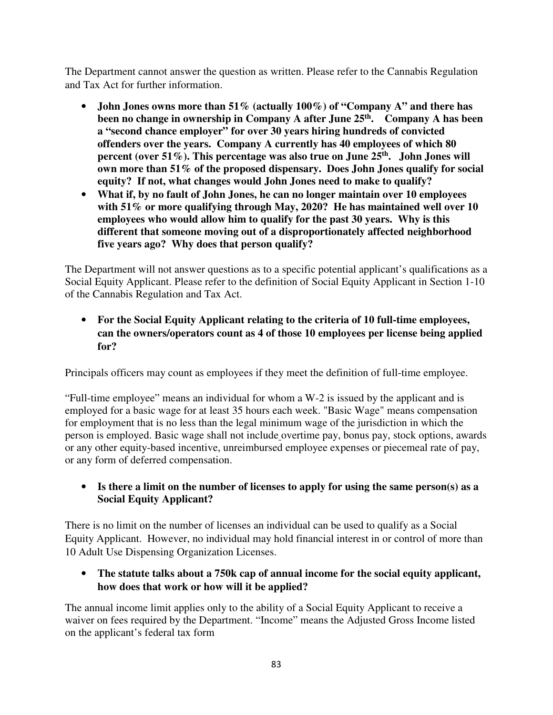The Department cannot answer the question as written. Please refer to the Cannabis Regulation and Tax Act for further information.

- **John Jones owns more than 51% (actually 100%) of "Company A" and there has been no change in ownership in Company A after June 25th. Company A has been a "second chance employer" for over 30 years hiring hundreds of convicted offenders over the years. Company A currently has 40 employees of which 80 percent (over 51%). This percentage was also true on June 25th. John Jones will own more than 51% of the proposed dispensary. Does John Jones qualify for social equity? If not, what changes would John Jones need to make to qualify?**
- **What if, by no fault of John Jones, he can no longer maintain over 10 employees with 51% or more qualifying through May, 2020? He has maintained well over 10 employees who would allow him to qualify for the past 30 years. Why is this different that someone moving out of a disproportionately affected neighborhood five years ago? Why does that person qualify?**

The Department will not answer questions as to a specific potential applicant's qualifications as a Social Equity Applicant. Please refer to the definition of Social Equity Applicant in Section 1-10 of the Cannabis Regulation and Tax Act.

• **For the Social Equity Applicant relating to the criteria of 10 full-time employees, can the owners/operators count as 4 of those 10 employees per license being applied for?** 

Principals officers may count as employees if they meet the definition of full-time employee.

"Full-time employee" means an individual for whom a W-2 is issued by the applicant and is employed for a basic wage for at least 35 hours each week. "Basic Wage" means compensation for employment that is no less than the legal minimum wage of the jurisdiction in which the person is employed. Basic wage shall not include overtime pay, bonus pay, stock options, awards or any other equity-based incentive, unreimbursed employee expenses or piecemeal rate of pay, or any form of deferred compensation.

• **Is there a limit on the number of licenses to apply for using the same person(s) as a Social Equity Applicant?** 

There is no limit on the number of licenses an individual can be used to qualify as a Social Equity Applicant. However, no individual may hold financial interest in or control of more than 10 Adult Use Dispensing Organization Licenses.

• **The statute talks about a 750k cap of annual income for the social equity applicant, how does that work or how will it be applied?** 

The annual income limit applies only to the ability of a Social Equity Applicant to receive a waiver on fees required by the Department. "Income" means the Adjusted Gross Income listed on the applicant's federal tax form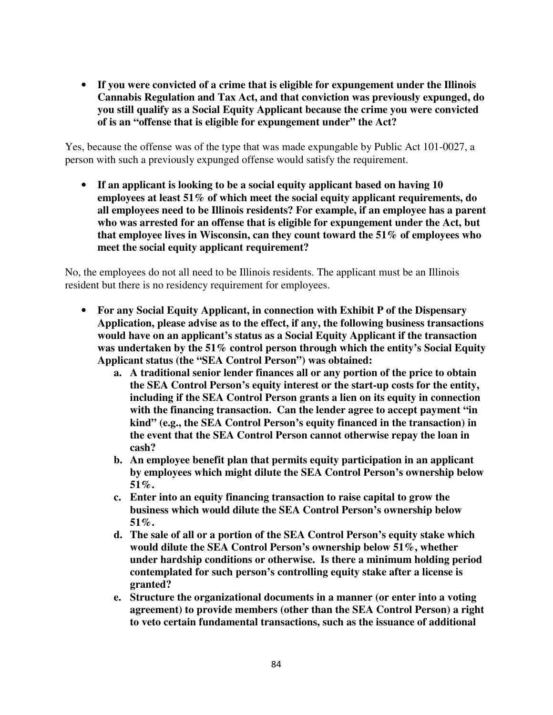• **If you were convicted of a crime that is eligible for expungement under the Illinois Cannabis Regulation and Tax Act, and that conviction was previously expunged, do you still qualify as a Social Equity Applicant because the crime you were convicted of is an "offense that is eligible for expungement under" the Act?** 

Yes, because the offense was of the type that was made expungable by Public Act 101-0027, a person with such a previously expunged offense would satisfy the requirement.

• **If an applicant is looking to be a social equity applicant based on having 10 employees at least 51% of which meet the social equity applicant requirements, do all employees need to be Illinois residents? For example, if an employee has a parent who was arrested for an offense that is eligible for expungement under the Act, but that employee lives in Wisconsin, can they count toward the 51% of employees who meet the social equity applicant requirement?** 

No, the employees do not all need to be Illinois residents. The applicant must be an Illinois resident but there is no residency requirement for employees.

- **For any Social Equity Applicant, in connection with Exhibit P of the Dispensary Application, please advise as to the effect, if any, the following business transactions would have on an applicant's status as a Social Equity Applicant if the transaction was undertaken by the 51% control person through which the entity's Social Equity Applicant status (the "SEA Control Person") was obtained:** 
	- **a. A traditional senior lender finances all or any portion of the price to obtain the SEA Control Person's equity interest or the start-up costs for the entity, including if the SEA Control Person grants a lien on its equity in connection with the financing transaction. Can the lender agree to accept payment "in kind" (e.g., the SEA Control Person's equity financed in the transaction) in the event that the SEA Control Person cannot otherwise repay the loan in cash?**
	- **b. An employee benefit plan that permits equity participation in an applicant by employees which might dilute the SEA Control Person's ownership below 51%.**
	- **c. Enter into an equity financing transaction to raise capital to grow the business which would dilute the SEA Control Person's ownership below 51%.**
	- **d. The sale of all or a portion of the SEA Control Person's equity stake which would dilute the SEA Control Person's ownership below 51%, whether under hardship conditions or otherwise. Is there a minimum holding period contemplated for such person's controlling equity stake after a license is granted?**
	- **e. Structure the organizational documents in a manner (or enter into a voting agreement) to provide members (other than the SEA Control Person) a right to veto certain fundamental transactions, such as the issuance of additional**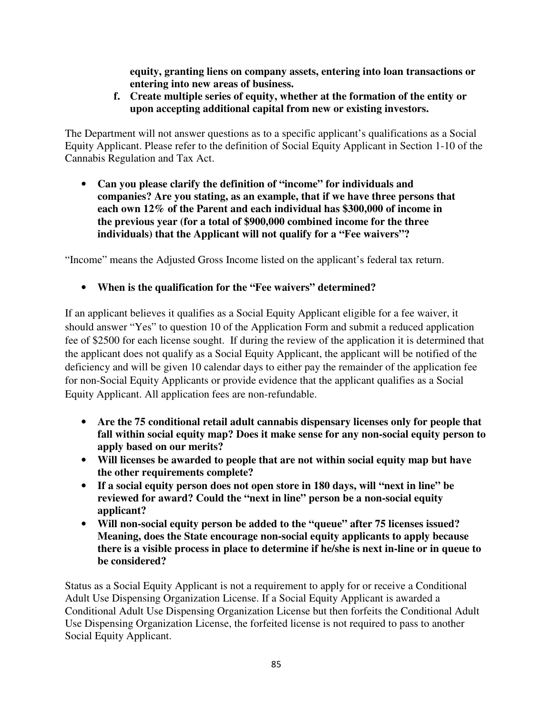**equity, granting liens on company assets, entering into loan transactions or entering into new areas of business.** 

**f. Create multiple series of equity, whether at the formation of the entity or upon accepting additional capital from new or existing investors.** 

The Department will not answer questions as to a specific applicant's qualifications as a Social Equity Applicant. Please refer to the definition of Social Equity Applicant in Section 1-10 of the Cannabis Regulation and Tax Act.

• **Can you please clarify the definition of "income" for individuals and companies? Are you stating, as an example, that if we have three persons that each own 12% of the Parent and each individual has \$300,000 of income in the previous year (for a total of \$900,000 combined income for the three individuals) that the Applicant will not qualify for a "Fee waivers"?** 

"Income" means the Adjusted Gross Income listed on the applicant's federal tax return.

• **When is the qualification for the "Fee waivers" determined?** 

If an applicant believes it qualifies as a Social Equity Applicant eligible for a fee waiver, it should answer "Yes" to question 10 of the Application Form and submit a reduced application fee of \$2500 for each license sought. If during the review of the application it is determined that the applicant does not qualify as a Social Equity Applicant, the applicant will be notified of the deficiency and will be given 10 calendar days to either pay the remainder of the application fee for non-Social Equity Applicants or provide evidence that the applicant qualifies as a Social Equity Applicant. All application fees are non-refundable.

- **Are the 75 conditional retail adult cannabis dispensary licenses only for people that fall within social equity map? Does it make sense for any non-social equity person to apply based on our merits?**
- **Will licenses be awarded to people that are not within social equity map but have the other requirements complete?**
- **If a social equity person does not open store in 180 days, will "next in line" be reviewed for award? Could the "next in line" person be a non-social equity applicant?**
- **Will non-social equity person be added to the "queue" after 75 licenses issued? Meaning, does the State encourage non-social equity applicants to apply because there is a visible process in place to determine if he/she is next in-line or in queue to be considered?**

Status as a Social Equity Applicant is not a requirement to apply for or receive a Conditional Adult Use Dispensing Organization License. If a Social Equity Applicant is awarded a Conditional Adult Use Dispensing Organization License but then forfeits the Conditional Adult Use Dispensing Organization License, the forfeited license is not required to pass to another Social Equity Applicant.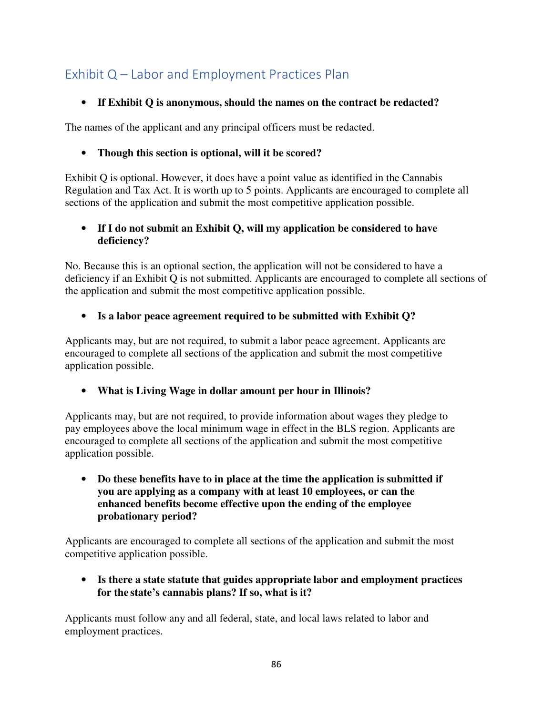# Exhibit Q – Labor and Employment Practices Plan

# • **If Exhibit Q is anonymous, should the names on the contract be redacted?**

The names of the applicant and any principal officers must be redacted.

# • **Though this section is optional, will it be scored?**

Exhibit Q is optional. However, it does have a point value as identified in the Cannabis Regulation and Tax Act. It is worth up to 5 points. Applicants are encouraged to complete all sections of the application and submit the most competitive application possible.

### • **If I do not submit an Exhibit Q, will my application be considered to have deficiency?**

No. Because this is an optional section, the application will not be considered to have a deficiency if an Exhibit Q is not submitted. Applicants are encouraged to complete all sections of the application and submit the most competitive application possible.

# • **Is a labor peace agreement required to be submitted with Exhibit Q?**

Applicants may, but are not required, to submit a labor peace agreement. Applicants are encouraged to complete all sections of the application and submit the most competitive application possible.

# • **What is Living Wage in dollar amount per hour in Illinois?**

Applicants may, but are not required, to provide information about wages they pledge to pay employees above the local minimum wage in effect in the BLS region. Applicants are encouraged to complete all sections of the application and submit the most competitive application possible.

• **Do these benefits have to in place at the time the application is submitted if you are applying as a company with at least 10 employees, or can the enhanced benefits become effective upon the ending of the employee probationary period?**

Applicants are encouraged to complete all sections of the application and submit the most competitive application possible.

• **Is there a state statute that guides appropriate labor and employment practices for the state's cannabis plans? If so, what is it?** 

Applicants must follow any and all federal, state, and local laws related to labor and employment practices.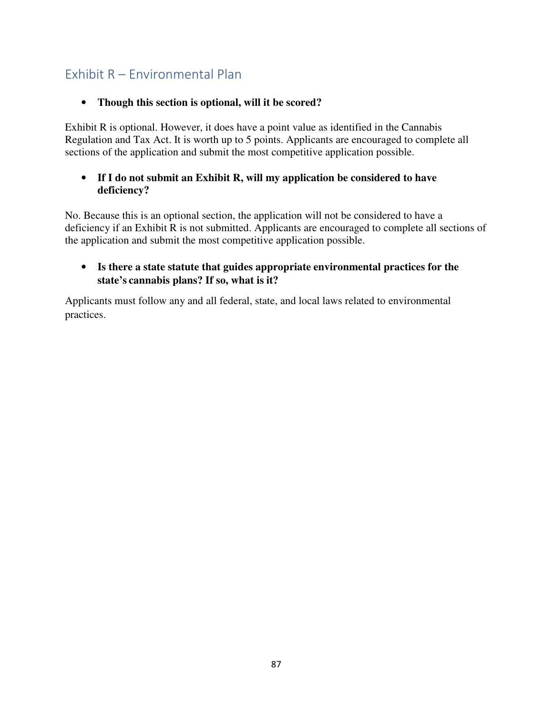# Exhibit R – Environmental Plan

• **Though this section is optional, will it be scored?**

Exhibit R is optional. However, it does have a point value as identified in the Cannabis Regulation and Tax Act. It is worth up to 5 points. Applicants are encouraged to complete all sections of the application and submit the most competitive application possible.

#### • **If I do not submit an Exhibit R, will my application be considered to have deficiency?**

No. Because this is an optional section, the application will not be considered to have a deficiency if an Exhibit R is not submitted. Applicants are encouraged to complete all sections of the application and submit the most competitive application possible.

• **Is there a state statute that guides appropriate environmental practices for the state's cannabis plans? If so, what is it?**

Applicants must follow any and all federal, state, and local laws related to environmental practices.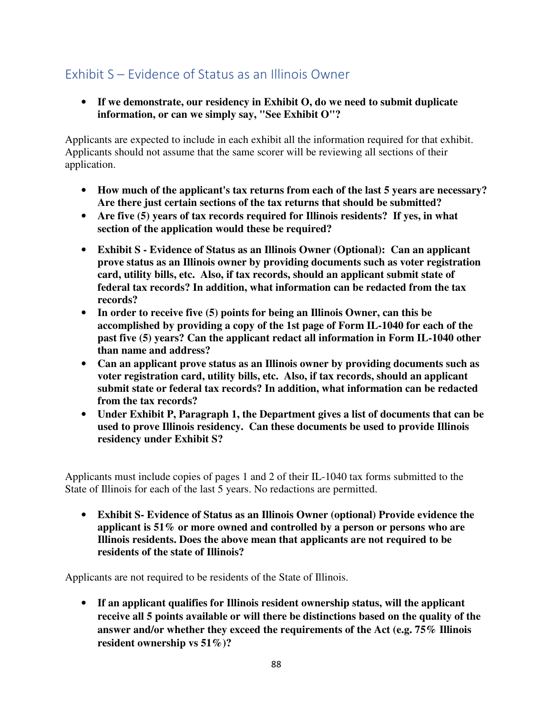# Exhibit S – Evidence of Status as an Illinois Owner

• **If we demonstrate, our residency in Exhibit O, do we need to submit duplicate information, or can we simply say, "See Exhibit O"?** 

Applicants are expected to include in each exhibit all the information required for that exhibit. Applicants should not assume that the same scorer will be reviewing all sections of their application.

- **How much of the applicant's tax returns from each of the last 5 years are necessary? Are there just certain sections of the tax returns that should be submitted?**
- **Are five (5) years of tax records required for Illinois residents? If yes, in what section of the application would these be required?**
- **Exhibit S Evidence of Status as an Illinois Owner (Optional): Can an applicant prove status as an Illinois owner by providing documents such as voter registration card, utility bills, etc. Also, if tax records, should an applicant submit state of federal tax records? In addition, what information can be redacted from the tax records?**
- **In order to receive five (5) points for being an Illinois Owner, can this be accomplished by providing a copy of the 1st page of Form IL-1040 for each of the past five (5) years? Can the applicant redact all information in Form IL-1040 other than name and address?**
- **Can an applicant prove status as an Illinois owner by providing documents such as voter registration card, utility bills, etc. Also, if tax records, should an applicant submit state or federal tax records? In addition, what information can be redacted from the tax records?**
- **Under Exhibit P, Paragraph 1, the Department gives a list of documents that can be used to prove Illinois residency. Can these documents be used to provide Illinois residency under Exhibit S?**

Applicants must include copies of pages 1 and 2 of their IL-1040 tax forms submitted to the State of Illinois for each of the last 5 years. No redactions are permitted.

• **Exhibit S- Evidence of Status as an Illinois Owner (optional) Provide evidence the applicant is 51% or more owned and controlled by a person or persons who are Illinois residents. Does the above mean that applicants are not required to be residents of the state of Illinois?** 

Applicants are not required to be residents of the State of Illinois.

• **If an applicant qualifies for Illinois resident ownership status, will the applicant receive all 5 points available or will there be distinctions based on the quality of the answer and/or whether they exceed the requirements of the Act (e.g. 75% Illinois resident ownership vs 51%)?**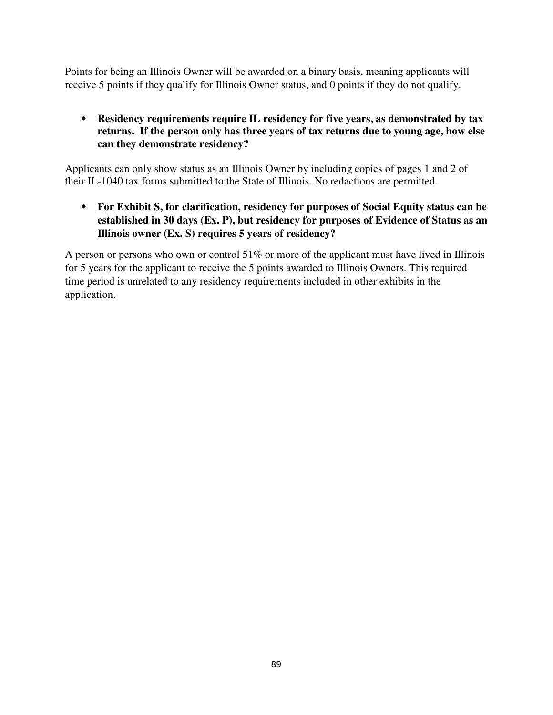Points for being an Illinois Owner will be awarded on a binary basis, meaning applicants will receive 5 points if they qualify for Illinois Owner status, and 0 points if they do not qualify.

## • **Residency requirements require IL residency for five years, as demonstrated by tax returns. If the person only has three years of tax returns due to young age, how else can they demonstrate residency?**

Applicants can only show status as an Illinois Owner by including copies of pages 1 and 2 of their IL-1040 tax forms submitted to the State of Illinois. No redactions are permitted.

• **For Exhibit S, for clarification, residency for purposes of Social Equity status can be established in 30 days (Ex. P), but residency for purposes of Evidence of Status as an Illinois owner (Ex. S) requires 5 years of residency?**

A person or persons who own or control 51% or more of the applicant must have lived in Illinois for 5 years for the applicant to receive the 5 points awarded to Illinois Owners. This required time period is unrelated to any residency requirements included in other exhibits in the application.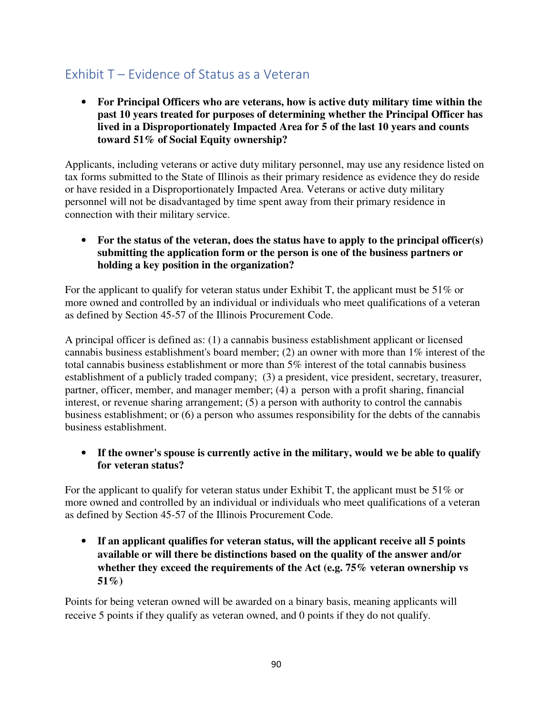# Exhibit T – Evidence of Status as a Veteran

• **For Principal Officers who are veterans, how is active duty military time within the past 10 years treated for purposes of determining whether the Principal Officer has lived in a Disproportionately Impacted Area for 5 of the last 10 years and counts toward 51% of Social Equity ownership?** 

Applicants, including veterans or active duty military personnel, may use any residence listed on tax forms submitted to the State of Illinois as their primary residence as evidence they do reside or have resided in a Disproportionately Impacted Area. Veterans or active duty military personnel will not be disadvantaged by time spent away from their primary residence in connection with their military service.

### • **For the status of the veteran, does the status have to apply to the principal officer(s) submitting the application form or the person is one of the business partners or holding a key position in the organization?**

For the applicant to qualify for veteran status under Exhibit T, the applicant must be 51% or more owned and controlled by an individual or individuals who meet qualifications of a veteran as defined by Section 45-57 of the Illinois Procurement Code.

A principal officer is defined as: (1) a cannabis business establishment applicant or licensed cannabis business establishment's board member; (2) an owner with more than 1% interest of the total cannabis business establishment or more than 5% interest of the total cannabis business establishment of a publicly traded company; (3) a president, vice president, secretary, treasurer, partner, officer, member, and manager member; (4) a person with a profit sharing, financial interest, or revenue sharing arrangement; (5) a person with authority to control the cannabis business establishment; or (6) a person who assumes responsibility for the debts of the cannabis business establishment.

### • **If the owner's spouse is currently active in the military, would we be able to qualify for veteran status?**

For the applicant to qualify for veteran status under Exhibit T, the applicant must be 51% or more owned and controlled by an individual or individuals who meet qualifications of a veteran as defined by Section 45-57 of the Illinois Procurement Code.

• **If an applicant qualifies for veteran status, will the applicant receive all 5 points available or will there be distinctions based on the quality of the answer and/or whether they exceed the requirements of the Act (e.g. 75% veteran ownership vs 51%)** 

Points for being veteran owned will be awarded on a binary basis, meaning applicants will receive 5 points if they qualify as veteran owned, and 0 points if they do not qualify.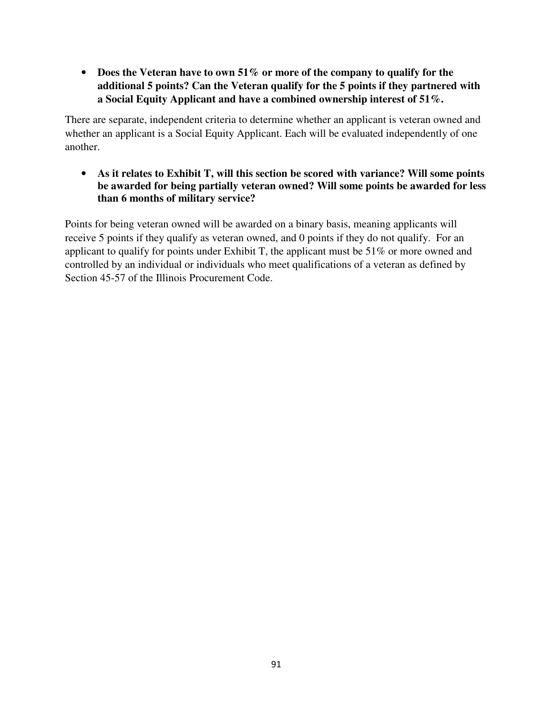• **Does the Veteran have to own 51% or more of the company to qualify for the additional 5 points? Can the Veteran qualify for the 5 points if they partnered with a Social Equity Applicant and have a combined ownership interest of 51%.** 

There are separate, independent criteria to determine whether an applicant is veteran owned and whether an applicant is a Social Equity Applicant. Each will be evaluated independently of one another.

• **As it relates to Exhibit T, will this section be scored with variance? Will some points be awarded for being partially veteran owned? Will some points be awarded for less than 6 months of military service?** 

Points for being veteran owned will be awarded on a binary basis, meaning applicants will receive 5 points if they qualify as veteran owned, and 0 points if they do not qualify. For an applicant to qualify for points under Exhibit T, the applicant must be 51% or more owned and controlled by an individual or individuals who meet qualifications of a veteran as defined by Section 45-57 of the Illinois Procurement Code.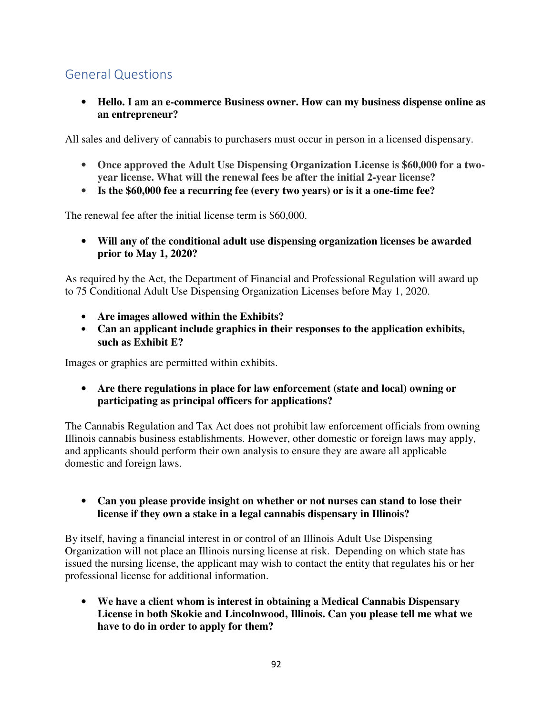# General Questions

• **Hello. I am an e-commerce Business owner. How can my business dispense online as an entrepreneur?** 

All sales and delivery of cannabis to purchasers must occur in person in a licensed dispensary.

- **Once approved the Adult Use Dispensing Organization License is \$60,000 for a twoyear license. What will the renewal fees be after the initial 2-year license?**
- **Is the \$60,000 fee a recurring fee (every two years) or is it a one-time fee?**

The renewal fee after the initial license term is \$60,000.

• **Will any of the conditional adult use dispensing organization licenses be awarded prior to May 1, 2020?** 

As required by the Act, the Department of Financial and Professional Regulation will award up to 75 Conditional Adult Use Dispensing Organization Licenses before May 1, 2020.

- **Are images allowed within the Exhibits?**
- **Can an applicant include graphics in their responses to the application exhibits, such as Exhibit E?**

Images or graphics are permitted within exhibits.

• **Are there regulations in place for law enforcement (state and local) owning or participating as principal officers for applications?**

The Cannabis Regulation and Tax Act does not prohibit law enforcement officials from owning Illinois cannabis business establishments. However, other domestic or foreign laws may apply, and applicants should perform their own analysis to ensure they are aware all applicable domestic and foreign laws.

• **Can you please provide insight on whether or not nurses can stand to lose their license if they own a stake in a legal cannabis dispensary in Illinois?** 

By itself, having a financial interest in or control of an Illinois Adult Use Dispensing Organization will not place an Illinois nursing license at risk. Depending on which state has issued the nursing license, the applicant may wish to contact the entity that regulates his or her professional license for additional information.

• **We have a client whom is interest in obtaining a Medical Cannabis Dispensary License in both Skokie and Lincolnwood, Illinois. Can you please tell me what we have to do in order to apply for them?**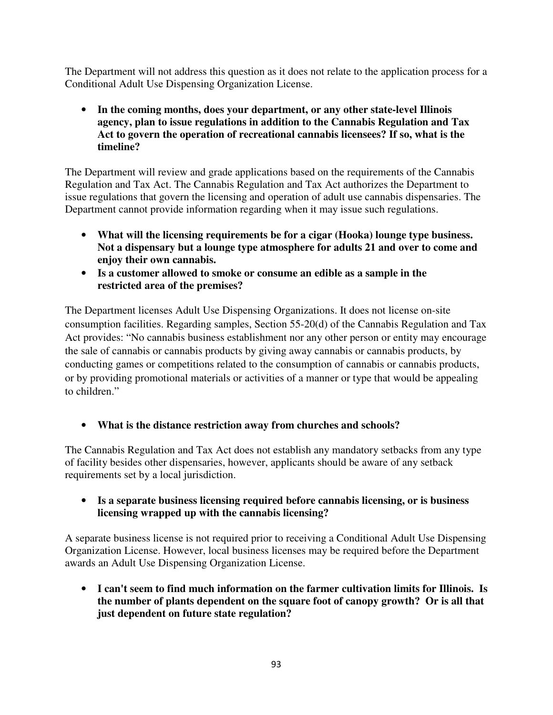The Department will not address this question as it does not relate to the application process for a Conditional Adult Use Dispensing Organization License.

• **In the coming months, does your department, or any other state-level Illinois agency, plan to issue regulations in addition to the Cannabis Regulation and Tax Act to govern the operation of recreational cannabis licensees? If so, what is the timeline?** 

The Department will review and grade applications based on the requirements of the Cannabis Regulation and Tax Act. The Cannabis Regulation and Tax Act authorizes the Department to issue regulations that govern the licensing and operation of adult use cannabis dispensaries. The Department cannot provide information regarding when it may issue such regulations.

- **What will the licensing requirements be for a cigar (Hooka) lounge type business. Not a dispensary but a lounge type atmosphere for adults 21 and over to come and enjoy their own cannabis.**
- **Is a customer allowed to smoke or consume an edible as a sample in the restricted area of the premises?**

The Department licenses Adult Use Dispensing Organizations. It does not license on-site consumption facilities. Regarding samples, Section 55-20(d) of the Cannabis Regulation and Tax Act provides: "No cannabis business establishment nor any other person or entity may encourage the sale of cannabis or cannabis products by giving away cannabis or cannabis products, by conducting games or competitions related to the consumption of cannabis or cannabis products, or by providing promotional materials or activities of a manner or type that would be appealing to children."

# • **What is the distance restriction away from churches and schools?**

The Cannabis Regulation and Tax Act does not establish any mandatory setbacks from any type of facility besides other dispensaries, however, applicants should be aware of any setback requirements set by a local jurisdiction.

#### • **Is a separate business licensing required before cannabis licensing, or is business licensing wrapped up with the cannabis licensing?**

A separate business license is not required prior to receiving a Conditional Adult Use Dispensing Organization License. However, local business licenses may be required before the Department awards an Adult Use Dispensing Organization License.

• **I can't seem to find much information on the farmer cultivation limits for Illinois. Is the number of plants dependent on the square foot of canopy growth? Or is all that just dependent on future state regulation?**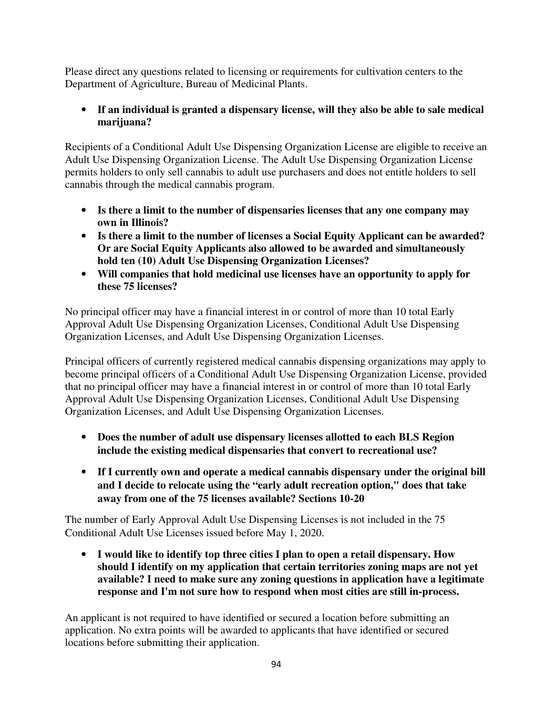Please direct any questions related to licensing or requirements for cultivation centers to the Department of Agriculture, Bureau of Medicinal Plants.

• **If an individual is granted a dispensary license, will they also be able to sale medical marijuana?** 

Recipients of a Conditional Adult Use Dispensing Organization License are eligible to receive an Adult Use Dispensing Organization License. The Adult Use Dispensing Organization License permits holders to only sell cannabis to adult use purchasers and does not entitle holders to sell cannabis through the medical cannabis program.

- **Is there a limit to the number of dispensaries licenses that any one company may own in Illinois?**
- **Is there a limit to the number of licenses a Social Equity Applicant can be awarded? Or are Social Equity Applicants also allowed to be awarded and simultaneously hold ten (10) Adult Use Dispensing Organization Licenses?**
- **Will companies that hold medicinal use licenses have an opportunity to apply for these 75 licenses?**

No principal officer may have a financial interest in or control of more than 10 total Early Approval Adult Use Dispensing Organization Licenses, Conditional Adult Use Dispensing Organization Licenses, and Adult Use Dispensing Organization Licenses.

Principal officers of currently registered medical cannabis dispensing organizations may apply to become principal officers of a Conditional Adult Use Dispensing Organization License, provided that no principal officer may have a financial interest in or control of more than 10 total Early Approval Adult Use Dispensing Organization Licenses, Conditional Adult Use Dispensing Organization Licenses, and Adult Use Dispensing Organization Licenses.

- **Does the number of adult use dispensary licenses allotted to each BLS Region include the existing medical dispensaries that convert to recreational use?**
- **If I currently own and operate a medical cannabis dispensary under the original bill and I decide to relocate using the "early adult recreation option," does that take away from one of the 75 licenses available? Sections 10-20**

The number of Early Approval Adult Use Dispensing Licenses is not included in the 75 Conditional Adult Use Licenses issued before May 1, 2020.

• **I would like to identify top three cities I plan to open a retail dispensary. How should I identify on my application that certain territories zoning maps are not yet available? I need to make sure any zoning questions in application have a legitimate response and I'm not sure how to respond when most cities are still in-process.** 

An applicant is not required to have identified or secured a location before submitting an application. No extra points will be awarded to applicants that have identified or secured locations before submitting their application.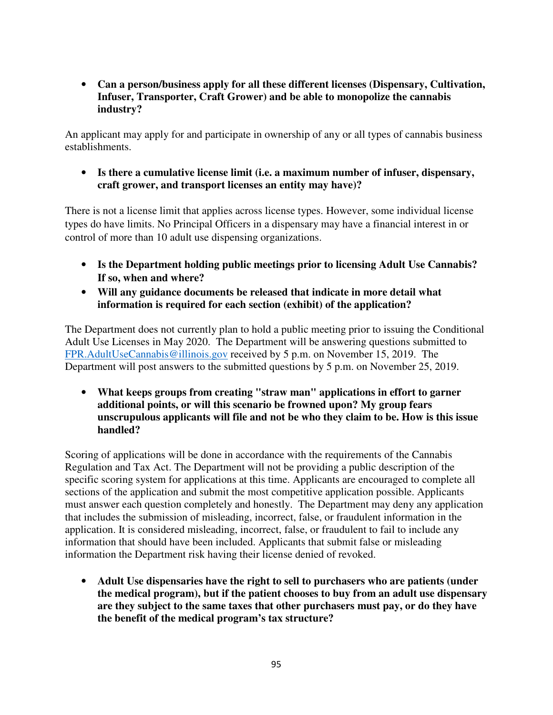• **Can a person/business apply for all these different licenses (Dispensary, Cultivation, Infuser, Transporter, Craft Grower) and be able to monopolize the cannabis industry?** 

An applicant may apply for and participate in ownership of any or all types of cannabis business establishments.

• **Is there a cumulative license limit (i.e. a maximum number of infuser, dispensary, craft grower, and transport licenses an entity may have)?** 

There is not a license limit that applies across license types. However, some individual license types do have limits. No Principal Officers in a dispensary may have a financial interest in or control of more than 10 adult use dispensing organizations.

- **Is the Department holding public meetings prior to licensing Adult Use Cannabis? If so, when and where?**
- **Will any guidance documents be released that indicate in more detail what information is required for each section (exhibit) of the application?**

The Department does not currently plan to hold a public meeting prior to issuing the Conditional Adult Use Licenses in May 2020. The Department will be answering questions submitted to FPR.AdultUseCannabis@illinois.gov received by 5 p.m. on November 15, 2019. The Department will post answers to the submitted questions by 5 p.m. on November 25, 2019.

• **What keeps groups from creating "straw man" applications in effort to garner additional points, or will this scenario be frowned upon? My group fears unscrupulous applicants will file and not be who they claim to be. How is this issue handled?** 

Scoring of applications will be done in accordance with the requirements of the Cannabis Regulation and Tax Act. The Department will not be providing a public description of the specific scoring system for applications at this time. Applicants are encouraged to complete all sections of the application and submit the most competitive application possible. Applicants must answer each question completely and honestly. The Department may deny any application that includes the submission of misleading, incorrect, false, or fraudulent information in the application. It is considered misleading, incorrect, false, or fraudulent to fail to include any information that should have been included. Applicants that submit false or misleading information the Department risk having their license denied of revoked.

• **Adult Use dispensaries have the right to sell to purchasers who are patients (under the medical program), but if the patient chooses to buy from an adult use dispensary are they subject to the same taxes that other purchasers must pay, or do they have the benefit of the medical program's tax structure?**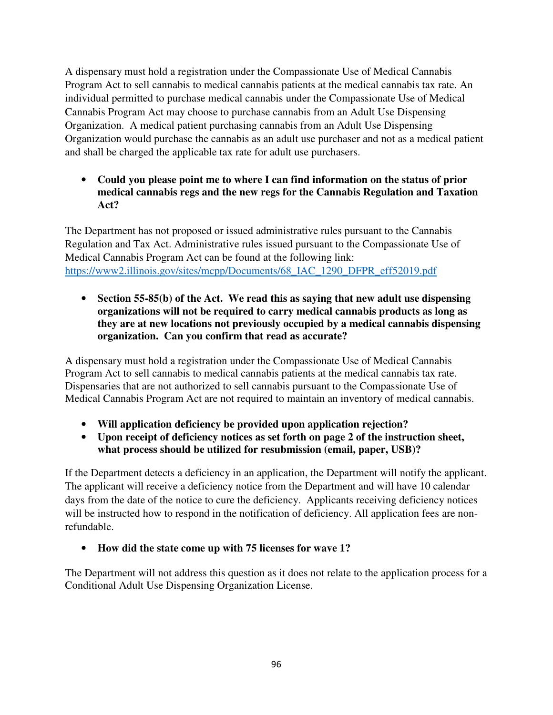A dispensary must hold a registration under the Compassionate Use of Medical Cannabis Program Act to sell cannabis to medical cannabis patients at the medical cannabis tax rate. An individual permitted to purchase medical cannabis under the Compassionate Use of Medical Cannabis Program Act may choose to purchase cannabis from an Adult Use Dispensing Organization. A medical patient purchasing cannabis from an Adult Use Dispensing Organization would purchase the cannabis as an adult use purchaser and not as a medical patient and shall be charged the applicable tax rate for adult use purchasers.

• **Could you please point me to where I can find information on the status of prior medical cannabis regs and the new regs for the Cannabis Regulation and Taxation Act?** 

The Department has not proposed or issued administrative rules pursuant to the Cannabis Regulation and Tax Act. Administrative rules issued pursuant to the Compassionate Use of Medical Cannabis Program Act can be found at the following link: https://www2.illinois.gov/sites/mcpp/Documents/68\_IAC\_1290\_DFPR\_eff52019.pdf

• **Section 55-85(b) of the Act. We read this as saying that new adult use dispensing organizations will not be required to carry medical cannabis products as long as they are at new locations not previously occupied by a medical cannabis dispensing organization. Can you confirm that read as accurate?** 

A dispensary must hold a registration under the Compassionate Use of Medical Cannabis Program Act to sell cannabis to medical cannabis patients at the medical cannabis tax rate. Dispensaries that are not authorized to sell cannabis pursuant to the Compassionate Use of Medical Cannabis Program Act are not required to maintain an inventory of medical cannabis.

- **Will application deficiency be provided upon application rejection?**
- **Upon receipt of deficiency notices as set forth on page 2 of the instruction sheet, what process should be utilized for resubmission (email, paper, USB)?**

If the Department detects a deficiency in an application, the Department will notify the applicant. The applicant will receive a deficiency notice from the Department and will have 10 calendar days from the date of the notice to cure the deficiency. Applicants receiving deficiency notices will be instructed how to respond in the notification of deficiency. All application fees are nonrefundable.

• **How did the state come up with 75 licenses for wave 1?** 

The Department will not address this question as it does not relate to the application process for a Conditional Adult Use Dispensing Organization License.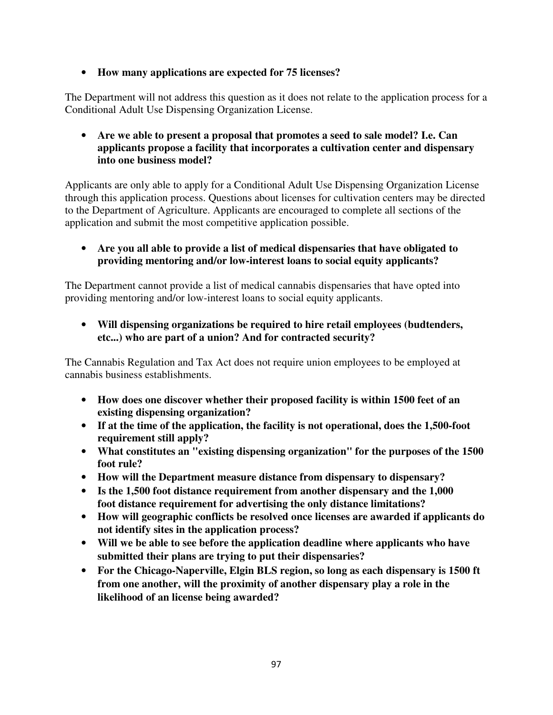### • **How many applications are expected for 75 licenses?**

The Department will not address this question as it does not relate to the application process for a Conditional Adult Use Dispensing Organization License.

• **Are we able to present a proposal that promotes a seed to sale model? I.e. Can applicants propose a facility that incorporates a cultivation center and dispensary into one business model?** 

Applicants are only able to apply for a Conditional Adult Use Dispensing Organization License through this application process. Questions about licenses for cultivation centers may be directed to the Department of Agriculture. Applicants are encouraged to complete all sections of the application and submit the most competitive application possible.

• **Are you all able to provide a list of medical dispensaries that have obligated to providing mentoring and/or low-interest loans to social equity applicants?** 

The Department cannot provide a list of medical cannabis dispensaries that have opted into providing mentoring and/or low-interest loans to social equity applicants.

• **Will dispensing organizations be required to hire retail employees (budtenders, etc...) who are part of a union? And for contracted security?** 

The Cannabis Regulation and Tax Act does not require union employees to be employed at cannabis business establishments.

- **How does one discover whether their proposed facility is within 1500 feet of an existing dispensing organization?**
- **If at the time of the application, the facility is not operational, does the 1,500-foot requirement still apply?**
- **What constitutes an "existing dispensing organization" for the purposes of the 1500 foot rule?**
- **How will the Department measure distance from dispensary to dispensary?**
- **Is the 1,500 foot distance requirement from another dispensary and the 1,000 foot distance requirement for advertising the only distance limitations?**
- **How will geographic conflicts be resolved once licenses are awarded if applicants do not identify sites in the application process?**
- **Will we be able to see before the application deadline where applicants who have submitted their plans are trying to put their dispensaries?**
- **For the Chicago-Naperville, Elgin BLS region, so long as each dispensary is 1500 ft from one another, will the proximity of another dispensary play a role in the likelihood of an license being awarded?**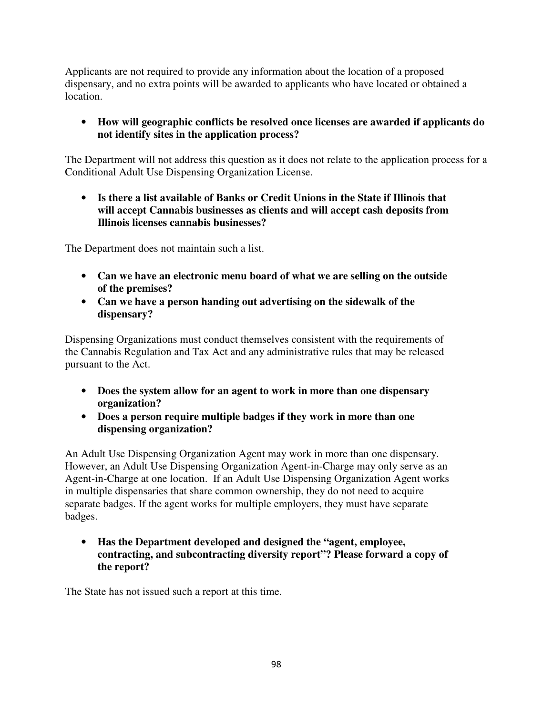Applicants are not required to provide any information about the location of a proposed dispensary, and no extra points will be awarded to applicants who have located or obtained a location.

• **How will geographic conflicts be resolved once licenses are awarded if applicants do not identify sites in the application process?** 

The Department will not address this question as it does not relate to the application process for a Conditional Adult Use Dispensing Organization License.

• **Is there a list available of Banks or Credit Unions in the State if Illinois that will accept Cannabis businesses as clients and will accept cash deposits from Illinois licenses cannabis businesses?** 

The Department does not maintain such a list.

- **Can we have an electronic menu board of what we are selling on the outside of the premises?**
- **Can we have a person handing out advertising on the sidewalk of the dispensary?**

Dispensing Organizations must conduct themselves consistent with the requirements of the Cannabis Regulation and Tax Act and any administrative rules that may be released pursuant to the Act.

- **Does the system allow for an agent to work in more than one dispensary organization?**
- **Does a person require multiple badges if they work in more than one dispensing organization?**

An Adult Use Dispensing Organization Agent may work in more than one dispensary. However, an Adult Use Dispensing Organization Agent-in-Charge may only serve as an Agent-in-Charge at one location. If an Adult Use Dispensing Organization Agent works in multiple dispensaries that share common ownership, they do not need to acquire separate badges. If the agent works for multiple employers, they must have separate badges.

• **Has the Department developed and designed the "agent, employee, contracting, and subcontracting diversity report"? Please forward a copy of the report?** 

The State has not issued such a report at this time.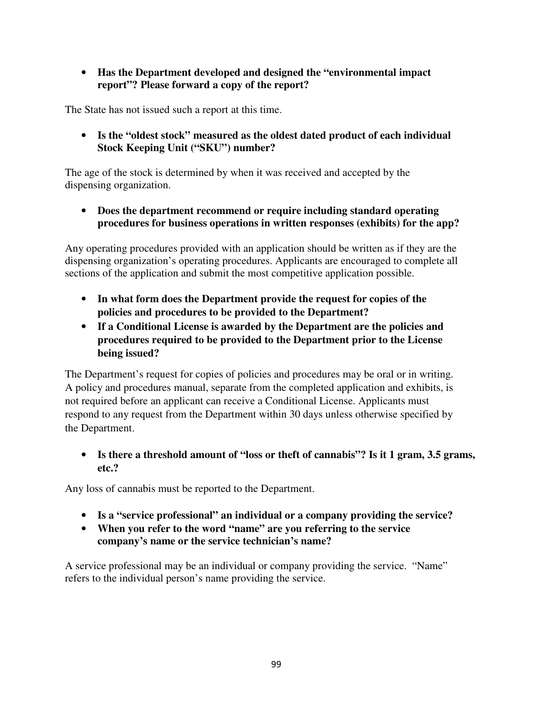• **Has the Department developed and designed the "environmental impact report"? Please forward a copy of the report?** 

The State has not issued such a report at this time.

• **Is the "oldest stock" measured as the oldest dated product of each individual Stock Keeping Unit ("SKU") number?** 

The age of the stock is determined by when it was received and accepted by the dispensing organization.

• **Does the department recommend or require including standard operating procedures for business operations in written responses (exhibits) for the app?** 

Any operating procedures provided with an application should be written as if they are the dispensing organization's operating procedures. Applicants are encouraged to complete all sections of the application and submit the most competitive application possible.

- **In what form does the Department provide the request for copies of the policies and procedures to be provided to the Department?**
- **If a Conditional License is awarded by the Department are the policies and procedures required to be provided to the Department prior to the License being issued?**

The Department's request for copies of policies and procedures may be oral or in writing. A policy and procedures manual, separate from the completed application and exhibits, is not required before an applicant can receive a Conditional License. Applicants must respond to any request from the Department within 30 days unless otherwise specified by the Department.

• **Is there a threshold amount of "loss or theft of cannabis"? Is it 1 gram, 3.5 grams, etc.?** 

Any loss of cannabis must be reported to the Department.

- **Is a "service professional" an individual or a company providing the service?**
- **When you refer to the word "name" are you referring to the service company's name or the service technician's name?**

A service professional may be an individual or company providing the service. "Name" refers to the individual person's name providing the service.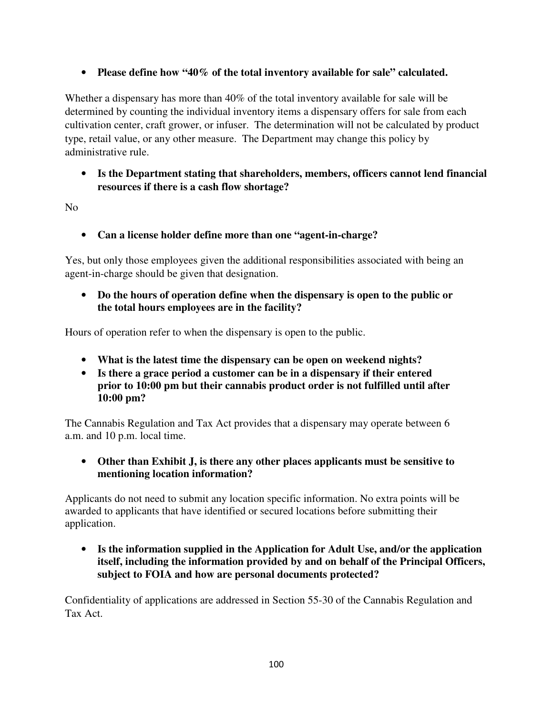# • **Please define how "40% of the total inventory available for sale" calculated.**

Whether a dispensary has more than 40% of the total inventory available for sale will be determined by counting the individual inventory items a dispensary offers for sale from each cultivation center, craft grower, or infuser. The determination will not be calculated by product type, retail value, or any other measure. The Department may change this policy by administrative rule.

• **Is the Department stating that shareholders, members, officers cannot lend financial resources if there is a cash flow shortage?** 

No

• **Can a license holder define more than one "agent-in-charge?** 

Yes, but only those employees given the additional responsibilities associated with being an agent-in-charge should be given that designation.

• **Do the hours of operation define when the dispensary is open to the public or the total hours employees are in the facility?** 

Hours of operation refer to when the dispensary is open to the public.

- **What is the latest time the dispensary can be open on weekend nights?**
- **Is there a grace period a customer can be in a dispensary if their entered prior to 10:00 pm but their cannabis product order is not fulfilled until after 10:00 pm?**

The Cannabis Regulation and Tax Act provides that a dispensary may operate between 6 a.m. and 10 p.m. local time.

• **Other than Exhibit J, is there any other places applicants must be sensitive to mentioning location information?** 

Applicants do not need to submit any location specific information. No extra points will be awarded to applicants that have identified or secured locations before submitting their application.

• **Is the information supplied in the Application for Adult Use, and/or the application itself, including the information provided by and on behalf of the Principal Officers, subject to FOIA and how are personal documents protected?** 

Confidentiality of applications are addressed in Section 55-30 of the Cannabis Regulation and Tax Act.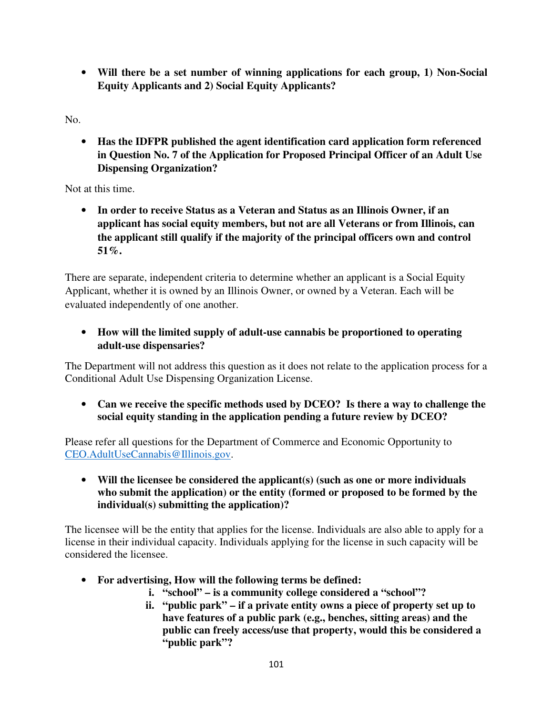• **Will there be a set number of winning applications for each group, 1) Non-Social Equity Applicants and 2) Social Equity Applicants?** 

No.

• **Has the IDFPR published the agent identification card application form referenced in Question No. 7 of the Application for Proposed Principal Officer of an Adult Use Dispensing Organization?** 

Not at this time.

• **In order to receive Status as a Veteran and Status as an Illinois Owner, if an applicant has social equity members, but not are all Veterans or from Illinois, can the applicant still qualify if the majority of the principal officers own and control 51%.** 

There are separate, independent criteria to determine whether an applicant is a Social Equity Applicant, whether it is owned by an Illinois Owner, or owned by a Veteran. Each will be evaluated independently of one another.

• **How will the limited supply of adult-use cannabis be proportioned to operating adult-use dispensaries?** 

The Department will not address this question as it does not relate to the application process for a Conditional Adult Use Dispensing Organization License.

• **Can we receive the specific methods used by DCEO? Is there a way to challenge the social equity standing in the application pending a future review by DCEO?** 

Please refer all questions for the Department of Commerce and Economic Opportunity to CEO.AdultUseCannabis@Illinois.gov.

• **Will the licensee be considered the applicant(s) (such as one or more individuals who submit the application) or the entity (formed or proposed to be formed by the individual(s) submitting the application)?** 

The licensee will be the entity that applies for the license. Individuals are also able to apply for a license in their individual capacity. Individuals applying for the license in such capacity will be considered the licensee.

- **For advertising, How will the following terms be defined:** 
	- **i. "school" is a community college considered a "school"?**
	- **ii. "public park" if a private entity owns a piece of property set up to have features of a public park (e.g., benches, sitting areas) and the public can freely access/use that property, would this be considered a "public park"?**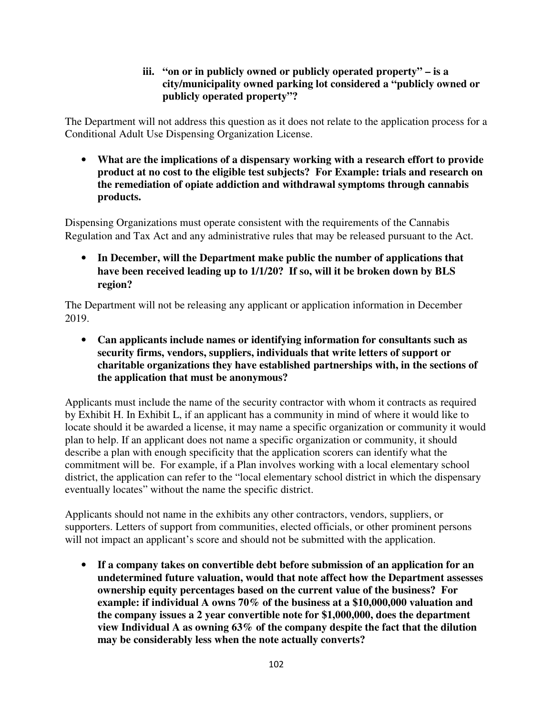### **iii. "on or in publicly owned or publicly operated property" – is a city/municipality owned parking lot considered a "publicly owned or publicly operated property"?**

The Department will not address this question as it does not relate to the application process for a Conditional Adult Use Dispensing Organization License.

• **What are the implications of a dispensary working with a research effort to provide product at no cost to the eligible test subjects? For Example: trials and research on the remediation of opiate addiction and withdrawal symptoms through cannabis products.** 

Dispensing Organizations must operate consistent with the requirements of the Cannabis Regulation and Tax Act and any administrative rules that may be released pursuant to the Act.

• **In December, will the Department make public the number of applications that have been received leading up to 1/1/20? If so, will it be broken down by BLS region?** 

The Department will not be releasing any applicant or application information in December 2019.

• **Can applicants include names or identifying information for consultants such as security firms, vendors, suppliers, individuals that write letters of support or charitable organizations they have established partnerships with, in the sections of the application that must be anonymous?** 

Applicants must include the name of the security contractor with whom it contracts as required by Exhibit H. In Exhibit L, if an applicant has a community in mind of where it would like to locate should it be awarded a license, it may name a specific organization or community it would plan to help. If an applicant does not name a specific organization or community, it should describe a plan with enough specificity that the application scorers can identify what the commitment will be. For example, if a Plan involves working with a local elementary school district, the application can refer to the "local elementary school district in which the dispensary eventually locates" without the name the specific district.

Applicants should not name in the exhibits any other contractors, vendors, suppliers, or supporters. Letters of support from communities, elected officials, or other prominent persons will not impact an applicant's score and should not be submitted with the application.

• **If a company takes on convertible debt before submission of an application for an undetermined future valuation, would that note affect how the Department assesses ownership equity percentages based on the current value of the business? For example: if individual A owns 70% of the business at a \$10,000,000 valuation and the company issues a 2 year convertible note for \$1,000,000, does the department view Individual A as owning 63% of the company despite the fact that the dilution may be considerably less when the note actually converts?**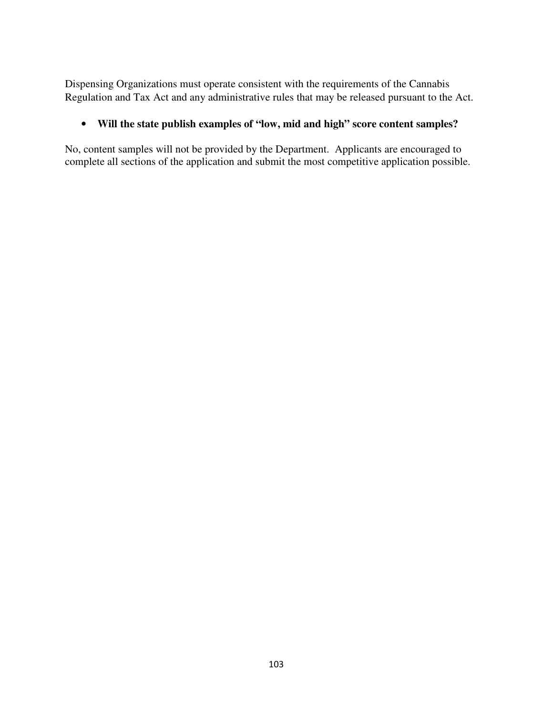Dispensing Organizations must operate consistent with the requirements of the Cannabis Regulation and Tax Act and any administrative rules that may be released pursuant to the Act.

### • **Will the state publish examples of "low, mid and high" score content samples?**

No, content samples will not be provided by the Department. Applicants are encouraged to complete all sections of the application and submit the most competitive application possible.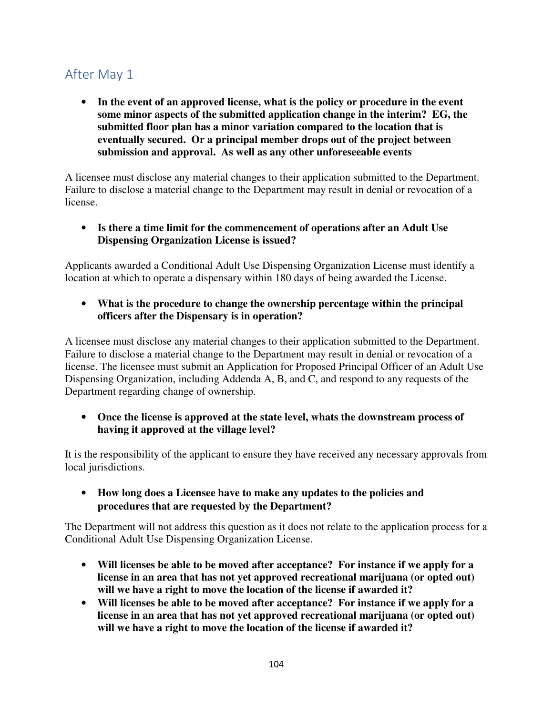# After May 1

• **In the event of an approved license, what is the policy or procedure in the event some minor aspects of the submitted application change in the interim? EG, the submitted floor plan has a minor variation compared to the location that is eventually secured. Or a principal member drops out of the project between submission and approval. As well as any other unforeseeable events** 

A licensee must disclose any material changes to their application submitted to the Department. Failure to disclose a material change to the Department may result in denial or revocation of a license.

• **Is there a time limit for the commencement of operations after an Adult Use Dispensing Organization License is issued?**

Applicants awarded a Conditional Adult Use Dispensing Organization License must identify a location at which to operate a dispensary within 180 days of being awarded the License.

• **What is the procedure to change the ownership percentage within the principal officers after the Dispensary is in operation?** 

A licensee must disclose any material changes to their application submitted to the Department. Failure to disclose a material change to the Department may result in denial or revocation of a license. The licensee must submit an Application for Proposed Principal Officer of an Adult Use Dispensing Organization, including Addenda A, B, and C, and respond to any requests of the Department regarding change of ownership.

• **Once the license is approved at the state level, whats the downstream process of having it approved at the village level?** 

It is the responsibility of the applicant to ensure they have received any necessary approvals from local jurisdictions.

• **How long does a Licensee have to make any updates to the policies and procedures that are requested by the Department?** 

The Department will not address this question as it does not relate to the application process for a Conditional Adult Use Dispensing Organization License.

- **Will licenses be able to be moved after acceptance? For instance if we apply for a license in an area that has not yet approved recreational marijuana (or opted out) will we have a right to move the location of the license if awarded it?**
- **Will licenses be able to be moved after acceptance? For instance if we apply for a license in an area that has not yet approved recreational marijuana (or opted out) will we have a right to move the location of the license if awarded it?**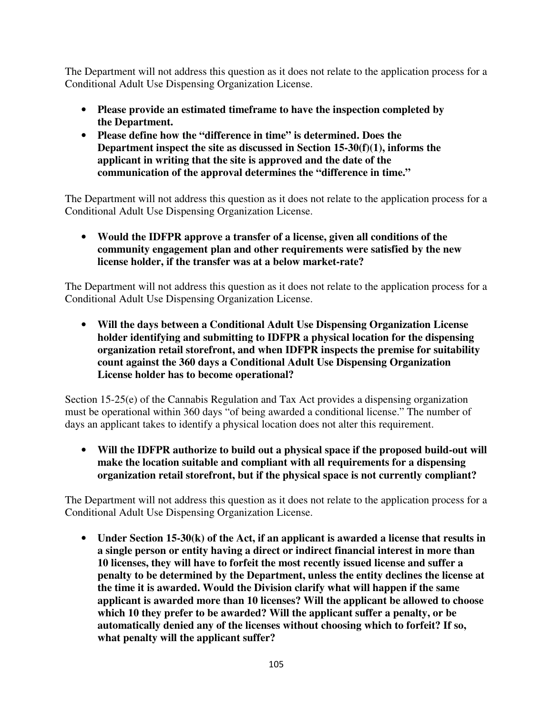The Department will not address this question as it does not relate to the application process for a Conditional Adult Use Dispensing Organization License.

- **Please provide an estimated timeframe to have the inspection completed by the Department.**
- **Please define how the "difference in time" is determined. Does the Department inspect the site as discussed in Section 15-30(f)(1), informs the applicant in writing that the site is approved and the date of the communication of the approval determines the "difference in time."**

The Department will not address this question as it does not relate to the application process for a Conditional Adult Use Dispensing Organization License.

• **Would the IDFPR approve a transfer of a license, given all conditions of the community engagement plan and other requirements were satisfied by the new license holder, if the transfer was at a below market-rate?** 

The Department will not address this question as it does not relate to the application process for a Conditional Adult Use Dispensing Organization License.

• **Will the days between a Conditional Adult Use Dispensing Organization License holder identifying and submitting to IDFPR a physical location for the dispensing organization retail storefront, and when IDFPR inspects the premise for suitability count against the 360 days a Conditional Adult Use Dispensing Organization License holder has to become operational?** 

Section 15-25(e) of the Cannabis Regulation and Tax Act provides a dispensing organization must be operational within 360 days "of being awarded a conditional license." The number of days an applicant takes to identify a physical location does not alter this requirement.

• **Will the IDFPR authorize to build out a physical space if the proposed build-out will make the location suitable and compliant with all requirements for a dispensing organization retail storefront, but if the physical space is not currently compliant?** 

The Department will not address this question as it does not relate to the application process for a Conditional Adult Use Dispensing Organization License.

• **Under Section 15-30(k) of the Act, if an applicant is awarded a license that results in a single person or entity having a direct or indirect financial interest in more than 10 licenses, they will have to forfeit the most recently issued license and suffer a penalty to be determined by the Department, unless the entity declines the license at the time it is awarded. Would the Division clarify what will happen if the same applicant is awarded more than 10 licenses? Will the applicant be allowed to choose which 10 they prefer to be awarded? Will the applicant suffer a penalty, or be automatically denied any of the licenses without choosing which to forfeit? If so, what penalty will the applicant suffer?**